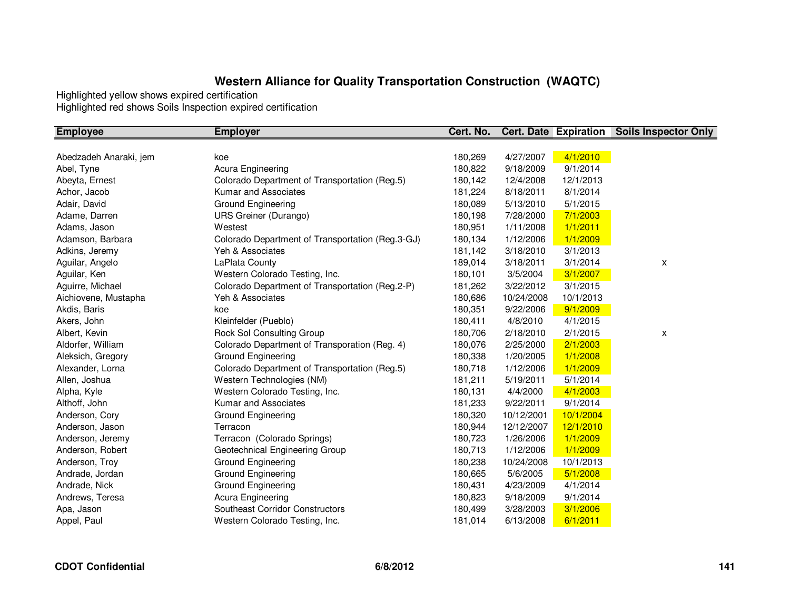| <b>Employee</b>        | <b>Employer</b>                                  | Cert. No. |            |           | <b>Cert. Date Expiration Soils Inspector Only</b> |
|------------------------|--------------------------------------------------|-----------|------------|-----------|---------------------------------------------------|
|                        |                                                  |           |            |           |                                                   |
| Abedzadeh Anaraki, jem | koe                                              | 180,269   | 4/27/2007  | 4/1/2010  |                                                   |
| Abel, Tyne             | Acura Engineering                                | 180,822   | 9/18/2009  | 9/1/2014  |                                                   |
| Abeyta, Ernest         | Colorado Department of Transportation (Reg.5)    | 180,142   | 12/4/2008  | 12/1/2013 |                                                   |
| Achor, Jacob           | Kumar and Associates                             | 181,224   | 8/18/2011  | 8/1/2014  |                                                   |
| Adair, David           | <b>Ground Engineering</b>                        | 180,089   | 5/13/2010  | 5/1/2015  |                                                   |
| Adame, Darren          | <b>URS Greiner (Durango)</b>                     | 180,198   | 7/28/2000  | 7/1/2003  |                                                   |
| Adams, Jason           | Westest                                          | 180,951   | 1/11/2008  | 1/1/2011  |                                                   |
| Adamson, Barbara       | Colorado Department of Transportation (Reg.3-GJ) | 180,134   | 1/12/2006  | 1/1/2009  |                                                   |
| Adkins, Jeremy         | Yeh & Associates                                 | 181,142   | 3/18/2010  | 3/1/2013  |                                                   |
| Aguilar, Angelo        | LaPlata County                                   | 189,014   | 3/18/2011  | 3/1/2014  | X                                                 |
| Aguilar, Ken           | Western Colorado Testing, Inc.                   | 180,101   | 3/5/2004   | 3/1/2007  |                                                   |
| Aguirre, Michael       | Colorado Department of Transportation (Reg.2-P)  | 181,262   | 3/22/2012  | 3/1/2015  |                                                   |
| Aichiovene, Mustapha   | Yeh & Associates                                 | 180,686   | 10/24/2008 | 10/1/2013 |                                                   |
| Akdis, Baris           | koe                                              | 180,351   | 9/22/2006  | 9/1/2009  |                                                   |
| Akers, John            | Kleinfelder (Pueblo)                             | 180,411   | 4/8/2010   | 4/1/2015  |                                                   |
| Albert, Kevin          | Rock Sol Consulting Group                        | 180,706   | 2/18/2010  | 2/1/2015  | x                                                 |
| Aldorfer, William      | Colorado Department of Transporation (Reg. 4)    | 180,076   | 2/25/2000  | 2/1/2003  |                                                   |
| Aleksich, Gregory      | Ground Engineering                               | 180,338   | 1/20/2005  | 1/1/2008  |                                                   |
| Alexander, Lorna       | Colorado Department of Transportation (Reg.5)    | 180,718   | 1/12/2006  | 1/1/2009  |                                                   |
| Allen, Joshua          | Western Technologies (NM)                        | 181,211   | 5/19/2011  | 5/1/2014  |                                                   |
| Alpha, Kyle            | Western Colorado Testing, Inc.                   | 180,131   | 4/4/2000   | 4/1/2003  |                                                   |
| Althoff, John          | Kumar and Associates                             | 181,233   | 9/22/2011  | 9/1/2014  |                                                   |
| Anderson, Cory         | Ground Engineering                               | 180,320   | 10/12/2001 | 10/1/2004 |                                                   |
| Anderson, Jason        | Terracon                                         | 180,944   | 12/12/2007 | 12/1/2010 |                                                   |
| Anderson, Jeremy       | Terracon (Colorado Springs)                      | 180,723   | 1/26/2006  | 1/1/2009  |                                                   |
| Anderson, Robert       | Geotechnical Engineering Group                   | 180,713   | 1/12/2006  | 1/1/2009  |                                                   |
| Anderson, Troy         | Ground Engineering                               | 180,238   | 10/24/2008 | 10/1/2013 |                                                   |
| Andrade, Jordan        | Ground Engineering                               | 180,665   | 5/6/2005   | 5/1/2008  |                                                   |
| Andrade, Nick          | Ground Engineering                               | 180,431   | 4/23/2009  | 4/1/2014  |                                                   |
| Andrews, Teresa        | Acura Engineering                                | 180,823   | 9/18/2009  | 9/1/2014  |                                                   |
| Apa, Jason             | Southeast Corridor Constructors                  | 180,499   | 3/28/2003  | 3/1/2006  |                                                   |
| Appel, Paul            | Western Colorado Testing, Inc.                   | 181,014   | 6/13/2008  | 6/1/2011  |                                                   |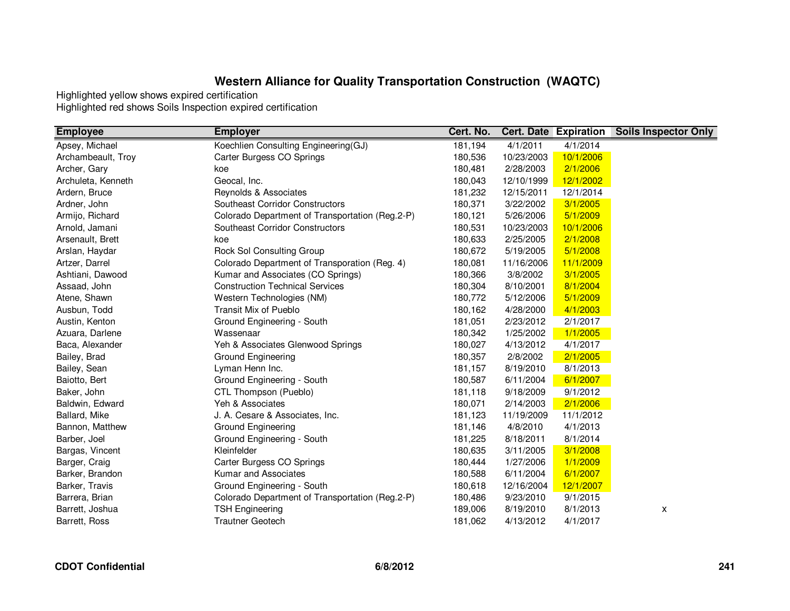| <b>Employee</b>    | <b>Employer</b>                                 | Cert. No. |            | <b>Cert. Date Expiration</b> | <b>Soils Inspector Only</b> |
|--------------------|-------------------------------------------------|-----------|------------|------------------------------|-----------------------------|
| Apsey, Michael     | Koechlien Consulting Engineering(GJ)            | 181,194   | 4/1/2011   | 4/1/2014                     |                             |
| Archambeault, Troy | Carter Burgess CO Springs                       | 180,536   | 10/23/2003 | 10/1/2006                    |                             |
| Archer, Gary       | koe                                             | 180,481   | 2/28/2003  | 2/1/2006                     |                             |
| Archuleta, Kenneth | Geocal, Inc.                                    | 180,043   | 12/10/1999 | 12/1/2002                    |                             |
| Ardern, Bruce      | Reynolds & Associates                           | 181,232   | 12/15/2011 | 12/1/2014                    |                             |
| Ardner, John       | <b>Southeast Corridor Constructors</b>          | 180,371   | 3/22/2002  | 3/1/2005                     |                             |
| Armijo, Richard    | Colorado Department of Transportation (Reg.2-P) | 180,121   | 5/26/2006  | 5/1/2009                     |                             |
| Arnold, Jamani     | <b>Southeast Corridor Constructors</b>          | 180,531   | 10/23/2003 | 10/1/2006                    |                             |
| Arsenault, Brett   | koe                                             | 180,633   | 2/25/2005  | 2/1/2008                     |                             |
| Arslan, Haydar     | Rock Sol Consulting Group                       | 180,672   | 5/19/2005  | 5/1/2008                     |                             |
| Artzer, Darrel     | Colorado Department of Transporation (Reg. 4)   | 180,081   | 11/16/2006 | 11/1/2009                    |                             |
| Ashtiani, Dawood   | Kumar and Associates (CO Springs)               | 180,366   | 3/8/2002   | 3/1/2005                     |                             |
| Assaad, John       | <b>Construction Technical Services</b>          | 180,304   | 8/10/2001  | 8/1/2004                     |                             |
| Atene, Shawn       | Western Technologies (NM)                       | 180,772   | 5/12/2006  | 5/1/2009                     |                             |
| Ausbun, Todd       | Transit Mix of Pueblo                           | 180,162   | 4/28/2000  | 4/1/2003                     |                             |
| Austin, Kenton     | Ground Engineering - South                      | 181,051   | 2/23/2012  | 2/1/2017                     |                             |
| Azuara, Darlene    | Wassenaar                                       | 180,342   | 1/25/2002  | 1/1/2005                     |                             |
| Baca, Alexander    | Yeh & Associates Glenwood Springs               | 180,027   | 4/13/2012  | 4/1/2017                     |                             |
| Bailey, Brad       | Ground Engineering                              | 180,357   | 2/8/2002   | 2/1/2005                     |                             |
| Bailey, Sean       | Lyman Henn Inc.                                 | 181,157   | 8/19/2010  | 8/1/2013                     |                             |
| Baiotto, Bert      | Ground Engineering - South                      | 180,587   | 6/11/2004  | 6/1/2007                     |                             |
| Baker, John        | CTL Thompson (Pueblo)                           | 181,118   | 9/18/2009  | 9/1/2012                     |                             |
| Baldwin, Edward    | Yeh & Associates                                | 180,071   | 2/14/2003  | 2/1/2006                     |                             |
| Ballard, Mike      | J. A. Cesare & Associates, Inc.                 | 181,123   | 11/19/2009 | 11/1/2012                    |                             |
| Bannon, Matthew    | Ground Engineering                              | 181,146   | 4/8/2010   | 4/1/2013                     |                             |
| Barber, Joel       | Ground Engineering - South                      | 181,225   | 8/18/2011  | 8/1/2014                     |                             |
| Bargas, Vincent    | Kleinfelder                                     | 180,635   | 3/11/2005  | 3/1/2008                     |                             |
| Barger, Craig      | Carter Burgess CO Springs                       | 180,444   | 1/27/2006  | 1/1/2009                     |                             |
| Barker, Brandon    | Kumar and Associates                            | 180,588   | 6/11/2004  | 6/1/2007                     |                             |
| Barker, Travis     | Ground Engineering - South                      | 180,618   | 12/16/2004 | 12/1/2007                    |                             |
| Barrera, Brian     | Colorado Department of Transportation (Reg.2-P) | 180,486   | 9/23/2010  | 9/1/2015                     |                             |
| Barrett, Joshua    | <b>TSH Engineering</b>                          | 189,006   | 8/19/2010  | 8/1/2013                     | X                           |
| Barrett, Ross      | <b>Trautner Geotech</b>                         | 181,062   | 4/13/2012  | 4/1/2017                     |                             |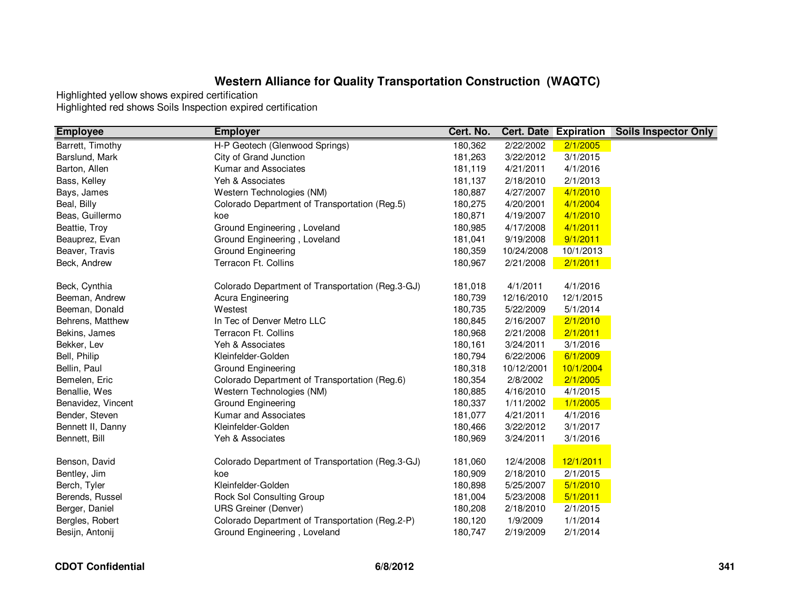| <b>Employee</b>    | <b>Employer</b>                                  | Cert. No. |            | <b>Cert. Date Expiration</b> | <b>Soils Inspector Only</b> |
|--------------------|--------------------------------------------------|-----------|------------|------------------------------|-----------------------------|
| Barrett, Timothy   | H-P Geotech (Glenwood Springs)                   | 180,362   | 2/22/2002  | 2/1/2005                     |                             |
| Barslund, Mark     | City of Grand Junction                           | 181,263   | 3/22/2012  | 3/1/2015                     |                             |
| Barton, Allen      | Kumar and Associates                             | 181,119   | 4/21/2011  | 4/1/2016                     |                             |
| Bass, Kelley       | Yeh & Associates                                 | 181,137   | 2/18/2010  | 2/1/2013                     |                             |
| Bays, James        | Western Technologies (NM)                        | 180,887   | 4/27/2007  | 4/1/2010                     |                             |
| Beal, Billy        | Colorado Department of Transportation (Reg.5)    | 180,275   | 4/20/2001  | 4/1/2004                     |                             |
| Beas, Guillermo    | koe                                              | 180,871   | 4/19/2007  | 4/1/2010                     |                             |
| Beattie, Troy      | Ground Engineering, Loveland                     | 180,985   | 4/17/2008  | 4/1/2011                     |                             |
| Beauprez, Evan     | Ground Engineering, Loveland                     | 181,041   | 9/19/2008  | 9/1/2011                     |                             |
| Beaver, Travis     | Ground Engineering                               | 180,359   | 10/24/2008 | 10/1/2013                    |                             |
| Beck, Andrew       | Terracon Ft. Collins                             | 180,967   | 2/21/2008  | 2/1/2011                     |                             |
| Beck, Cynthia      | Colorado Department of Transportation (Reg.3-GJ) | 181,018   | 4/1/2011   | 4/1/2016                     |                             |
| Beeman, Andrew     | Acura Engineering                                | 180,739   | 12/16/2010 | 12/1/2015                    |                             |
| Beeman, Donald     | Westest                                          | 180,735   | 5/22/2009  | 5/1/2014                     |                             |
| Behrens, Matthew   | In Tec of Denver Metro LLC                       | 180,845   | 2/16/2007  | 2/1/2010                     |                             |
| Bekins, James      | Terracon Ft. Collins                             | 180,968   | 2/21/2008  | 2/1/2011                     |                             |
| Bekker, Lev        | Yeh & Associates                                 | 180,161   | 3/24/2011  | 3/1/2016                     |                             |
| Bell, Philip       | Kleinfelder-Golden                               | 180,794   | 6/22/2006  | 6/1/2009                     |                             |
| Bellin, Paul       | Ground Engineering                               | 180,318   | 10/12/2001 | 10/1/2004                    |                             |
| Bemelen, Eric      | Colorado Department of Transportation (Reg.6)    | 180,354   | 2/8/2002   | 2/1/2005                     |                             |
| Benallie, Wes      | Western Technologies (NM)                        | 180,885   | 4/16/2010  | 4/1/2015                     |                             |
| Benavidez, Vincent | Ground Engineering                               | 180,337   | 1/11/2002  | 1/1/2005                     |                             |
| Bender, Steven     | Kumar and Associates                             | 181,077   | 4/21/2011  | 4/1/2016                     |                             |
| Bennett II, Danny  | Kleinfelder-Golden                               | 180,466   | 3/22/2012  | 3/1/2017                     |                             |
| Bennett, Bill      | Yeh & Associates                                 | 180,969   | 3/24/2011  | 3/1/2016                     |                             |
| Benson, David      | Colorado Department of Transportation (Reg.3-GJ) | 181,060   | 12/4/2008  | 12/1/2011                    |                             |
| Bentley, Jim       | koe                                              | 180,909   | 2/18/2010  | 2/1/2015                     |                             |
| Berch, Tyler       | Kleinfelder-Golden                               | 180,898   | 5/25/2007  | 5/1/2010                     |                             |
| Berends, Russel    | Rock Sol Consulting Group                        | 181,004   | 5/23/2008  | 5/1/2011                     |                             |
| Berger, Daniel     | <b>URS Greiner (Denver)</b>                      | 180,208   | 2/18/2010  | 2/1/2015                     |                             |
| Bergles, Robert    | Colorado Department of Transportation (Reg.2-P)  | 180,120   | 1/9/2009   | 1/1/2014                     |                             |
| Besijn, Antonij    | Ground Engineering, Loveland                     | 180,747   | 2/19/2009  | 2/1/2014                     |                             |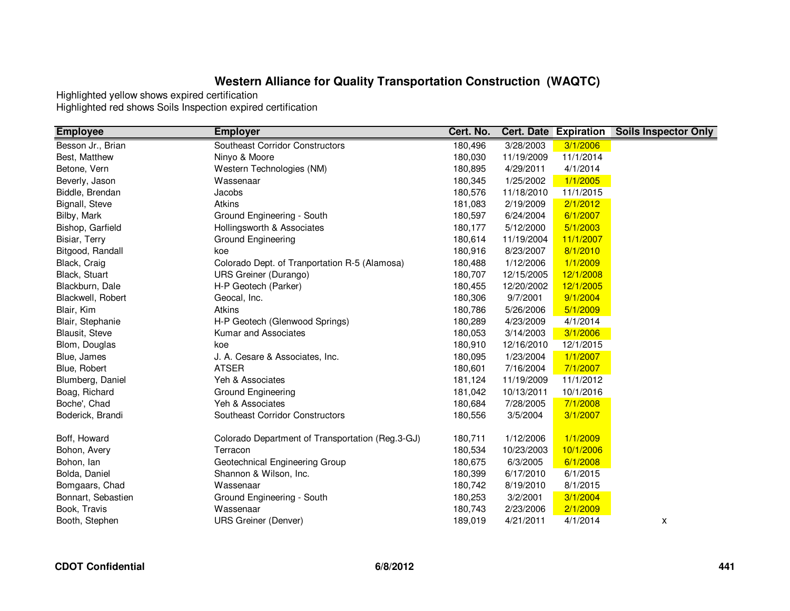| <b>Employee</b>    | <b>Employer</b>                                  | Cert. No. |            | <b>Cert. Date Expiration</b> | <b>Soils Inspector Only</b> |
|--------------------|--------------------------------------------------|-----------|------------|------------------------------|-----------------------------|
| Besson Jr., Brian  | <b>Southeast Corridor Constructors</b>           | 180,496   | 3/28/2003  | 3/1/2006                     |                             |
| Best, Matthew      | Ninyo & Moore                                    | 180,030   | 11/19/2009 | 11/1/2014                    |                             |
| Betone, Vern       | Western Technologies (NM)                        | 180,895   | 4/29/2011  | 4/1/2014                     |                             |
| Beverly, Jason     | Wassenaar                                        | 180,345   | 1/25/2002  | 1/1/2005                     |                             |
| Biddle, Brendan    | Jacobs                                           | 180,576   | 11/18/2010 | 11/1/2015                    |                             |
| Bignall, Steve     | Atkins                                           | 181,083   | 2/19/2009  | 2/1/2012                     |                             |
| Bilby, Mark        | Ground Engineering - South                       | 180,597   | 6/24/2004  | 6/1/2007                     |                             |
| Bishop, Garfield   | Hollingsworth & Associates                       | 180,177   | 5/12/2000  | 5/1/2003                     |                             |
| Bisiar, Terry      | <b>Ground Engineering</b>                        | 180,614   | 11/19/2004 | 11/1/2007                    |                             |
| Bitgood, Randall   | koe                                              | 180,916   | 8/23/2007  | 8/1/2010                     |                             |
| Black, Craig       | Colorado Dept. of Tranportation R-5 (Alamosa)    | 180,488   | 1/12/2006  | 1/1/2009                     |                             |
| Black, Stuart      | <b>URS Greiner (Durango)</b>                     | 180,707   | 12/15/2005 | 12/1/2008                    |                             |
| Blackburn, Dale    | H-P Geotech (Parker)                             | 180,455   | 12/20/2002 | 12/1/2005                    |                             |
| Blackwell, Robert  | Geocal, Inc.                                     | 180,306   | 9/7/2001   | 9/1/2004                     |                             |
| Blair, Kim         | Atkins                                           | 180,786   | 5/26/2006  | 5/1/2009                     |                             |
| Blair, Stephanie   | H-P Geotech (Glenwood Springs)                   | 180,289   | 4/23/2009  | 4/1/2014                     |                             |
| Blausit, Steve     | Kumar and Associates                             | 180,053   | 3/14/2003  | 3/1/2006                     |                             |
| Blom, Douglas      | koe                                              | 180,910   | 12/16/2010 | 12/1/2015                    |                             |
| Blue, James        | J. A. Cesare & Associates, Inc.                  | 180,095   | 1/23/2004  | 1/1/2007                     |                             |
| Blue, Robert       | <b>ATSER</b>                                     | 180,601   | 7/16/2004  | 7/1/2007                     |                             |
| Blumberg, Daniel   | Yeh & Associates                                 | 181,124   | 11/19/2009 | 11/1/2012                    |                             |
| Boag, Richard      | Ground Engineering                               | 181,042   | 10/13/2011 | 10/1/2016                    |                             |
| Boche', Chad       | Yeh & Associates                                 | 180,684   | 7/28/2005  | 7/1/2008                     |                             |
| Boderick, Brandi   | Southeast Corridor Constructors                  | 180,556   | 3/5/2004   | 3/1/2007                     |                             |
|                    |                                                  |           |            |                              |                             |
| Boff, Howard       | Colorado Department of Transportation (Reg.3-GJ) | 180,711   | 1/12/2006  | 1/1/2009                     |                             |
| Bohon, Avery       | Terracon                                         | 180,534   | 10/23/2003 | 10/1/2006                    |                             |
| Bohon, lan         | Geotechnical Engineering Group                   | 180,675   | 6/3/2005   | 6/1/2008                     |                             |
| Bolda, Daniel      | Shannon & Wilson, Inc.                           | 180,399   | 6/17/2010  | 6/1/2015                     |                             |
| Bomgaars, Chad     | Wassenaar                                        | 180,742   | 8/19/2010  | 8/1/2015                     |                             |
| Bonnart, Sebastien | Ground Engineering - South                       | 180,253   | 3/2/2001   | 3/1/2004                     |                             |
| Book, Travis       | Wassenaar                                        | 180,743   | 2/23/2006  | 2/1/2009                     |                             |
| Booth, Stephen     | <b>URS Greiner (Denver)</b>                      | 189,019   | 4/21/2011  | 4/1/2014                     | X                           |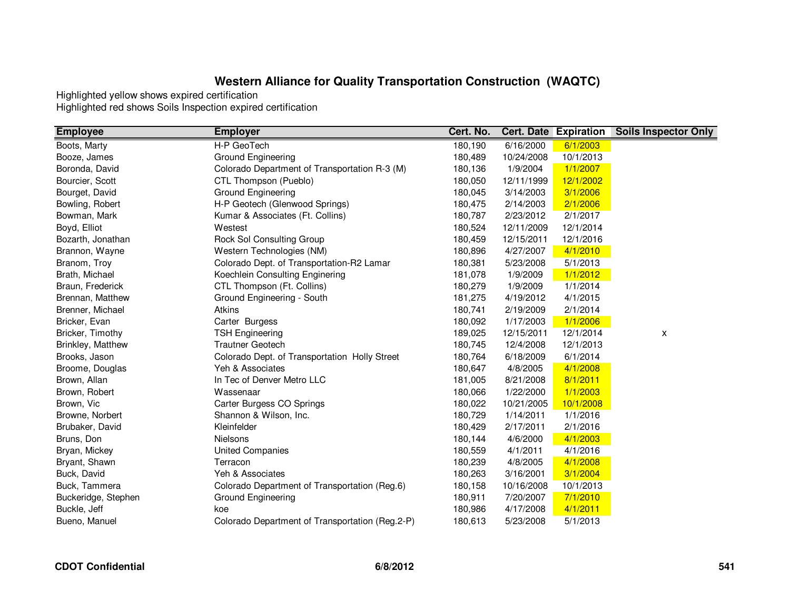| <b>Employee</b>     | <b>Employer</b>                                 | Cert. No. | <b>Cert. Date Expiration</b> |           | <b>Soils Inspector Only</b> |
|---------------------|-------------------------------------------------|-----------|------------------------------|-----------|-----------------------------|
| Boots, Marty        | H-P GeoTech                                     | 180,190   | 6/16/2000                    | 6/1/2003  |                             |
| Booze, James        | <b>Ground Engineering</b>                       | 180,489   | 10/24/2008                   | 10/1/2013 |                             |
| Boronda, David      | Colorado Department of Transportation R-3 (M)   | 180,136   | 1/9/2004                     | 1/1/2007  |                             |
| Bourcier, Scott     | CTL Thompson (Pueblo)                           | 180,050   | 12/11/1999                   | 12/1/2002 |                             |
| Bourget, David      | Ground Engineering                              | 180,045   | 3/14/2003                    | 3/1/2006  |                             |
| Bowling, Robert     | H-P Geotech (Glenwood Springs)                  | 180,475   | 2/14/2003                    | 2/1/2006  |                             |
| Bowman, Mark        | Kumar & Associates (Ft. Collins)                | 180,787   | 2/23/2012                    | 2/1/2017  |                             |
| Boyd, Elliot        | Westest                                         | 180,524   | 12/11/2009                   | 12/1/2014 |                             |
| Bozarth, Jonathan   | Rock Sol Consulting Group                       | 180,459   | 12/15/2011                   | 12/1/2016 |                             |
| Brannon, Wayne      | Western Technologies (NM)                       | 180,896   | 4/27/2007                    | 4/1/2010  |                             |
| Branom, Troy        | Colorado Dept. of Transportation-R2 Lamar       | 180,381   | 5/23/2008                    | 5/1/2013  |                             |
| Brath, Michael      | Koechlein Consulting Enginering                 | 181,078   | 1/9/2009                     | 1/1/2012  |                             |
| Braun, Frederick    | CTL Thompson (Ft. Collins)                      | 180,279   | 1/9/2009                     | 1/1/2014  |                             |
| Brennan, Matthew    | Ground Engineering - South                      | 181,275   | 4/19/2012                    | 4/1/2015  |                             |
| Brenner, Michael    | Atkins                                          | 180,741   | 2/19/2009                    | 2/1/2014  |                             |
| Bricker, Evan       | Carter Burgess                                  | 180,092   | 1/17/2003                    | 1/1/2006  |                             |
| Bricker, Timothy    | <b>TSH Engineering</b>                          | 189,025   | 12/15/2011                   | 12/1/2014 | X                           |
| Brinkley, Matthew   | <b>Trautner Geotech</b>                         | 180,745   | 12/4/2008                    | 12/1/2013 |                             |
| Brooks, Jason       | Colorado Dept. of Transportation Holly Street   | 180,764   | 6/18/2009                    | 6/1/2014  |                             |
| Broome, Douglas     | Yeh & Associates                                | 180,647   | 4/8/2005                     | 4/1/2008  |                             |
| Brown, Allan        | In Tec of Denver Metro LLC                      | 181,005   | 8/21/2008                    | 8/1/2011  |                             |
| Brown, Robert       | Wassenaar                                       | 180,066   | 1/22/2000                    | 1/1/2003  |                             |
| Brown, Vic          | Carter Burgess CO Springs                       | 180,022   | 10/21/2005                   | 10/1/2008 |                             |
| Browne, Norbert     | Shannon & Wilson, Inc.                          | 180,729   | 1/14/2011                    | 1/1/2016  |                             |
| Brubaker, David     | Kleinfelder                                     | 180,429   | 2/17/2011                    | 2/1/2016  |                             |
| Bruns, Don          | <b>Nielsons</b>                                 | 180,144   | 4/6/2000                     | 4/1/2003  |                             |
| Bryan, Mickey       | <b>United Companies</b>                         | 180,559   | 4/1/2011                     | 4/1/2016  |                             |
| Bryant, Shawn       | Terracon                                        | 180,239   | 4/8/2005                     | 4/1/2008  |                             |
| Buck, David         | Yeh & Associates                                | 180,263   | 3/16/2001                    | 3/1/2004  |                             |
| Buck, Tammera       | Colorado Department of Transportation (Reg.6)   | 180,158   | 10/16/2008                   | 10/1/2013 |                             |
| Buckeridge, Stephen | Ground Engineering                              | 180,911   | 7/20/2007                    | 7/1/2010  |                             |
| Buckle, Jeff        | koe                                             | 180,986   | 4/17/2008                    | 4/1/2011  |                             |
| Bueno, Manuel       | Colorado Department of Transportation (Reg.2-P) | 180,613   | 5/23/2008                    | 5/1/2013  |                             |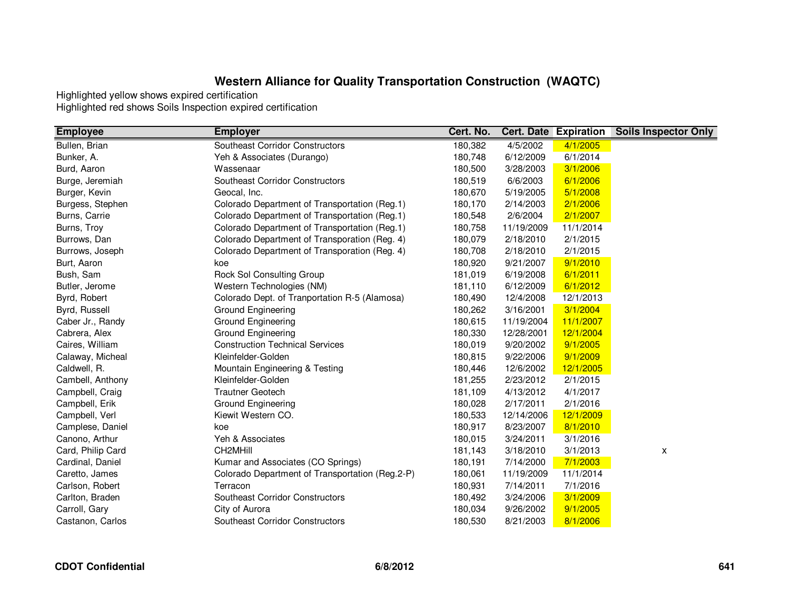| <b>Employee</b>   | <b>Employer</b>                                 | Cert. No. |            | <b>Cert. Date Expiration</b> | <b>Soils Inspector Only</b> |
|-------------------|-------------------------------------------------|-----------|------------|------------------------------|-----------------------------|
| Bullen, Brian     | Southeast Corridor Constructors                 | 180,382   | 4/5/2002   | 4/1/2005                     |                             |
| Bunker, A.        | Yeh & Associates (Durango)                      | 180,748   | 6/12/2009  | 6/1/2014                     |                             |
| Burd, Aaron       | Wassenaar                                       | 180,500   | 3/28/2003  | 3/1/2006                     |                             |
| Burge, Jeremiah   | Southeast Corridor Constructors                 | 180,519   | 6/6/2003   | 6/1/2006                     |                             |
| Burger, Kevin     | Geocal, Inc.                                    | 180,670   | 5/19/2005  | 5/1/2008                     |                             |
| Burgess, Stephen  | Colorado Department of Transportation (Reg.1)   | 180,170   | 2/14/2003  | 2/1/2006                     |                             |
| Burns, Carrie     | Colorado Department of Transportation (Reg.1)   | 180,548   | 2/6/2004   | 2/1/2007                     |                             |
| Burns, Troy       | Colorado Department of Transportation (Reg.1)   | 180,758   | 11/19/2009 | 11/1/2014                    |                             |
| Burrows, Dan      | Colorado Department of Transporation (Reg. 4)   | 180,079   | 2/18/2010  | 2/1/2015                     |                             |
| Burrows, Joseph   | Colorado Department of Transporation (Reg. 4)   | 180,708   | 2/18/2010  | 2/1/2015                     |                             |
| Burt, Aaron       | koe                                             | 180,920   | 9/21/2007  | 9/1/2010                     |                             |
| Bush, Sam         | Rock Sol Consulting Group                       | 181,019   | 6/19/2008  | 6/1/2011                     |                             |
| Butler, Jerome    | Western Technologies (NM)                       | 181,110   | 6/12/2009  | 6/1/2012                     |                             |
| Byrd, Robert      | Colorado Dept. of Tranportation R-5 (Alamosa)   | 180,490   | 12/4/2008  | 12/1/2013                    |                             |
| Byrd, Russell     | Ground Engineering                              | 180,262   | 3/16/2001  | 3/1/2004                     |                             |
| Caber Jr., Randy  | Ground Engineering                              | 180,615   | 11/19/2004 | 11/1/2007                    |                             |
| Cabrera, Alex     | Ground Engineering                              | 180,330   | 12/28/2001 | 12/1/2004                    |                             |
| Caires, William   | <b>Construction Technical Services</b>          | 180,019   | 9/20/2002  | 9/1/2005                     |                             |
| Calaway, Micheal  | Kleinfelder-Golden                              | 180,815   | 9/22/2006  | 9/1/2009                     |                             |
| Caldwell, R.      | Mountain Engineering & Testing                  | 180,446   | 12/6/2002  | 12/1/2005                    |                             |
| Cambell, Anthony  | Kleinfelder-Golden                              | 181,255   | 2/23/2012  | 2/1/2015                     |                             |
| Campbell, Craig   | <b>Trautner Geotech</b>                         | 181,109   | 4/13/2012  | 4/1/2017                     |                             |
| Campbell, Erik    | Ground Engineering                              | 180,028   | 2/17/2011  | 2/1/2016                     |                             |
| Campbell, Verl    | Kiewit Western CO.                              | 180,533   | 12/14/2006 | 12/1/2009                    |                             |
| Camplese, Daniel  | koe                                             | 180,917   | 8/23/2007  | 8/1/2010                     |                             |
| Canono, Arthur    | Yeh & Associates                                | 180,015   | 3/24/2011  | 3/1/2016                     |                             |
| Card, Philip Card | CH2MHill                                        | 181,143   | 3/18/2010  | 3/1/2013                     | x                           |
| Cardinal, Daniel  | Kumar and Associates (CO Springs)               | 180,191   | 7/14/2000  | 7/1/2003                     |                             |
| Caretto, James    | Colorado Department of Transportation (Reg.2-P) | 180,061   | 11/19/2009 | 11/1/2014                    |                             |
| Carlson, Robert   | Terracon                                        | 180,931   | 7/14/2011  | 7/1/2016                     |                             |
| Carlton, Braden   | Southeast Corridor Constructors                 | 180,492   | 3/24/2006  | 3/1/2009                     |                             |
| Carroll, Gary     | City of Aurora                                  | 180,034   | 9/26/2002  | 9/1/2005                     |                             |
| Castanon, Carlos  | Southeast Corridor Constructors                 | 180,530   | 8/21/2003  | 8/1/2006                     |                             |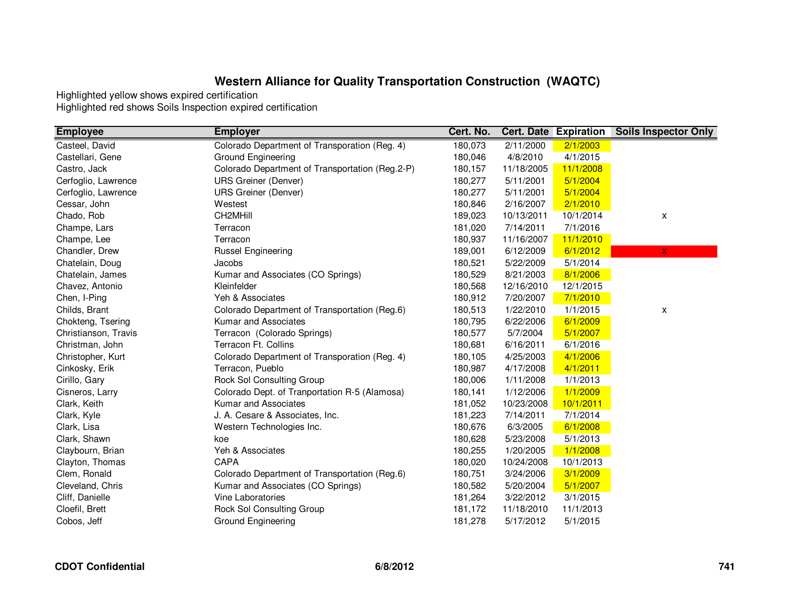| <b>Employee</b>      | <b>Employer</b>                                 | Cert. No. |            | <b>Cert. Date Expiration</b> | <b>Soils Inspector Only</b> |
|----------------------|-------------------------------------------------|-----------|------------|------------------------------|-----------------------------|
| Casteel, David       | Colorado Department of Transporation (Reg. 4)   | 180,073   | 2/11/2000  | 2/1/2003                     |                             |
| Castellari, Gene     | Ground Engineering                              | 180,046   | 4/8/2010   | 4/1/2015                     |                             |
| Castro, Jack         | Colorado Department of Transportation (Reg.2-P) | 180,157   | 11/18/2005 | 11/1/2008                    |                             |
| Cerfoglio, Lawrence  | <b>URS Greiner (Denver)</b>                     | 180,277   | 5/11/2001  | 5/1/2004                     |                             |
| Cerfoglio, Lawrence  | <b>URS Greiner (Denver)</b>                     | 180,277   | 5/11/2001  | 5/1/2004                     |                             |
| Cessar, John         | Westest                                         | 180,846   | 2/16/2007  | 2/1/2010                     |                             |
| Chado, Rob           | CH2MHill                                        | 189,023   | 10/13/2011 | 10/1/2014                    | X                           |
| Champe, Lars         | Terracon                                        | 181,020   | 7/14/2011  | 7/1/2016                     |                             |
| Champe, Lee          | Terracon                                        | 180,937   | 11/16/2007 | 11/1/2010                    |                             |
| Chandler, Drew       | <b>Russel Engineering</b>                       | 189,001   | 6/12/2009  | 6/1/2012                     | $\overline{\mathsf{x}}$     |
| Chatelain, Doug      | Jacobs                                          | 180,521   | 5/22/2009  | 5/1/2014                     |                             |
| Chatelain, James     | Kumar and Associates (CO Springs)               | 180,529   | 8/21/2003  | 8/1/2006                     |                             |
| Chavez, Antonio      | Kleinfelder                                     | 180,568   | 12/16/2010 | 12/1/2015                    |                             |
| Chen, I-Ping         | Yeh & Associates                                | 180,912   | 7/20/2007  | 7/1/2010                     |                             |
| Childs, Brant        | Colorado Department of Transportation (Reg.6)   | 180,513   | 1/22/2010  | 1/1/2015                     | x                           |
| Chokteng, Tsering    | Kumar and Associates                            | 180,795   | 6/22/2006  | 6/1/2009                     |                             |
| Christianson, Travis | Terracon (Colorado Springs)                     | 180,577   | 5/7/2004   | 5/1/2007                     |                             |
| Christman, John      | Terracon Ft. Collins                            | 180,681   | 6/16/2011  | 6/1/2016                     |                             |
| Christopher, Kurt    | Colorado Department of Transporation (Reg. 4)   | 180,105   | 4/25/2003  | 4/1/2006                     |                             |
| Cinkosky, Erik       | Terracon, Pueblo                                | 180,987   | 4/17/2008  | 4/1/2011                     |                             |
| Cirillo, Gary        | Rock Sol Consulting Group                       | 180,006   | 1/11/2008  | 1/1/2013                     |                             |
| Cisneros, Larry      | Colorado Dept. of Tranportation R-5 (Alamosa)   | 180,141   | 1/12/2006  | 1/1/2009                     |                             |
| Clark, Keith         | Kumar and Associates                            | 181,052   | 10/23/2008 | 10/1/2011                    |                             |
| Clark, Kyle          | J. A. Cesare & Associates, Inc.                 | 181,223   | 7/14/2011  | 7/1/2014                     |                             |
| Clark, Lisa          | Western Technologies Inc.                       | 180,676   | 6/3/2005   | 6/1/2008                     |                             |
| Clark, Shawn         | koe                                             | 180,628   | 5/23/2008  | 5/1/2013                     |                             |
| Claybourn, Brian     | Yeh & Associates                                | 180,255   | 1/20/2005  | 1/1/2008                     |                             |
| Clayton, Thomas      | CAPA                                            | 180,020   | 10/24/2008 | 10/1/2013                    |                             |
| Clem, Ronald         | Colorado Department of Transportation (Reg.6)   | 180,751   | 3/24/2006  | 3/1/2009                     |                             |
| Cleveland, Chris     | Kumar and Associates (CO Springs)               | 180,582   | 5/20/2004  | 5/1/2007                     |                             |
| Cliff, Danielle      | Vine Laboratories                               | 181,264   | 3/22/2012  | 3/1/2015                     |                             |
| Cloefil, Brett       | Rock Sol Consulting Group                       | 181,172   | 11/18/2010 | 11/1/2013                    |                             |
| Cobos, Jeff          | Ground Engineering                              | 181,278   | 5/17/2012  | 5/1/2015                     |                             |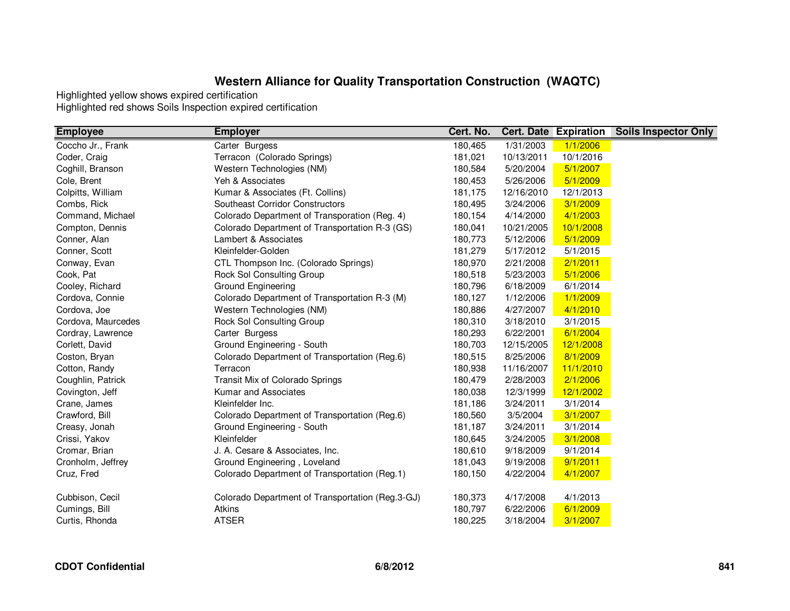| <b>Employee</b>    | <b>Employer</b>                                  | Cert. No. |            | <b>Cert. Date Expiration</b> | <b>Soils Inspector Only</b> |
|--------------------|--------------------------------------------------|-----------|------------|------------------------------|-----------------------------|
| Coccho Jr., Frank  | Carter Burgess                                   | 180,465   | 1/31/2003  | 1/1/2006                     |                             |
| Coder, Craig       | Terracon (Colorado Springs)                      | 181,021   | 10/13/2011 | 10/1/2016                    |                             |
| Coghill, Branson   | Western Technologies (NM)                        | 180,584   | 5/20/2004  | 5/1/2007                     |                             |
| Cole, Brent        | Yeh & Associates                                 | 180,453   | 5/26/2006  | 5/1/2009                     |                             |
| Colpitts, William  | Kumar & Associates (Ft. Collins)                 | 181,175   | 12/16/2010 | 12/1/2013                    |                             |
| Combs, Rick        | <b>Southeast Corridor Constructors</b>           | 180,495   | 3/24/2006  | 3/1/2009                     |                             |
| Command, Michael   | Colorado Department of Transporation (Reg. 4)    | 180,154   | 4/14/2000  | 4/1/2003                     |                             |
| Compton, Dennis    | Colorado Department of Transportation R-3 (GS)   | 180,041   | 10/21/2005 | 10/1/2008                    |                             |
| Conner, Alan       | Lambert & Associates                             | 180,773   | 5/12/2006  | 5/1/2009                     |                             |
| Conner, Scott      | Kleinfelder-Golden                               | 181,279   | 5/17/2012  | 5/1/2015                     |                             |
| Conway, Evan       | CTL Thompson Inc. (Colorado Springs)             | 180,970   | 2/21/2008  | 2/1/2011                     |                             |
| Cook, Pat          | Rock Sol Consulting Group                        | 180,518   | 5/23/2003  | 5/1/2006                     |                             |
| Cooley, Richard    | <b>Ground Engineering</b>                        | 180,796   | 6/18/2009  | 6/1/2014                     |                             |
| Cordova, Connie    | Colorado Department of Transportation R-3 (M)    | 180,127   | 1/12/2006  | 1/1/2009                     |                             |
| Cordova, Joe       | Western Technologies (NM)                        | 180,886   | 4/27/2007  | 4/1/2010                     |                             |
| Cordova, Maurcedes | Rock Sol Consulting Group                        | 180,310   | 3/18/2010  | 3/1/2015                     |                             |
| Cordray, Lawrence  | Carter Burgess                                   | 180,293   | 6/22/2001  | 6/1/2004                     |                             |
| Corlett, David     | Ground Engineering - South                       | 180,703   | 12/15/2005 | 12/1/2008                    |                             |
| Coston, Bryan      | Colorado Department of Transportation (Reg.6)    | 180,515   | 8/25/2006  | 8/1/2009                     |                             |
| Cotton, Randy      | Terracon                                         | 180,938   | 11/16/2007 | 11/1/2010                    |                             |
| Coughlin, Patrick  | Transit Mix of Colorado Springs                  | 180,479   | 2/28/2003  | 2/1/2006                     |                             |
| Covington, Jeff    | Kumar and Associates                             | 180,038   | 12/3/1999  | 12/1/2002                    |                             |
| Crane, James       | Kleinfelder Inc.                                 | 181,186   | 3/24/2011  | 3/1/2014                     |                             |
| Crawford, Bill     | Colorado Department of Transportation (Reg.6)    | 180,560   | 3/5/2004   | 3/1/2007                     |                             |
| Creasy, Jonah      | Ground Engineering - South                       | 181,187   | 3/24/2011  | 3/1/2014                     |                             |
| Crissi, Yakov      | Kleinfelder                                      | 180,645   | 3/24/2005  | 3/1/2008                     |                             |
| Cromar, Brian      | J. A. Cesare & Associates, Inc.                  | 180,610   | 9/18/2009  | 9/1/2014                     |                             |
| Cronholm, Jeffrey  | Ground Engineering, Loveland                     | 181,043   | 9/19/2008  | 9/1/2011                     |                             |
| Cruz, Fred         | Colorado Department of Transportation (Reg.1)    | 180,150   | 4/22/2004  | 4/1/2007                     |                             |
| Cubbison, Cecil    | Colorado Department of Transportation (Reg.3-GJ) | 180,373   | 4/17/2008  | 4/1/2013                     |                             |
| Cumings, Bill      | Atkins                                           | 180,797   | 6/22/2006  | 6/1/2009                     |                             |
| Curtis, Rhonda     | <b>ATSER</b>                                     | 180,225   | 3/18/2004  | 3/1/2007                     |                             |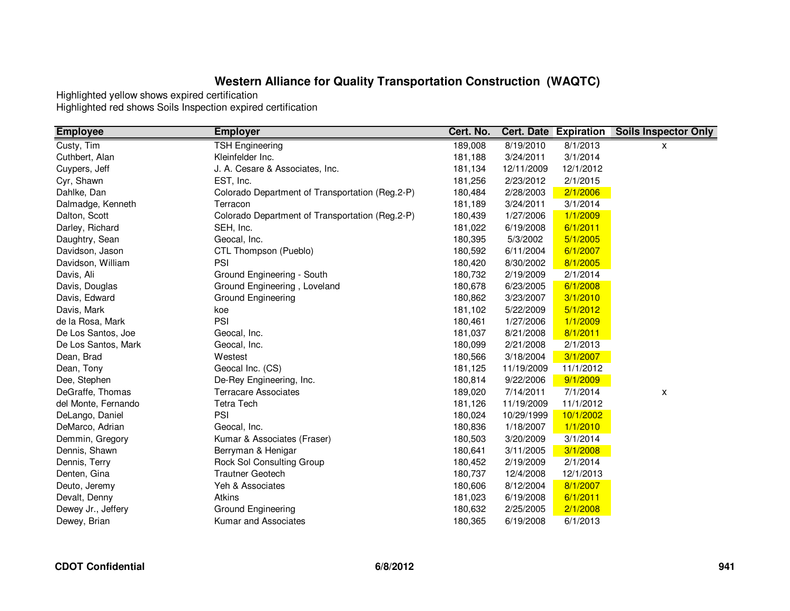| <b>Employee</b>     | <b>Employer</b>                                 | Cert. No. |            | <b>Cert. Date Expiration</b> | <b>Soils Inspector Only</b> |
|---------------------|-------------------------------------------------|-----------|------------|------------------------------|-----------------------------|
| Custy, Tim          | <b>TSH Engineering</b>                          | 189,008   | 8/19/2010  | 8/1/2013                     | x                           |
| Cuthbert, Alan      | Kleinfelder Inc.                                | 181,188   | 3/24/2011  | 3/1/2014                     |                             |
| Cuypers, Jeff       | J. A. Cesare & Associates, Inc.                 | 181,134   | 12/11/2009 | 12/1/2012                    |                             |
| Cyr, Shawn          | EST, Inc.                                       | 181,256   | 2/23/2012  | 2/1/2015                     |                             |
| Dahlke, Dan         | Colorado Department of Transportation (Reg.2-P) | 180,484   | 2/28/2003  | 2/1/2006                     |                             |
| Dalmadge, Kenneth   | Terracon                                        | 181,189   | 3/24/2011  | 3/1/2014                     |                             |
| Dalton, Scott       | Colorado Department of Transportation (Reg.2-P) | 180,439   | 1/27/2006  | 1/1/2009                     |                             |
| Darley, Richard     | SEH, Inc.                                       | 181,022   | 6/19/2008  | 6/1/2011                     |                             |
| Daughtry, Sean      | Geocal, Inc.                                    | 180,395   | 5/3/2002   | 5/1/2005                     |                             |
| Davidson, Jason     | CTL Thompson (Pueblo)                           | 180,592   | 6/11/2004  | 6/1/2007                     |                             |
| Davidson, William   | PSI                                             | 180,420   | 8/30/2002  | 8/1/2005                     |                             |
| Davis, Ali          | Ground Engineering - South                      | 180,732   | 2/19/2009  | 2/1/2014                     |                             |
| Davis, Douglas      | Ground Engineering, Loveland                    | 180,678   | 6/23/2005  | 6/1/2008                     |                             |
| Davis, Edward       | Ground Engineering                              | 180,862   | 3/23/2007  | 3/1/2010                     |                             |
| Davis, Mark         | koe                                             | 181,102   | 5/22/2009  | 5/1/2012                     |                             |
| de la Rosa, Mark    | PSI                                             | 180,461   | 1/27/2006  | 1/1/2009                     |                             |
| De Los Santos, Joe  | Geocal, Inc.                                    | 181,037   | 8/21/2008  | 8/1/2011                     |                             |
| De Los Santos, Mark | Geocal, Inc.                                    | 180,099   | 2/21/2008  | 2/1/2013                     |                             |
| Dean, Brad          | Westest                                         | 180,566   | 3/18/2004  | 3/1/2007                     |                             |
| Dean, Tony          | Geocal Inc. (CS)                                | 181,125   | 11/19/2009 | 11/1/2012                    |                             |
| Dee, Stephen        | De-Rey Engineering, Inc.                        | 180,814   | 9/22/2006  | 9/1/2009                     |                             |
| DeGraffe, Thomas    | <b>Terracare Associates</b>                     | 189,020   | 7/14/2011  | 7/1/2014                     | x                           |
| del Monte, Fernando | <b>Tetra Tech</b>                               | 181,126   | 11/19/2009 | 11/1/2012                    |                             |
| DeLango, Daniel     | PSI                                             | 180,024   | 10/29/1999 | 10/1/2002                    |                             |
| DeMarco, Adrian     | Geocal, Inc.                                    | 180,836   | 1/18/2007  | 1/1/2010                     |                             |
| Demmin, Gregory     | Kumar & Associates (Fraser)                     | 180,503   | 3/20/2009  | 3/1/2014                     |                             |
| Dennis, Shawn       | Berryman & Henigar                              | 180,641   | 3/11/2005  | 3/1/2008                     |                             |
| Dennis, Terry       | Rock Sol Consulting Group                       | 180,452   | 2/19/2009  | 2/1/2014                     |                             |
| Denten, Gina        | <b>Trautner Geotech</b>                         | 180,737   | 12/4/2008  | 12/1/2013                    |                             |
| Deuto, Jeremy       | Yeh & Associates                                | 180,606   | 8/12/2004  | 8/1/2007                     |                             |
| Devalt, Denny       | Atkins                                          | 181,023   | 6/19/2008  | 6/1/2011                     |                             |
| Dewey Jr., Jeffery  | Ground Engineering                              | 180,632   | 2/25/2005  | 2/1/2008                     |                             |
| Dewey, Brian        | Kumar and Associates                            | 180,365   | 6/19/2008  | 6/1/2013                     |                             |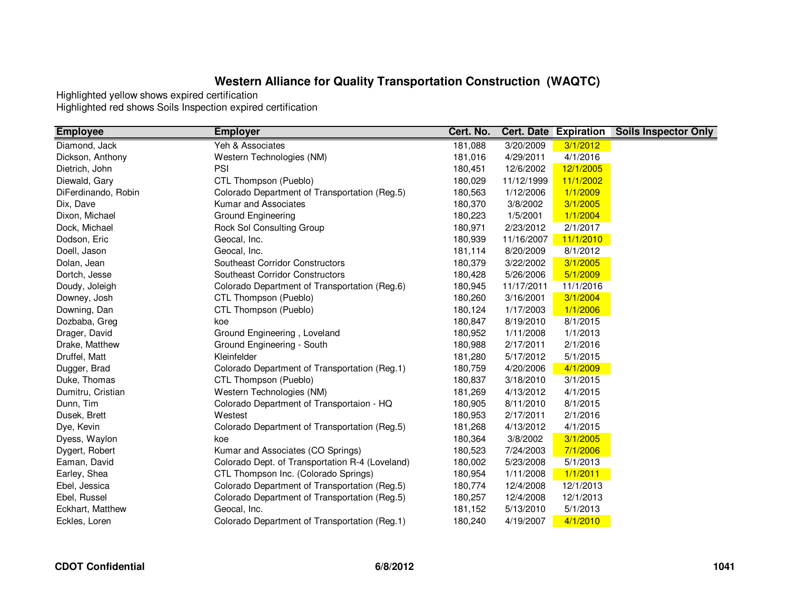| <b>Employee</b>     | <b>Employer</b>                                 | Cert. No. |            | <b>Cert. Date Expiration</b> | <b>Soils Inspector Only</b> |
|---------------------|-------------------------------------------------|-----------|------------|------------------------------|-----------------------------|
| Diamond, Jack       | Yeh & Associates                                | 181,088   | 3/20/2009  | 3/1/2012                     |                             |
| Dickson, Anthony    | Western Technologies (NM)                       | 181,016   | 4/29/2011  | 4/1/2016                     |                             |
| Dietrich, John      | PSI                                             | 180,451   | 12/6/2002  | 12/1/2005                    |                             |
| Diewald, Gary       | CTL Thompson (Pueblo)                           | 180,029   | 11/12/1999 | 11/1/2002                    |                             |
| DiFerdinando, Robin | Colorado Department of Transportation (Reg.5)   | 180,563   | 1/12/2006  | 1/1/2009                     |                             |
| Dix, Dave           | Kumar and Associates                            | 180,370   | 3/8/2002   | 3/1/2005                     |                             |
| Dixon, Michael      | Ground Engineering                              | 180,223   | 1/5/2001   | 1/1/2004                     |                             |
| Dock, Michael       | Rock Sol Consulting Group                       | 180,971   | 2/23/2012  | 2/1/2017                     |                             |
| Dodson, Eric        | Geocal, Inc.                                    | 180,939   | 11/16/2007 | 11/1/2010                    |                             |
| Doell, Jason        | Geocal, Inc.                                    | 181,114   | 8/20/2009  | 8/1/2012                     |                             |
| Dolan, Jean         | Southeast Corridor Constructors                 | 180,379   | 3/22/2002  | 3/1/2005                     |                             |
| Dortch, Jesse       | Southeast Corridor Constructors                 | 180,428   | 5/26/2006  | 5/1/2009                     |                             |
| Doudy, Joleigh      | Colorado Department of Transportation (Reg.6)   | 180,945   | 11/17/2011 | 11/1/2016                    |                             |
| Downey, Josh        | CTL Thompson (Pueblo)                           | 180,260   | 3/16/2001  | 3/1/2004                     |                             |
| Downing, Dan        | CTL Thompson (Pueblo)                           | 180,124   | 1/17/2003  | 1/1/2006                     |                             |
| Dozbaba, Greg       | koe                                             | 180,847   | 8/19/2010  | 8/1/2015                     |                             |
| Drager, David       | Ground Engineering, Loveland                    | 180,952   | 1/11/2008  | 1/1/2013                     |                             |
| Drake, Matthew      | Ground Engineering - South                      | 180,988   | 2/17/2011  | 2/1/2016                     |                             |
| Druffel, Matt       | Kleinfelder                                     | 181,280   | 5/17/2012  | 5/1/2015                     |                             |
| Dugger, Brad        | Colorado Department of Transportation (Reg.1)   | 180,759   | 4/20/2006  | 4/1/2009                     |                             |
| Duke, Thomas        | CTL Thompson (Pueblo)                           | 180,837   | 3/18/2010  | 3/1/2015                     |                             |
| Dumitru, Cristian   | Western Technologies (NM)                       | 181,269   | 4/13/2012  | 4/1/2015                     |                             |
| Dunn, Tim           | Colorado Department of Transportaion - HQ       | 180,905   | 8/11/2010  | 8/1/2015                     |                             |
| Dusek, Brett        | Westest                                         | 180,953   | 2/17/2011  | 2/1/2016                     |                             |
| Dye, Kevin          | Colorado Department of Transportation (Reg.5)   | 181,268   | 4/13/2012  | 4/1/2015                     |                             |
| Dyess, Waylon       | koe                                             | 180,364   | 3/8/2002   | 3/1/2005                     |                             |
| Dygert, Robert      | Kumar and Associates (CO Springs)               | 180,523   | 7/24/2003  | 7/1/2006                     |                             |
| Eaman, David        | Colorado Dept. of Transportation R-4 (Loveland) | 180,002   | 5/23/2008  | 5/1/2013                     |                             |
| Earley, Shea        | CTL Thompson Inc. (Colorado Springs)            | 180,954   | 1/11/2008  | 1/1/2011                     |                             |
| Ebel, Jessica       | Colorado Department of Transportation (Reg.5)   | 180,774   | 12/4/2008  | 12/1/2013                    |                             |
| Ebel, Russel        | Colorado Department of Transportation (Reg.5)   | 180,257   | 12/4/2008  | 12/1/2013                    |                             |
| Eckhart, Matthew    | Geocal, Inc.                                    | 181,152   | 5/13/2010  | 5/1/2013                     |                             |
| Eckles, Loren       | Colorado Department of Transportation (Reg.1)   | 180,240   | 4/19/2007  | 4/1/2010                     |                             |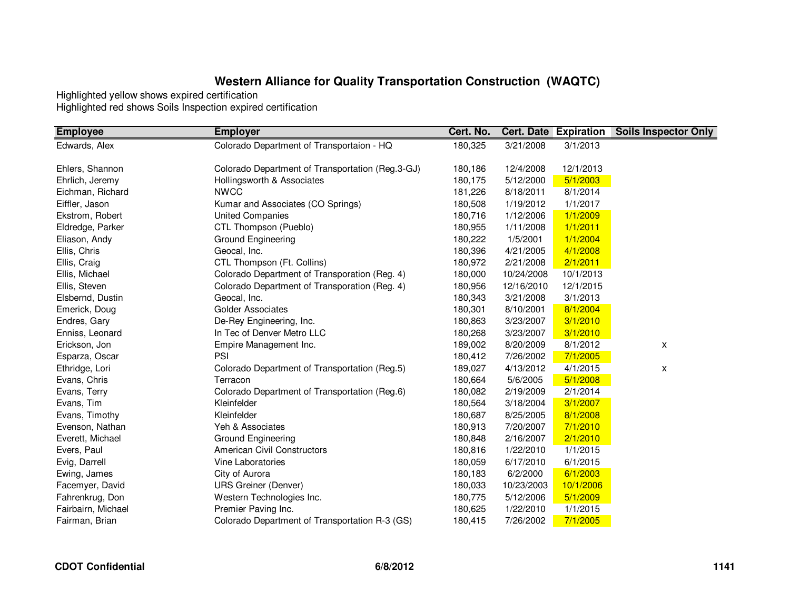| <b>Employee</b>    | <b>Employer</b>                                  | Cert. No. |            | <b>Cert. Date Expiration</b> | <b>Soils Inspector Only</b> |
|--------------------|--------------------------------------------------|-----------|------------|------------------------------|-----------------------------|
| Edwards, Alex      | Colorado Department of Transportaion - HQ        | 180,325   | 3/21/2008  | 3/1/2013                     |                             |
|                    |                                                  |           |            |                              |                             |
| Ehlers, Shannon    | Colorado Department of Transportation (Reg.3-GJ) | 180,186   | 12/4/2008  | 12/1/2013                    |                             |
| Ehrlich, Jeremy    | Hollingsworth & Associates                       | 180,175   | 5/12/2000  | 5/1/2003                     |                             |
| Eichman, Richard   | <b>NWCC</b>                                      | 181,226   | 8/18/2011  | 8/1/2014                     |                             |
| Eiffler, Jason     | Kumar and Associates (CO Springs)                | 180,508   | 1/19/2012  | 1/1/2017                     |                             |
| Ekstrom, Robert    | <b>United Companies</b>                          | 180,716   | 1/12/2006  | 1/1/2009                     |                             |
| Eldredge, Parker   | CTL Thompson (Pueblo)                            | 180,955   | 1/11/2008  | 1/1/2011                     |                             |
| Eliason, Andy      | Ground Engineering                               | 180,222   | 1/5/2001   | 1/1/2004                     |                             |
| Ellis, Chris       | Geocal, Inc.                                     | 180,396   | 4/21/2005  | 4/1/2008                     |                             |
| Ellis, Craig       | CTL Thompson (Ft. Collins)                       | 180,972   | 2/21/2008  | 2/1/2011                     |                             |
| Ellis, Michael     | Colorado Department of Transporation (Reg. 4)    | 180,000   | 10/24/2008 | 10/1/2013                    |                             |
| Ellis, Steven      | Colorado Department of Transporation (Reg. 4)    | 180,956   | 12/16/2010 | 12/1/2015                    |                             |
| Elsbernd, Dustin   | Geocal, Inc.                                     | 180,343   | 3/21/2008  | 3/1/2013                     |                             |
| Emerick, Doug      | Golder Associates                                | 180,301   | 8/10/2001  | 8/1/2004                     |                             |
| Endres, Gary       | De-Rey Engineering, Inc.                         | 180,863   | 3/23/2007  | 3/1/2010                     |                             |
| Enniss, Leonard    | In Tec of Denver Metro LLC                       | 180,268   | 3/23/2007  | 3/1/2010                     |                             |
| Erickson, Jon      | Empire Management Inc.                           | 189,002   | 8/20/2009  | 8/1/2012                     | X                           |
| Esparza, Oscar     | PSI                                              | 180,412   | 7/26/2002  | 7/1/2005                     |                             |
| Ethridge, Lori     | Colorado Department of Transportation (Reg.5)    | 189,027   | 4/13/2012  | 4/1/2015                     | x                           |
| Evans, Chris       | Terracon                                         | 180,664   | 5/6/2005   | 5/1/2008                     |                             |
| Evans, Terry       | Colorado Department of Transportation (Reg.6)    | 180,082   | 2/19/2009  | 2/1/2014                     |                             |
| Evans, Tim         | Kleinfelder                                      | 180,564   | 3/18/2004  | 3/1/2007                     |                             |
| Evans, Timothy     | Kleinfelder                                      | 180,687   | 8/25/2005  | 8/1/2008                     |                             |
| Evenson, Nathan    | Yeh & Associates                                 | 180,913   | 7/20/2007  | 7/1/2010                     |                             |
| Everett, Michael   | Ground Engineering                               | 180,848   | 2/16/2007  | 2/1/2010                     |                             |
| Evers, Paul        | <b>American Civil Constructors</b>               | 180,816   | 1/22/2010  | 1/1/2015                     |                             |
| Evig, Darrell      | Vine Laboratories                                | 180,059   | 6/17/2010  | 6/1/2015                     |                             |
| Ewing, James       | City of Aurora                                   | 180,183   | 6/2/2000   | 6/1/2003                     |                             |
| Facemyer, David    | <b>URS Greiner (Denver)</b>                      | 180,033   | 10/23/2003 | 10/1/2006                    |                             |
| Fahrenkrug, Don    | Western Technologies Inc.                        | 180,775   | 5/12/2006  | 5/1/2009                     |                             |
| Fairbairn, Michael | Premier Paving Inc.                              | 180,625   | 1/22/2010  | 1/1/2015                     |                             |
| Fairman, Brian     | Colorado Department of Transportation R-3 (GS)   | 180,415   | 7/26/2002  | 7/1/2005                     |                             |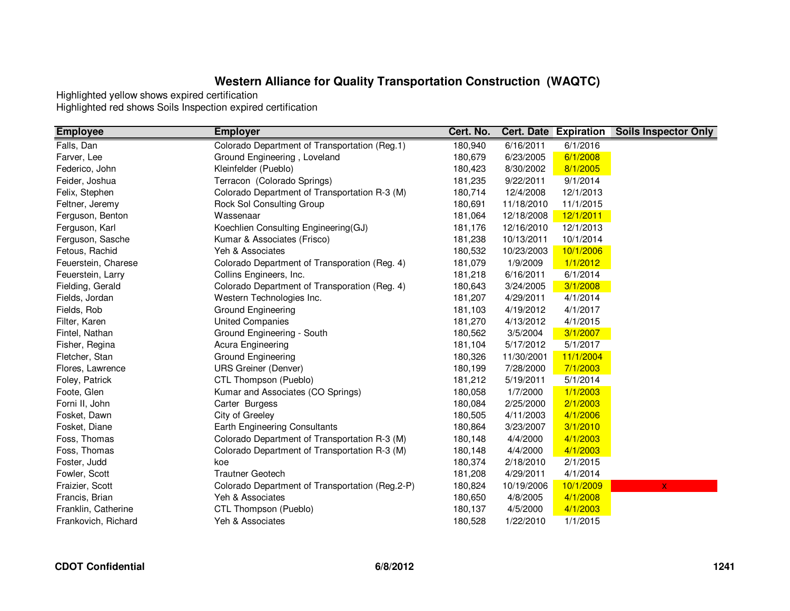| <b>Employee</b>     | <b>Employer</b>                                 | Cert. No. |            | <b>Cert. Date Expiration</b> | <b>Soils Inspector Only</b> |
|---------------------|-------------------------------------------------|-----------|------------|------------------------------|-----------------------------|
| Falls, Dan          | Colorado Department of Transportation (Reg.1)   | 180,940   | 6/16/2011  | 6/1/2016                     |                             |
| Farver, Lee         | Ground Engineering, Loveland                    | 180,679   | 6/23/2005  | 6/1/2008                     |                             |
| Federico, John      | Kleinfelder (Pueblo)                            | 180,423   | 8/30/2002  | 8/1/2005                     |                             |
| Feider, Joshua      | Terracon (Colorado Springs)                     | 181,235   | 9/22/2011  | 9/1/2014                     |                             |
| Felix, Stephen      | Colorado Department of Transportation R-3 (M)   | 180,714   | 12/4/2008  | 12/1/2013                    |                             |
| Feltner, Jeremy     | Rock Sol Consulting Group                       | 180,691   | 11/18/2010 | 11/1/2015                    |                             |
| Ferguson, Benton    | Wassenaar                                       | 181,064   | 12/18/2008 | 12/1/2011                    |                             |
| Ferguson, Karl      | Koechlien Consulting Engineering(GJ)            | 181,176   | 12/16/2010 | 12/1/2013                    |                             |
| Ferguson, Sasche    | Kumar & Associates (Frisco)                     | 181,238   | 10/13/2011 | 10/1/2014                    |                             |
| Fetous, Rachid      | Yeh & Associates                                | 180,532   | 10/23/2003 | 10/1/2006                    |                             |
| Feuerstein, Charese | Colorado Department of Transporation (Reg. 4)   | 181,079   | 1/9/2009   | 1/1/2012                     |                             |
| Feuerstein, Larry   | Collins Engineers, Inc.                         | 181,218   | 6/16/2011  | 6/1/2014                     |                             |
| Fielding, Gerald    | Colorado Department of Transporation (Reg. 4)   | 180,643   | 3/24/2005  | 3/1/2008                     |                             |
| Fields, Jordan      | Western Technologies Inc.                       | 181,207   | 4/29/2011  | 4/1/2014                     |                             |
| Fields, Rob         | Ground Engineering                              | 181,103   | 4/19/2012  | 4/1/2017                     |                             |
| Filter, Karen       | <b>United Companies</b>                         | 181,270   | 4/13/2012  | 4/1/2015                     |                             |
| Fintel, Nathan      | Ground Engineering - South                      | 180,562   | 3/5/2004   | 3/1/2007                     |                             |
| Fisher, Regina      | Acura Engineering                               | 181,104   | 5/17/2012  | 5/1/2017                     |                             |
| Fletcher, Stan      | Ground Engineering                              | 180,326   | 11/30/2001 | 11/1/2004                    |                             |
| Flores, Lawrence    | <b>URS Greiner (Denver)</b>                     | 180,199   | 7/28/2000  | 7/1/2003                     |                             |
| Foley, Patrick      | CTL Thompson (Pueblo)                           | 181,212   | 5/19/2011  | 5/1/2014                     |                             |
| Foote, Glen         | Kumar and Associates (CO Springs)               | 180,058   | 1/7/2000   | 1/1/2003                     |                             |
| Forni II, John      | Carter Burgess                                  | 180,084   | 2/25/2000  | 2/1/2003                     |                             |
| Fosket, Dawn        | City of Greeley                                 | 180,505   | 4/11/2003  | 4/1/2006                     |                             |
| Fosket, Diane       | <b>Earth Engineering Consultants</b>            | 180,864   | 3/23/2007  | 3/1/2010                     |                             |
| Foss, Thomas        | Colorado Department of Transportation R-3 (M)   | 180,148   | 4/4/2000   | 4/1/2003                     |                             |
| Foss, Thomas        | Colorado Department of Transportation R-3 (M)   | 180,148   | 4/4/2000   | 4/1/2003                     |                             |
| Foster, Judd        | koe                                             | 180,374   | 2/18/2010  | 2/1/2015                     |                             |
| Fowler, Scott       | <b>Trautner Geotech</b>                         | 181,208   | 4/29/2011  | 4/1/2014                     |                             |
| Fraizier, Scott     | Colorado Department of Transportation (Reg.2-P) | 180,824   | 10/19/2006 | 10/1/2009                    | X                           |
| Francis, Brian      | Yeh & Associates                                | 180,650   | 4/8/2005   | 4/1/2008                     |                             |
| Franklin, Catherine | CTL Thompson (Pueblo)                           | 180,137   | 4/5/2000   | 4/1/2003                     |                             |
| Frankovich, Richard | Yeh & Associates                                | 180,528   | 1/22/2010  | 1/1/2015                     |                             |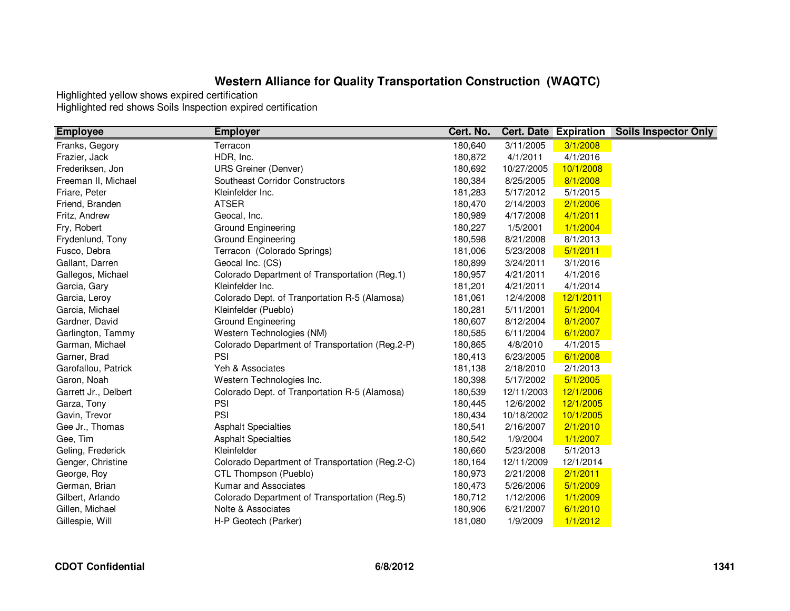| <b>Employee</b>      | <b>Employer</b>                                 | Cert. No. |            | <b>Cert. Date Expiration</b> | <b>Soils Inspector Only</b> |
|----------------------|-------------------------------------------------|-----------|------------|------------------------------|-----------------------------|
| Franks, Gegory       | Terracon                                        | 180,640   | 3/11/2005  | 3/1/2008                     |                             |
| Frazier, Jack        | HDR, Inc.                                       | 180,872   | 4/1/2011   | 4/1/2016                     |                             |
| Frederiksen, Jon     | <b>URS Greiner (Denver)</b>                     | 180,692   | 10/27/2005 | 10/1/2008                    |                             |
| Freeman II, Michael  | Southeast Corridor Constructors                 | 180,384   | 8/25/2005  | 8/1/2008                     |                             |
| Friare, Peter        | Kleinfelder Inc.                                | 181,283   | 5/17/2012  | 5/1/2015                     |                             |
| Friend, Branden      | <b>ATSER</b>                                    | 180,470   | 2/14/2003  | 2/1/2006                     |                             |
| Fritz, Andrew        | Geocal, Inc.                                    | 180,989   | 4/17/2008  | 4/1/2011                     |                             |
| Fry, Robert          | Ground Engineering                              | 180,227   | 1/5/2001   | 1/1/2004                     |                             |
| Frydenlund, Tony     | Ground Engineering                              | 180,598   | 8/21/2008  | 8/1/2013                     |                             |
| Fusco, Debra         | Terracon (Colorado Springs)                     | 181,006   | 5/23/2008  | 5/1/2011                     |                             |
| Gallant, Darren      | Geocal Inc. (CS)                                | 180,899   | 3/24/2011  | 3/1/2016                     |                             |
| Gallegos, Michael    | Colorado Department of Transportation (Reg.1)   | 180,957   | 4/21/2011  | 4/1/2016                     |                             |
| Garcia, Gary         | Kleinfelder Inc.                                | 181,201   | 4/21/2011  | 4/1/2014                     |                             |
| Garcia, Leroy        | Colorado Dept. of Tranportation R-5 (Alamosa)   | 181,061   | 12/4/2008  | 12/1/2011                    |                             |
| Garcia, Michael      | Kleinfelder (Pueblo)                            | 180,281   | 5/11/2001  | 5/1/2004                     |                             |
| Gardner, David       | <b>Ground Engineering</b>                       | 180,607   | 8/12/2004  | 8/1/2007                     |                             |
| Garlington, Tammy    | Western Technologies (NM)                       | 180,585   | 6/11/2004  | 6/1/2007                     |                             |
| Garman, Michael      | Colorado Department of Transportation (Reg.2-P) | 180,865   | 4/8/2010   | 4/1/2015                     |                             |
| Garner, Brad         | PSI                                             | 180,413   | 6/23/2005  | 6/1/2008                     |                             |
| Garofallou, Patrick  | Yeh & Associates                                | 181,138   | 2/18/2010  | 2/1/2013                     |                             |
| Garon, Noah          | Western Technologies Inc.                       | 180,398   | 5/17/2002  | 5/1/2005                     |                             |
| Garrett Jr., Delbert | Colorado Dept. of Tranportation R-5 (Alamosa)   | 180,539   | 12/11/2003 | 12/1/2006                    |                             |
| Garza, Tony          | PSI                                             | 180,445   | 12/6/2002  | 12/1/2005                    |                             |
| Gavin, Trevor        | PSI                                             | 180,434   | 10/18/2002 | 10/1/2005                    |                             |
| Gee Jr., Thomas      | <b>Asphalt Specialties</b>                      | 180,541   | 2/16/2007  | 2/1/2010                     |                             |
| Gee, Tim             | <b>Asphalt Specialties</b>                      | 180,542   | 1/9/2004   | 1/1/2007                     |                             |
| Geling, Frederick    | Kleinfelder                                     | 180,660   | 5/23/2008  | 5/1/2013                     |                             |
| Genger, Christine    | Colorado Department of Transportation (Reg.2-C) | 180,164   | 12/11/2009 | 12/1/2014                    |                             |
| George, Roy          | CTL Thompson (Pueblo)                           | 180,973   | 2/21/2008  | 2/1/2011                     |                             |
| German, Brian        | Kumar and Associates                            | 180,473   | 5/26/2006  | 5/1/2009                     |                             |
| Gilbert, Arlando     | Colorado Department of Transportation (Reg.5)   | 180,712   | 1/12/2006  | 1/1/2009                     |                             |
| Gillen, Michael      | Nolte & Associates                              | 180,906   | 6/21/2007  | 6/1/2010                     |                             |
| Gillespie, Will      | H-P Geotech (Parker)                            | 181,080   | 1/9/2009   | 1/1/2012                     |                             |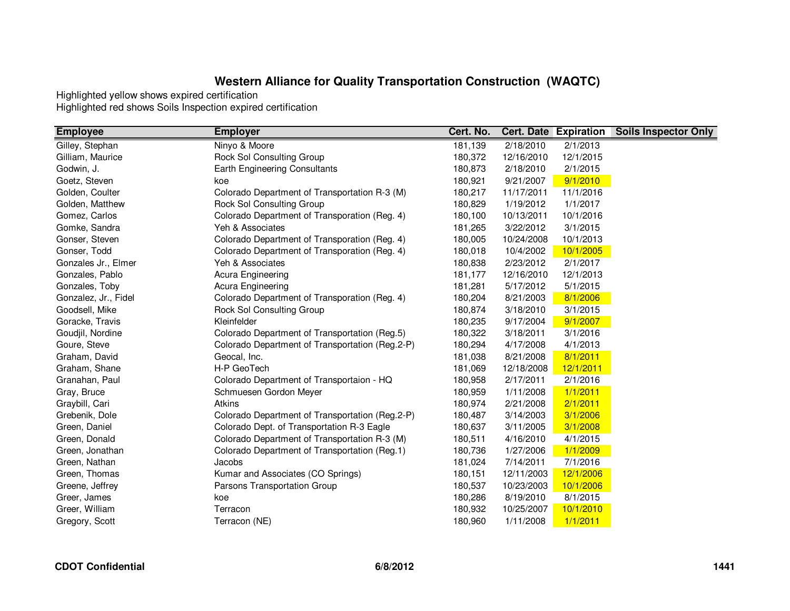| <b>Employee</b>      | <b>Employer</b>                                 | Cert. No. |            | <b>Cert. Date Expiration</b> | <b>Soils Inspector Only</b> |
|----------------------|-------------------------------------------------|-----------|------------|------------------------------|-----------------------------|
| Gilley, Stephan      | Ninyo & Moore                                   | 181,139   | 2/18/2010  | 2/1/2013                     |                             |
| Gilliam, Maurice     | Rock Sol Consulting Group                       | 180,372   | 12/16/2010 | 12/1/2015                    |                             |
| Godwin, J.           | Earth Engineering Consultants                   | 180,873   | 2/18/2010  | 2/1/2015                     |                             |
| Goetz, Steven        | koe                                             | 180,921   | 9/21/2007  | 9/1/2010                     |                             |
| Golden, Coulter      | Colorado Department of Transportation R-3 (M)   | 180,217   | 11/17/2011 | 11/1/2016                    |                             |
| Golden, Matthew      | Rock Sol Consulting Group                       | 180,829   | 1/19/2012  | 1/1/2017                     |                             |
| Gomez, Carlos        | Colorado Department of Transporation (Reg. 4)   | 180,100   | 10/13/2011 | 10/1/2016                    |                             |
| Gomke, Sandra        | Yeh & Associates                                | 181,265   | 3/22/2012  | 3/1/2015                     |                             |
| Gonser, Steven       | Colorado Department of Transporation (Reg. 4)   | 180,005   | 10/24/2008 | 10/1/2013                    |                             |
| Gonser, Todd         | Colorado Department of Transporation (Reg. 4)   | 180,018   | 10/4/2002  | 10/1/2005                    |                             |
| Gonzales Jr., Elmer  | Yeh & Associates                                | 180,838   | 2/23/2012  | 2/1/2017                     |                             |
| Gonzales, Pablo      | Acura Engineering                               | 181,177   | 12/16/2010 | 12/1/2013                    |                             |
| Gonzales, Toby       | Acura Engineering                               | 181,281   | 5/17/2012  | 5/1/2015                     |                             |
| Gonzalez, Jr., Fidel | Colorado Department of Transporation (Reg. 4)   | 180,204   | 8/21/2003  | 8/1/2006                     |                             |
| Goodsell, Mike       | Rock Sol Consulting Group                       | 180,874   | 3/18/2010  | 3/1/2015                     |                             |
| Goracke, Travis      | Kleinfelder                                     | 180,235   | 9/17/2004  | 9/1/2007                     |                             |
| Goudjil, Nordine     | Colorado Department of Transportation (Reg.5)   | 180,322   | 3/18/2011  | 3/1/2016                     |                             |
| Goure, Steve         | Colorado Department of Transportation (Reg.2-P) | 180,294   | 4/17/2008  | 4/1/2013                     |                             |
| Graham, David        | Geocal, Inc.                                    | 181,038   | 8/21/2008  | 8/1/2011                     |                             |
| Graham, Shane        | H-P GeoTech                                     | 181,069   | 12/18/2008 | 12/1/2011                    |                             |
| Granahan, Paul       | Colorado Department of Transportaion - HQ       | 180,958   | 2/17/2011  | 2/1/2016                     |                             |
| Gray, Bruce          | Schmuesen Gordon Meyer                          | 180,959   | 1/11/2008  | 1/1/2011                     |                             |
| Graybill, Cari       | Atkins                                          | 180,974   | 2/21/2008  | 2/1/2011                     |                             |
| Grebenik, Dole       | Colorado Department of Transportation (Reg.2-P) | 180,487   | 3/14/2003  | 3/1/2006                     |                             |
| Green, Daniel        | Colorado Dept. of Transportation R-3 Eagle      | 180,637   | 3/11/2005  | 3/1/2008                     |                             |
| Green, Donald        | Colorado Department of Transportation R-3 (M)   | 180,511   | 4/16/2010  | 4/1/2015                     |                             |
| Green, Jonathan      | Colorado Department of Transportation (Reg.1)   | 180,736   | 1/27/2006  | 1/1/2009                     |                             |
| Green, Nathan        | Jacobs                                          | 181,024   | 7/14/2011  | 7/1/2016                     |                             |
| Green, Thomas        | Kumar and Associates (CO Springs)               | 180,151   | 12/11/2003 | 12/1/2006                    |                             |
| Greene, Jeffrey      | Parsons Transportation Group                    | 180,537   | 10/23/2003 | 10/1/2006                    |                             |
| Greer, James         | koe                                             | 180,286   | 8/19/2010  | 8/1/2015                     |                             |
| Greer, William       | Terracon                                        | 180,932   | 10/25/2007 | 10/1/2010                    |                             |
| Gregory, Scott       | Terracon (NE)                                   | 180,960   | 1/11/2008  | 1/1/2011                     |                             |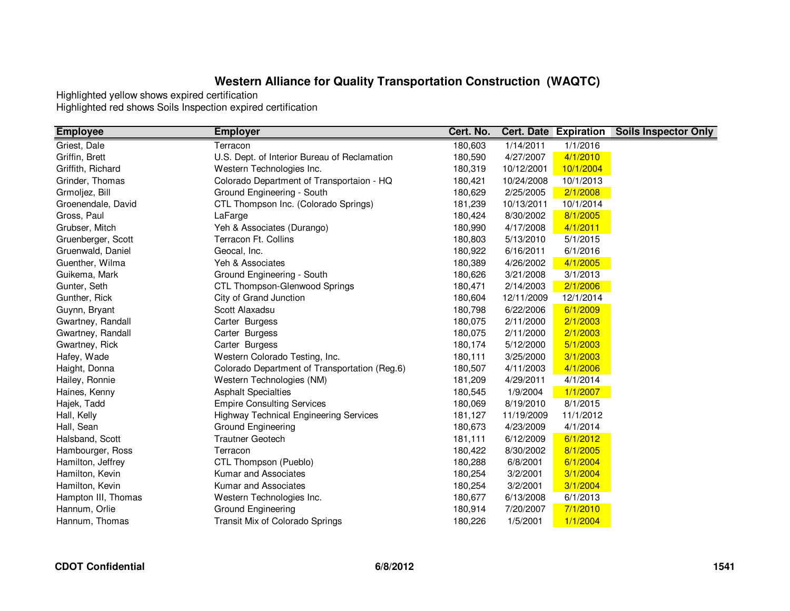| <b>Employee</b>     | <b>Employer</b>                               | Cert. No. |            | <b>Cert. Date Expiration</b> | <b>Soils Inspector Only</b> |
|---------------------|-----------------------------------------------|-----------|------------|------------------------------|-----------------------------|
| Griest, Dale        | Terracon                                      | 180,603   | 1/14/2011  | 1/1/2016                     |                             |
| Griffin, Brett      | U.S. Dept. of Interior Bureau of Reclamation  | 180,590   | 4/27/2007  | 4/1/2010                     |                             |
| Griffith, Richard   | Western Technologies Inc.                     | 180,319   | 10/12/2001 | 10/1/2004                    |                             |
| Grinder, Thomas     | Colorado Department of Transportaion - HQ     | 180,421   | 10/24/2008 | 10/1/2013                    |                             |
| Grmoljez, Bill      | Ground Engineering - South                    | 180,629   | 2/25/2005  | 2/1/2008                     |                             |
| Groenendale, David  | CTL Thompson Inc. (Colorado Springs)          | 181,239   | 10/13/2011 | 10/1/2014                    |                             |
| Gross, Paul         | LaFarge                                       | 180,424   | 8/30/2002  | 8/1/2005                     |                             |
| Grubser, Mitch      | Yeh & Associates (Durango)                    | 180,990   | 4/17/2008  | 4/1/2011                     |                             |
| Gruenberger, Scott  | Terracon Ft. Collins                          | 180,803   | 5/13/2010  | 5/1/2015                     |                             |
| Gruenwald, Daniel   | Geocal, Inc.                                  | 180,922   | 6/16/2011  | 6/1/2016                     |                             |
| Guenther, Wilma     | Yeh & Associates                              | 180,389   | 4/26/2002  | 4/1/2005                     |                             |
| Guikema, Mark       | Ground Engineering - South                    | 180,626   | 3/21/2008  | 3/1/2013                     |                             |
| Gunter, Seth        | CTL Thompson-Glenwood Springs                 | 180,471   | 2/14/2003  | 2/1/2006                     |                             |
| Gunther, Rick       | City of Grand Junction                        | 180,604   | 12/11/2009 | 12/1/2014                    |                             |
| Guynn, Bryant       | Scott Alaxadsu                                | 180,798   | 6/22/2006  | 6/1/2009                     |                             |
| Gwartney, Randall   | Carter Burgess                                | 180,075   | 2/11/2000  | 2/1/2003                     |                             |
| Gwartney, Randall   | Carter Burgess                                | 180,075   | 2/11/2000  | 2/1/2003                     |                             |
| Gwartney, Rick      | Carter Burgess                                | 180,174   | 5/12/2000  | 5/1/2003                     |                             |
| Hafey, Wade         | Western Colorado Testing, Inc.                | 180,111   | 3/25/2000  | 3/1/2003                     |                             |
| Haight, Donna       | Colorado Department of Transportation (Reg.6) | 180,507   | 4/11/2003  | 4/1/2006                     |                             |
| Hailey, Ronnie      | Western Technologies (NM)                     | 181,209   | 4/29/2011  | 4/1/2014                     |                             |
| Haines, Kenny       | <b>Asphalt Specialties</b>                    | 180,545   | 1/9/2004   | 1/1/2007                     |                             |
| Hajek, Tadd         | <b>Empire Consulting Services</b>             | 180,069   | 8/19/2010  | 8/1/2015                     |                             |
| Hall, Kelly         | <b>Highway Technical Engineering Services</b> | 181,127   | 11/19/2009 | 11/1/2012                    |                             |
| Hall, Sean          | <b>Ground Engineering</b>                     | 180,673   | 4/23/2009  | 4/1/2014                     |                             |
| Halsband, Scott     | <b>Trautner Geotech</b>                       | 181,111   | 6/12/2009  | 6/1/2012                     |                             |
| Hambourger, Ross    | Terracon                                      | 180,422   | 8/30/2002  | 8/1/2005                     |                             |
| Hamilton, Jeffrey   | CTL Thompson (Pueblo)                         | 180,288   | 6/8/2001   | 6/1/2004                     |                             |
| Hamilton, Kevin     | Kumar and Associates                          | 180,254   | 3/2/2001   | 3/1/2004                     |                             |
| Hamilton, Kevin     | Kumar and Associates                          | 180,254   | 3/2/2001   | 3/1/2004                     |                             |
| Hampton III, Thomas | Western Technologies Inc.                     | 180,677   | 6/13/2008  | 6/1/2013                     |                             |
| Hannum, Orlie       | <b>Ground Engineering</b>                     | 180,914   | 7/20/2007  | 7/1/2010                     |                             |
| Hannum, Thomas      | Transit Mix of Colorado Springs               | 180,226   | 1/5/2001   | 1/1/2004                     |                             |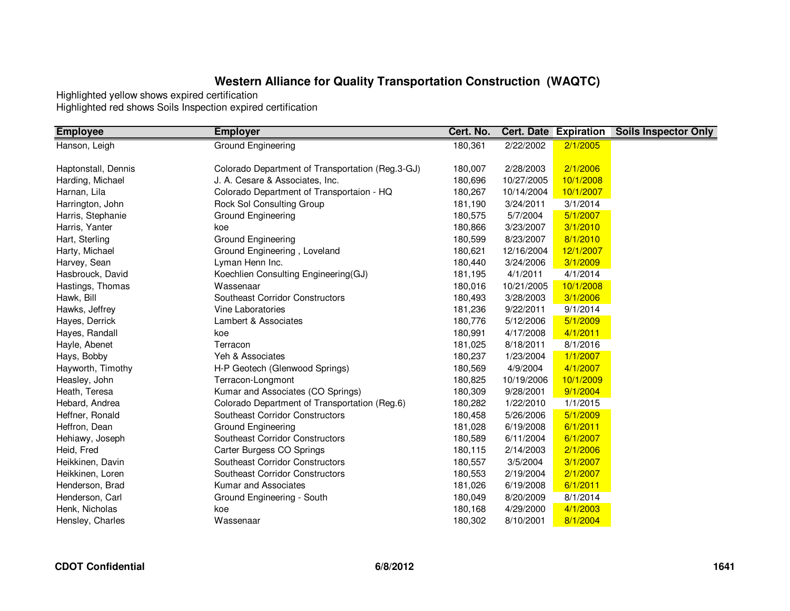| <b>Employee</b>     | <b>Employer</b>                                  | Cert. No. | <b>Cert. Date Expiration</b> |           | <b>Soils Inspector Only</b> |
|---------------------|--------------------------------------------------|-----------|------------------------------|-----------|-----------------------------|
| Hanson, Leigh       | <b>Ground Engineering</b>                        | 180,361   | 2/22/2002                    | 2/1/2005  |                             |
|                     |                                                  |           |                              |           |                             |
| Haptonstall, Dennis | Colorado Department of Transportation (Reg.3-GJ) | 180,007   | 2/28/2003                    | 2/1/2006  |                             |
| Harding, Michael    | J. A. Cesare & Associates, Inc.                  | 180,696   | 10/27/2005                   | 10/1/2008 |                             |
| Harnan, Lila        | Colorado Department of Transportaion - HQ        | 180,267   | 10/14/2004                   | 10/1/2007 |                             |
| Harrington, John    | Rock Sol Consulting Group                        | 181,190   | 3/24/2011                    | 3/1/2014  |                             |
| Harris, Stephanie   | Ground Engineering                               | 180,575   | 5/7/2004                     | 5/1/2007  |                             |
| Harris, Yanter      | koe                                              | 180,866   | 3/23/2007                    | 3/1/2010  |                             |
| Hart, Sterling      | Ground Engineering                               | 180,599   | 8/23/2007                    | 8/1/2010  |                             |
| Harty, Michael      | Ground Engineering, Loveland                     | 180,621   | 12/16/2004                   | 12/1/2007 |                             |
| Harvey, Sean        | Lyman Henn Inc.                                  | 180,440   | 3/24/2006                    | 3/1/2009  |                             |
| Hasbrouck, David    | Koechlien Consulting Engineering(GJ)             | 181,195   | 4/1/2011                     | 4/1/2014  |                             |
| Hastings, Thomas    | Wassenaar                                        | 180,016   | 10/21/2005                   | 10/1/2008 |                             |
| Hawk, Bill          | Southeast Corridor Constructors                  | 180,493   | 3/28/2003                    | 3/1/2006  |                             |
| Hawks, Jeffrey      | <b>Vine Laboratories</b>                         | 181,236   | 9/22/2011                    | 9/1/2014  |                             |
| Hayes, Derrick      | Lambert & Associates                             | 180,776   | 5/12/2006                    | 5/1/2009  |                             |
| Hayes, Randall      | koe                                              | 180,991   | 4/17/2008                    | 4/1/2011  |                             |
| Hayle, Abenet       | Terracon                                         | 181,025   | 8/18/2011                    | 8/1/2016  |                             |
| Hays, Bobby         | Yeh & Associates                                 | 180,237   | 1/23/2004                    | 1/1/2007  |                             |
| Hayworth, Timothy   | H-P Geotech (Glenwood Springs)                   | 180,569   | 4/9/2004                     | 4/1/2007  |                             |
| Heasley, John       | Terracon-Longmont                                | 180,825   | 10/19/2006                   | 10/1/2009 |                             |
| Heath, Teresa       | Kumar and Associates (CO Springs)                | 180,309   | 9/28/2001                    | 9/1/2004  |                             |
| Hebard, Andrea      | Colorado Department of Transportation (Reg.6)    | 180,282   | 1/22/2010                    | 1/1/2015  |                             |
| Heffner, Ronald     | Southeast Corridor Constructors                  | 180,458   | 5/26/2006                    | 5/1/2009  |                             |
| Heffron, Dean       | <b>Ground Engineering</b>                        | 181,028   | 6/19/2008                    | 6/1/2011  |                             |
| Hehiawy, Joseph     | <b>Southeast Corridor Constructors</b>           | 180,589   | 6/11/2004                    | 6/1/2007  |                             |
| Heid, Fred          | Carter Burgess CO Springs                        | 180,115   | 2/14/2003                    | 2/1/2006  |                             |
| Heikkinen, Davin    | Southeast Corridor Constructors                  | 180,557   | 3/5/2004                     | 3/1/2007  |                             |
| Heikkinen, Loren    | Southeast Corridor Constructors                  | 180,553   | 2/19/2004                    | 2/1/2007  |                             |
| Henderson, Brad     | Kumar and Associates                             | 181,026   | 6/19/2008                    | 6/1/2011  |                             |
| Henderson, Carl     | Ground Engineering - South                       | 180,049   | 8/20/2009                    | 8/1/2014  |                             |
| Henk, Nicholas      | koe                                              | 180,168   | 4/29/2000                    | 4/1/2003  |                             |
| Hensley, Charles    | Wassenaar                                        | 180,302   | 8/10/2001                    | 8/1/2004  |                             |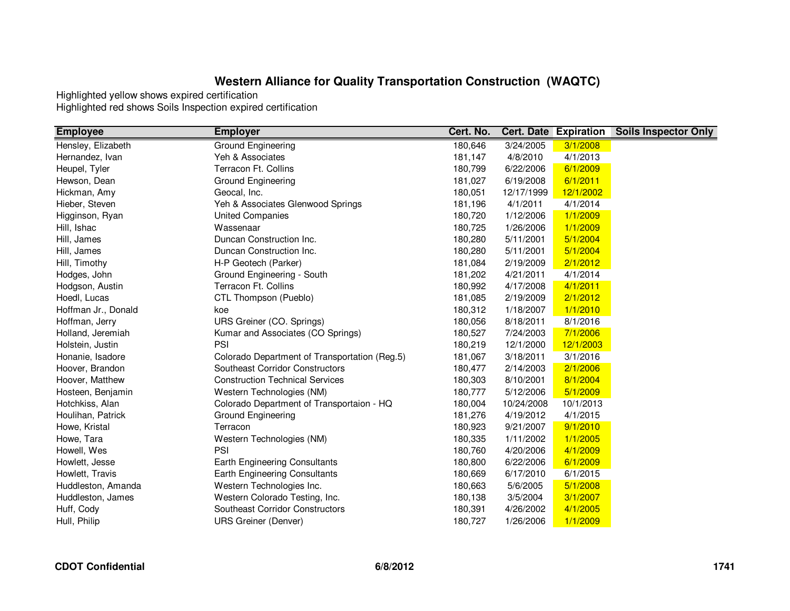| <b>Employee</b>     | <b>Employer</b>                               | Cert. No. |            | <b>Cert. Date Expiration</b> | <b>Soils Inspector Only</b> |
|---------------------|-----------------------------------------------|-----------|------------|------------------------------|-----------------------------|
| Hensley, Elizabeth  | Ground Engineering                            | 180,646   | 3/24/2005  | 3/1/2008                     |                             |
| Hernandez, Ivan     | Yeh & Associates                              | 181,147   | 4/8/2010   | 4/1/2013                     |                             |
| Heupel, Tyler       | Terracon Ft. Collins                          | 180,799   | 6/22/2006  | 6/1/2009                     |                             |
| Hewson, Dean        | Ground Engineering                            | 181,027   | 6/19/2008  | 6/1/2011                     |                             |
| Hickman, Amy        | Geocal, Inc.                                  | 180,051   | 12/17/1999 | 12/1/2002                    |                             |
| Hieber, Steven      | Yeh & Associates Glenwood Springs             | 181,196   | 4/1/2011   | 4/1/2014                     |                             |
| Higginson, Ryan     | <b>United Companies</b>                       | 180,720   | 1/12/2006  | 1/1/2009                     |                             |
| Hill, Ishac         | Wassenaar                                     | 180,725   | 1/26/2006  | 1/1/2009                     |                             |
| Hill, James         | Duncan Construction Inc.                      | 180,280   | 5/11/2001  | 5/1/2004                     |                             |
| Hill, James         | Duncan Construction Inc.                      | 180,280   | 5/11/2001  | 5/1/2004                     |                             |
| Hill, Timothy       | H-P Geotech (Parker)                          | 181,084   | 2/19/2009  | 2/1/2012                     |                             |
| Hodges, John        | Ground Engineering - South                    | 181,202   | 4/21/2011  | 4/1/2014                     |                             |
| Hodgson, Austin     | Terracon Ft. Collins                          | 180,992   | 4/17/2008  | 4/1/2011                     |                             |
| Hoedl, Lucas        | CTL Thompson (Pueblo)                         | 181,085   | 2/19/2009  | 2/1/2012                     |                             |
| Hoffman Jr., Donald | koe                                           | 180,312   | 1/18/2007  | 1/1/2010                     |                             |
| Hoffman, Jerry      | URS Greiner (CO. Springs)                     | 180,056   | 8/18/2011  | 8/1/2016                     |                             |
| Holland, Jeremiah   | Kumar and Associates (CO Springs)             | 180,527   | 7/24/2003  | 7/1/2006                     |                             |
| Holstein, Justin    | PSI                                           | 180,219   | 12/1/2000  | 12/1/2003                    |                             |
| Honanie, Isadore    | Colorado Department of Transportation (Reg.5) | 181,067   | 3/18/2011  | 3/1/2016                     |                             |
| Hoover, Brandon     | <b>Southeast Corridor Constructors</b>        | 180,477   | 2/14/2003  | 2/1/2006                     |                             |
| Hoover, Matthew     | <b>Construction Technical Services</b>        | 180,303   | 8/10/2001  | 8/1/2004                     |                             |
| Hosteen, Benjamin   | Western Technologies (NM)                     | 180,777   | 5/12/2006  | 5/1/2009                     |                             |
| Hotchkiss, Alan     | Colorado Department of Transportaion - HQ     | 180,004   | 10/24/2008 | 10/1/2013                    |                             |
| Houlihan, Patrick   | Ground Engineering                            | 181,276   | 4/19/2012  | 4/1/2015                     |                             |
| Howe, Kristal       | Terracon                                      | 180,923   | 9/21/2007  | 9/1/2010                     |                             |
| Howe, Tara          | Western Technologies (NM)                     | 180,335   | 1/11/2002  | 1/1/2005                     |                             |
| Howell, Wes         | PSI                                           | 180,760   | 4/20/2006  | 4/1/2009                     |                             |
| Howlett, Jesse      | <b>Earth Engineering Consultants</b>          | 180,800   | 6/22/2006  | 6/1/2009                     |                             |
| Howlett, Travis     | Earth Engineering Consultants                 | 180,669   | 6/17/2010  | 6/1/2015                     |                             |
| Huddleston, Amanda  | Western Technologies Inc.                     | 180,663   | 5/6/2005   | 5/1/2008                     |                             |
| Huddleston, James   | Western Colorado Testing, Inc.                | 180,138   | 3/5/2004   | 3/1/2007                     |                             |
| Huff, Cody          | Southeast Corridor Constructors               | 180,391   | 4/26/2002  | 4/1/2005                     |                             |
| Hull, Philip        | <b>URS Greiner (Denver)</b>                   | 180,727   | 1/26/2006  | 1/1/2009                     |                             |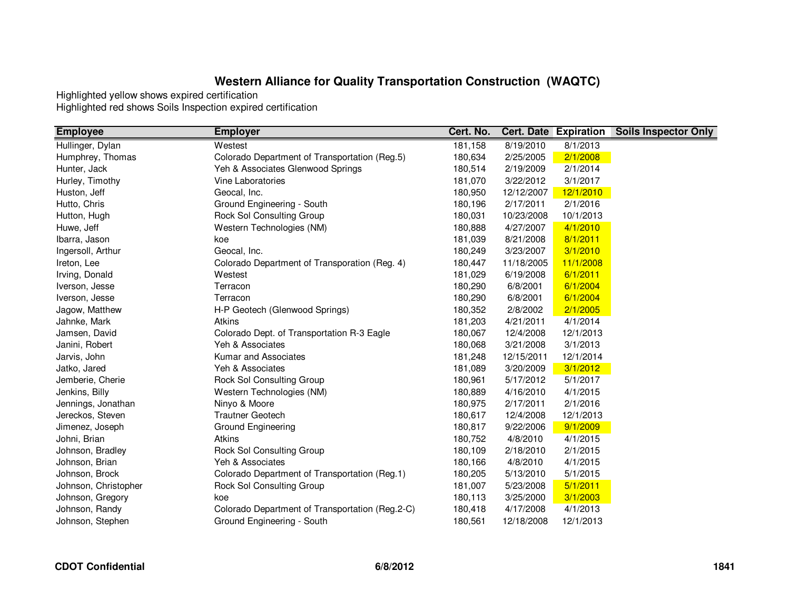| <b>Employee</b>      | <b>Employer</b>                                 | Cert. No. |                    | <b>Cert. Date Expiration</b> | <b>Soils Inspector Only</b> |
|----------------------|-------------------------------------------------|-----------|--------------------|------------------------------|-----------------------------|
| Hullinger, Dylan     | Westest                                         | 181,158   | $\sqrt{8/19/2010}$ | 8/1/2013                     |                             |
| Humphrey, Thomas     | Colorado Department of Transportation (Reg.5)   | 180,634   | 2/25/2005          | 2/1/2008                     |                             |
| Hunter, Jack         | Yeh & Associates Glenwood Springs               | 180,514   | 2/19/2009          | 2/1/2014                     |                             |
| Hurley, Timothy      | Vine Laboratories                               | 181,070   | 3/22/2012          | 3/1/2017                     |                             |
| Huston, Jeff         | Geocal, Inc.                                    | 180,950   | 12/12/2007         | 12/1/2010                    |                             |
| Hutto, Chris         | Ground Engineering - South                      | 180,196   | 2/17/2011          | 2/1/2016                     |                             |
| Hutton, Hugh         | Rock Sol Consulting Group                       | 180,031   | 10/23/2008         | 10/1/2013                    |                             |
| Huwe, Jeff           | Western Technologies (NM)                       | 180,888   | 4/27/2007          | 4/1/2010                     |                             |
| Ibarra, Jason        | koe                                             | 181,039   | 8/21/2008          | 8/1/2011                     |                             |
| Ingersoll, Arthur    | Geocal, Inc.                                    | 180,249   | 3/23/2007          | 3/1/2010                     |                             |
| Ireton, Lee          | Colorado Department of Transporation (Reg. 4)   | 180,447   | 11/18/2005         | 11/1/2008                    |                             |
| Irving, Donald       | Westest                                         | 181,029   | 6/19/2008          | 6/1/2011                     |                             |
| Iverson, Jesse       | Terracon                                        | 180,290   | 6/8/2001           | 6/1/2004                     |                             |
| Iverson, Jesse       | Terracon                                        | 180,290   | 6/8/2001           | 6/1/2004                     |                             |
| Jagow, Matthew       | H-P Geotech (Glenwood Springs)                  | 180,352   | 2/8/2002           | 2/1/2005                     |                             |
| Jahnke, Mark         | <b>Atkins</b>                                   | 181,203   | 4/21/2011          | 4/1/2014                     |                             |
| Jamsen, David        | Colorado Dept. of Transportation R-3 Eagle      | 180,067   | 12/4/2008          | 12/1/2013                    |                             |
| Janini, Robert       | Yeh & Associates                                | 180,068   | 3/21/2008          | 3/1/2013                     |                             |
| Jarvis, John         | Kumar and Associates                            | 181,248   | 12/15/2011         | 12/1/2014                    |                             |
| Jatko, Jared         | Yeh & Associates                                | 181,089   | 3/20/2009          | 3/1/2012                     |                             |
| Jemberie, Cherie     | Rock Sol Consulting Group                       | 180,961   | 5/17/2012          | 5/1/2017                     |                             |
| Jenkins, Billy       | Western Technologies (NM)                       | 180,889   | 4/16/2010          | 4/1/2015                     |                             |
| Jennings, Jonathan   | Ninyo & Moore                                   | 180,975   | 2/17/2011          | 2/1/2016                     |                             |
| Jereckos, Steven     | <b>Trautner Geotech</b>                         | 180,617   | 12/4/2008          | 12/1/2013                    |                             |
| Jimenez, Joseph      | Ground Engineering                              | 180,817   | 9/22/2006          | 9/1/2009                     |                             |
| Johni, Brian         | <b>Atkins</b>                                   | 180,752   | 4/8/2010           | 4/1/2015                     |                             |
| Johnson, Bradley     | Rock Sol Consulting Group                       | 180,109   | 2/18/2010          | 2/1/2015                     |                             |
| Johnson, Brian       | Yeh & Associates                                | 180,166   | 4/8/2010           | 4/1/2015                     |                             |
| Johnson, Brock       | Colorado Department of Transportation (Reg.1)   | 180,205   | 5/13/2010          | 5/1/2015                     |                             |
| Johnson, Christopher | Rock Sol Consulting Group                       | 181,007   | 5/23/2008          | 5/1/2011                     |                             |
| Johnson, Gregory     | koe                                             | 180,113   | 3/25/2000          | 3/1/2003                     |                             |
| Johnson, Randy       | Colorado Department of Transportation (Reg.2-C) | 180,418   | 4/17/2008          | 4/1/2013                     |                             |
| Johnson, Stephen     | Ground Engineering - South                      | 180,561   | 12/18/2008         | 12/1/2013                    |                             |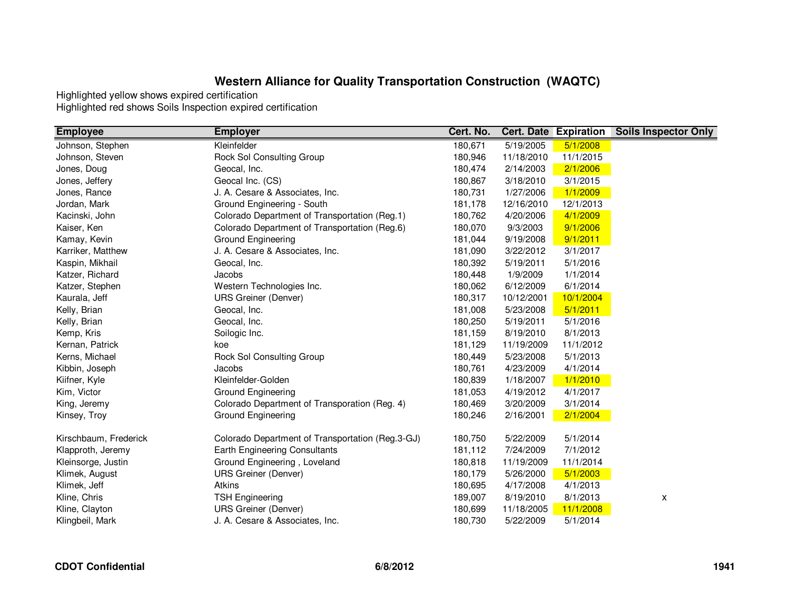| <b>Employee</b>       | <b>Employer</b>                                  | Cert. No. |            | <b>Cert. Date Expiration</b> | <b>Soils Inspector Only</b> |
|-----------------------|--------------------------------------------------|-----------|------------|------------------------------|-----------------------------|
| Johnson, Stephen      | Kleinfelder                                      | 180,671   | 5/19/2005  | 5/1/2008                     |                             |
| Johnson, Steven       | Rock Sol Consulting Group                        | 180,946   | 11/18/2010 | 11/1/2015                    |                             |
| Jones, Doug           | Geocal, Inc.                                     | 180,474   | 2/14/2003  | 2/1/2006                     |                             |
| Jones, Jeffery        | Geocal Inc. (CS)                                 | 180,867   | 3/18/2010  | 3/1/2015                     |                             |
| Jones, Rance          | J. A. Cesare & Associates, Inc.                  | 180,731   | 1/27/2006  | 1/1/2009                     |                             |
| Jordan, Mark          | Ground Engineering - South                       | 181,178   | 12/16/2010 | 12/1/2013                    |                             |
| Kacinski, John        | Colorado Department of Transportation (Reg.1)    | 180,762   | 4/20/2006  | 4/1/2009                     |                             |
| Kaiser, Ken           | Colorado Department of Transportation (Reg.6)    | 180,070   | 9/3/2003   | 9/1/2006                     |                             |
| Kamay, Kevin          | Ground Engineering                               | 181,044   | 9/19/2008  | 9/1/2011                     |                             |
| Karriker, Matthew     | J. A. Cesare & Associates, Inc.                  | 181,090   | 3/22/2012  | 3/1/2017                     |                             |
| Kaspin, Mikhail       | Geocal, Inc.                                     | 180,392   | 5/19/2011  | 5/1/2016                     |                             |
| Katzer, Richard       | Jacobs                                           | 180,448   | 1/9/2009   | 1/1/2014                     |                             |
| Katzer, Stephen       | Western Technologies Inc.                        | 180,062   | 6/12/2009  | 6/1/2014                     |                             |
| Kaurala, Jeff         | <b>URS Greiner (Denver)</b>                      | 180,317   | 10/12/2001 | 10/1/2004                    |                             |
| Kelly, Brian          | Geocal, Inc.                                     | 181,008   | 5/23/2008  | 5/1/2011                     |                             |
| Kelly, Brian          | Geocal, Inc.                                     | 180,250   | 5/19/2011  | 5/1/2016                     |                             |
| Kemp, Kris            | Soilogic Inc.                                    | 181,159   | 8/19/2010  | 8/1/2013                     |                             |
| Kernan, Patrick       | koe                                              | 181,129   | 11/19/2009 | 11/1/2012                    |                             |
| Kerns, Michael        | Rock Sol Consulting Group                        | 180,449   | 5/23/2008  | 5/1/2013                     |                             |
| Kibbin, Joseph        | Jacobs                                           | 180,761   | 4/23/2009  | 4/1/2014                     |                             |
| Kiifner, Kyle         | Kleinfelder-Golden                               | 180,839   | 1/18/2007  | 1/1/2010                     |                             |
| Kim, Victor           | Ground Engineering                               | 181,053   | 4/19/2012  | 4/1/2017                     |                             |
| King, Jeremy          | Colorado Department of Transporation (Reg. 4)    | 180,469   | 3/20/2009  | 3/1/2014                     |                             |
| Kinsey, Troy          | <b>Ground Engineering</b>                        | 180,246   | 2/16/2001  | 2/1/2004                     |                             |
| Kirschbaum, Frederick | Colorado Department of Transportation (Reg.3-GJ) | 180,750   | 5/22/2009  | 5/1/2014                     |                             |
| Klapproth, Jeremy     | Earth Engineering Consultants                    | 181,112   | 7/24/2009  | 7/1/2012                     |                             |
| Kleinsorge, Justin    | Ground Engineering, Loveland                     | 180,818   | 11/19/2009 | 11/1/2014                    |                             |
| Klimek, August        | <b>URS Greiner (Denver)</b>                      | 180,179   | 5/26/2000  | 5/1/2003                     |                             |
| Klimek, Jeff          | Atkins                                           | 180,695   | 4/17/2008  | 4/1/2013                     |                             |
| Kline, Chris          | <b>TSH Engineering</b>                           | 189,007   | 8/19/2010  | 8/1/2013                     | x                           |
| Kline, Clayton        | <b>URS Greiner (Denver)</b>                      | 180,699   | 11/18/2005 | 11/1/2008                    |                             |
| Klingbeil, Mark       | J. A. Cesare & Associates, Inc.                  | 180,730   | 5/22/2009  | 5/1/2014                     |                             |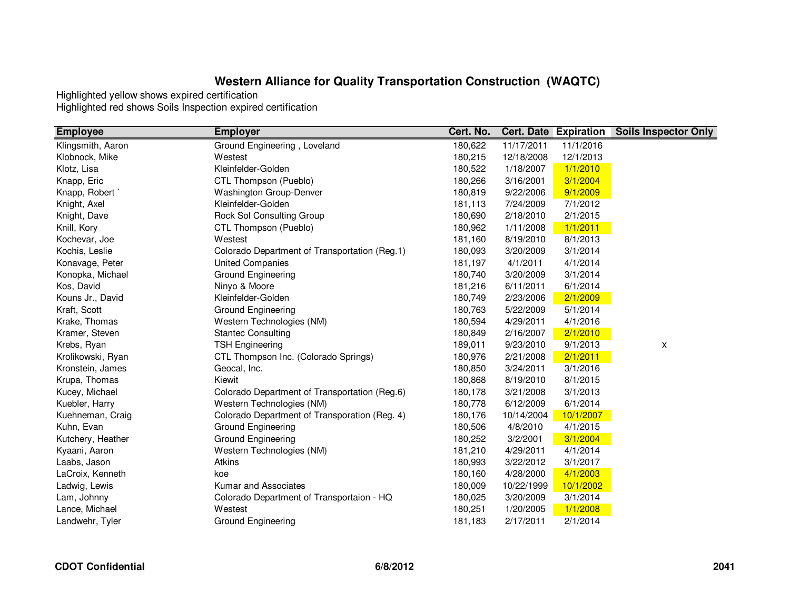| <b>Employee</b>   | <b>Employer</b>                               | Cert. No. |            | <b>Cert. Date Expiration</b> | <b>Soils Inspector Only</b> |
|-------------------|-----------------------------------------------|-----------|------------|------------------------------|-----------------------------|
| Klingsmith, Aaron | Ground Engineering, Loveland                  | 180,622   | 11/17/2011 | 11/1/2016                    |                             |
| Klobnock, Mike    | Westest                                       | 180,215   | 12/18/2008 | 12/1/2013                    |                             |
| Klotz, Lisa       | Kleinfelder-Golden                            | 180,522   | 1/18/2007  | 1/1/2010                     |                             |
| Knapp, Eric       | CTL Thompson (Pueblo)                         | 180,266   | 3/16/2001  | 3/1/2004                     |                             |
| Knapp, Robert     | <b>Washington Group-Denver</b>                | 180,819   | 9/22/2006  | 9/1/2009                     |                             |
| Knight, Axel      | Kleinfelder-Golden                            | 181,113   | 7/24/2009  | 7/1/2012                     |                             |
| Knight, Dave      | Rock Sol Consulting Group                     | 180,690   | 2/18/2010  | 2/1/2015                     |                             |
| Knill, Kory       | CTL Thompson (Pueblo)                         | 180,962   | 1/11/2008  | 1/1/2011                     |                             |
| Kochevar, Joe     | Westest                                       | 181,160   | 8/19/2010  | 8/1/2013                     |                             |
| Kochis, Leslie    | Colorado Department of Transportation (Reg.1) | 180,093   | 3/20/2009  | 3/1/2014                     |                             |
| Konavage, Peter   | <b>United Companies</b>                       | 181,197   | 4/1/2011   | 4/1/2014                     |                             |
| Konopka, Michael  | Ground Engineering                            | 180,740   | 3/20/2009  | 3/1/2014                     |                             |
| Kos, David        | Ninyo & Moore                                 | 181,216   | 6/11/2011  | 6/1/2014                     |                             |
| Kouns Jr., David  | Kleinfelder-Golden                            | 180,749   | 2/23/2006  | 2/1/2009                     |                             |
| Kraft, Scott      | Ground Engineering                            | 180,763   | 5/22/2009  | 5/1/2014                     |                             |
| Krake, Thomas     | Western Technologies (NM)                     | 180,594   | 4/29/2011  | 4/1/2016                     |                             |
| Kramer, Steven    | <b>Stantec Consulting</b>                     | 180,849   | 2/16/2007  | 2/1/2010                     |                             |
| Krebs, Ryan       | <b>TSH Engineering</b>                        | 189,011   | 9/23/2010  | 9/1/2013                     | X                           |
| Krolikowski, Ryan | CTL Thompson Inc. (Colorado Springs)          | 180,976   | 2/21/2008  | 2/1/2011                     |                             |
| Kronstein, James  | Geocal, Inc.                                  | 180,850   | 3/24/2011  | 3/1/2016                     |                             |
| Krupa, Thomas     | Kiewit                                        | 180,868   | 8/19/2010  | 8/1/2015                     |                             |
| Kucey, Michael    | Colorado Department of Transportation (Reg.6) | 180,178   | 3/21/2008  | 3/1/2013                     |                             |
| Kuebler, Harry    | Western Technologies (NM)                     | 180,778   | 6/12/2009  | 6/1/2014                     |                             |
| Kuehneman, Craig  | Colorado Department of Transporation (Reg. 4) | 180,176   | 10/14/2004 | 10/1/2007                    |                             |
| Kuhn, Evan        | Ground Engineering                            | 180,506   | 4/8/2010   | 4/1/2015                     |                             |
| Kutchery, Heather | Ground Engineering                            | 180,252   | 3/2/2001   | 3/1/2004                     |                             |
| Kyaani, Aaron     | Western Technologies (NM)                     | 181,210   | 4/29/2011  | 4/1/2014                     |                             |
| Laabs, Jason      | Atkins                                        | 180,993   | 3/22/2012  | 3/1/2017                     |                             |
| LaCroix, Kenneth  | koe                                           | 180,160   | 4/28/2000  | 4/1/2003                     |                             |
| Ladwig, Lewis     | Kumar and Associates                          | 180,009   | 10/22/1999 | 10/1/2002                    |                             |
| Lam, Johnny       | Colorado Department of Transportaion - HQ     | 180,025   | 3/20/2009  | 3/1/2014                     |                             |
| Lance, Michael    | Westest                                       | 180,251   | 1/20/2005  | 1/1/2008                     |                             |
| Landwehr, Tyler   | Ground Engineering                            | 181,183   | 2/17/2011  | 2/1/2014                     |                             |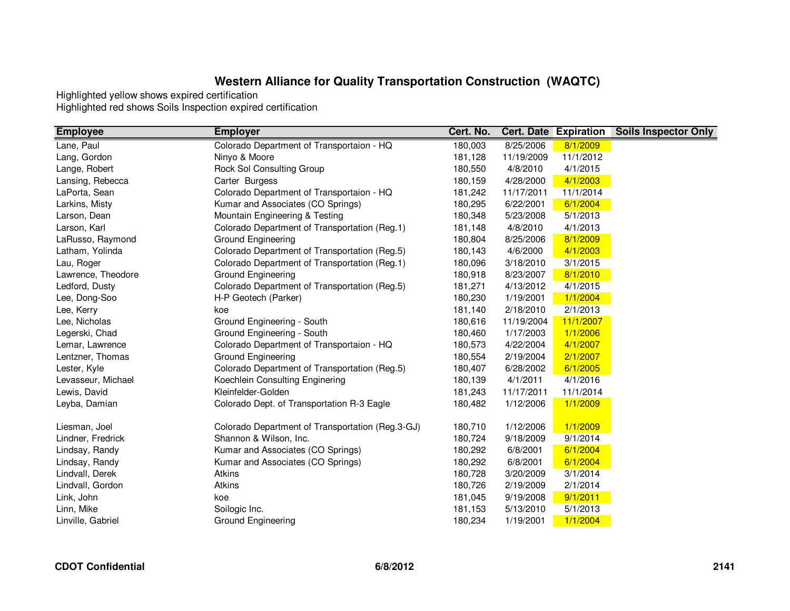| <b>Employee</b>    | <b>Employer</b>                                  | Cert. No. |            | <b>Cert. Date Expiration</b> | <b>Soils Inspector Only</b> |
|--------------------|--------------------------------------------------|-----------|------------|------------------------------|-----------------------------|
| Lane, Paul         | Colorado Department of Transportaion - HQ        | 180,003   | 8/25/2006  | 8/1/2009                     |                             |
| Lang, Gordon       | Ninyo & Moore                                    | 181,128   | 11/19/2009 | 11/1/2012                    |                             |
| Lange, Robert      | Rock Sol Consulting Group                        | 180,550   | 4/8/2010   | 4/1/2015                     |                             |
| Lansing, Rebecca   | Carter Burgess                                   | 180,159   | 4/28/2000  | 4/1/2003                     |                             |
| LaPorta, Sean      | Colorado Department of Transportaion - HQ        | 181,242   | 11/17/2011 | 11/1/2014                    |                             |
| Larkins, Misty     | Kumar and Associates (CO Springs)                | 180,295   | 6/22/2001  | 6/1/2004                     |                             |
| Larson, Dean       | Mountain Engineering & Testing                   | 180,348   | 5/23/2008  | 5/1/2013                     |                             |
| Larson, Karl       | Colorado Department of Transportation (Reg.1)    | 181,148   | 4/8/2010   | 4/1/2013                     |                             |
| LaRusso, Raymond   | Ground Engineering                               | 180,804   | 8/25/2006  | 8/1/2009                     |                             |
| Latham, Yolinda    | Colorado Department of Transportation (Reg.5)    | 180,143   | 4/6/2000   | 4/1/2003                     |                             |
| Lau, Roger         | Colorado Department of Transportation (Reg.1)    | 180,096   | 3/18/2010  | 3/1/2015                     |                             |
| Lawrence, Theodore | Ground Engineering                               | 180,918   | 8/23/2007  | 8/1/2010                     |                             |
| Ledford, Dusty     | Colorado Department of Transportation (Reg.5)    | 181,271   | 4/13/2012  | 4/1/2015                     |                             |
| Lee, Dong-Soo      | H-P Geotech (Parker)                             | 180,230   | 1/19/2001  | 1/1/2004                     |                             |
| Lee, Kerry         | koe                                              | 181,140   | 2/18/2010  | 2/1/2013                     |                             |
| Lee, Nicholas      | Ground Engineering - South                       | 180,616   | 11/19/2004 | 11/1/2007                    |                             |
| Legerski, Chad     | Ground Engineering - South                       | 180,460   | 1/17/2003  | 1/1/2006                     |                             |
| Lemar, Lawrence    | Colorado Department of Transportaion - HQ        | 180,573   | 4/22/2004  | 4/1/2007                     |                             |
| Lentzner, Thomas   | Ground Engineering                               | 180,554   | 2/19/2004  | 2/1/2007                     |                             |
| Lester, Kyle       | Colorado Department of Transportation (Reg.5)    | 180,407   | 6/28/2002  | 6/1/2005                     |                             |
| Levasseur, Michael | Koechlein Consulting Enginering                  | 180,139   | 4/1/2011   | 4/1/2016                     |                             |
| Lewis, David       | Kleinfelder-Golden                               | 181,243   | 11/17/2011 | 11/1/2014                    |                             |
| Leyba, Damian      | Colorado Dept. of Transportation R-3 Eagle       | 180,482   | 1/12/2006  | 1/1/2009                     |                             |
| Liesman, Joel      | Colorado Department of Transportation (Reg.3-GJ) | 180,710   | 1/12/2006  | 1/1/2009                     |                             |
| Lindner, Fredrick  | Shannon & Wilson, Inc.                           | 180,724   | 9/18/2009  | 9/1/2014                     |                             |
| Lindsay, Randy     | Kumar and Associates (CO Springs)                | 180,292   | 6/8/2001   | 6/1/2004                     |                             |
| Lindsay, Randy     | Kumar and Associates (CO Springs)                | 180,292   | 6/8/2001   | 6/1/2004                     |                             |
| Lindvall, Derek    | Atkins                                           | 180,728   | 3/20/2009  | 3/1/2014                     |                             |
| Lindvall, Gordon   | Atkins                                           | 180,726   | 2/19/2009  | 2/1/2014                     |                             |
| Link, John         | koe                                              | 181,045   | 9/19/2008  | 9/1/2011                     |                             |
| Linn, Mike         | Soilogic Inc.                                    | 181,153   | 5/13/2010  | 5/1/2013                     |                             |
| Linville, Gabriel  | <b>Ground Engineering</b>                        | 180,234   | 1/19/2001  | 1/1/2004                     |                             |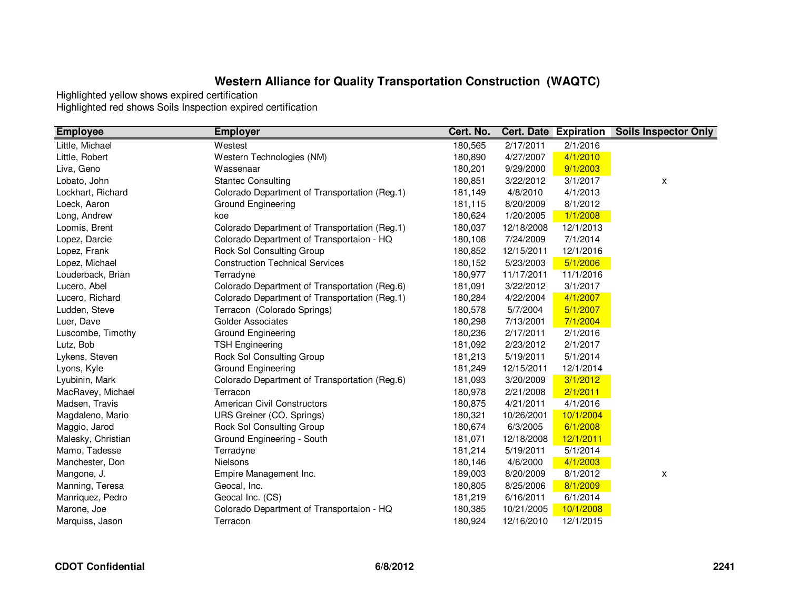| <b>Employee</b>    | <b>Employer</b>                               | Cert. No. |            | <b>Cert. Date Expiration</b> | <b>Soils Inspector Only</b> |
|--------------------|-----------------------------------------------|-----------|------------|------------------------------|-----------------------------|
| Little, Michael    | Westest                                       | 180,565   | 2/17/2011  | 2/1/2016                     |                             |
| Little, Robert     | Western Technologies (NM)                     | 180,890   | 4/27/2007  | 4/1/2010                     |                             |
| Liva, Geno         | Wassenaar                                     | 180,201   | 9/29/2000  | 9/1/2003                     |                             |
| Lobato, John       | <b>Stantec Consulting</b>                     | 180,851   | 3/22/2012  | 3/1/2017                     | x                           |
| Lockhart, Richard  | Colorado Department of Transportation (Reg.1) | 181,149   | 4/8/2010   | 4/1/2013                     |                             |
| Loeck, Aaron       | Ground Engineering                            | 181,115   | 8/20/2009  | 8/1/2012                     |                             |
| Long, Andrew       | koe                                           | 180,624   | 1/20/2005  | 1/1/2008                     |                             |
| Loomis, Brent      | Colorado Department of Transportation (Reg.1) | 180,037   | 12/18/2008 | 12/1/2013                    |                             |
| Lopez, Darcie      | Colorado Department of Transportaion - HQ     | 180,108   | 7/24/2009  | 7/1/2014                     |                             |
| Lopez, Frank       | Rock Sol Consulting Group                     | 180,852   | 12/15/2011 | 12/1/2016                    |                             |
| Lopez, Michael     | <b>Construction Technical Services</b>        | 180,152   | 5/23/2003  | 5/1/2006                     |                             |
| Louderback, Brian  | Terradyne                                     | 180,977   | 11/17/2011 | 11/1/2016                    |                             |
| Lucero, Abel       | Colorado Department of Transportation (Reg.6) | 181,091   | 3/22/2012  | 3/1/2017                     |                             |
| Lucero, Richard    | Colorado Department of Transportation (Reg.1) | 180,284   | 4/22/2004  | 4/1/2007                     |                             |
| Ludden, Steve      | Terracon (Colorado Springs)                   | 180,578   | 5/7/2004   | 5/1/2007                     |                             |
| Luer, Dave         | <b>Golder Associates</b>                      | 180,298   | 7/13/2001  | 7/1/2004                     |                             |
| Luscombe, Timothy  | Ground Engineering                            | 180,236   | 2/17/2011  | 2/1/2016                     |                             |
| Lutz, Bob          | <b>TSH Engineering</b>                        | 181,092   | 2/23/2012  | 2/1/2017                     |                             |
| Lykens, Steven     | Rock Sol Consulting Group                     | 181,213   | 5/19/2011  | 5/1/2014                     |                             |
| Lyons, Kyle        | Ground Engineering                            | 181,249   | 12/15/2011 | 12/1/2014                    |                             |
| Lyubinin, Mark     | Colorado Department of Transportation (Reg.6) | 181,093   | 3/20/2009  | 3/1/2012                     |                             |
| MacRavey, Michael  | Terracon                                      | 180,978   | 2/21/2008  | 2/1/2011                     |                             |
| Madsen, Travis     | <b>American Civil Constructors</b>            | 180,875   | 4/21/2011  | 4/1/2016                     |                             |
| Magdaleno, Mario   | URS Greiner (CO. Springs)                     | 180,321   | 10/26/2001 | 10/1/2004                    |                             |
| Maggio, Jarod      | Rock Sol Consulting Group                     | 180,674   | 6/3/2005   | 6/1/2008                     |                             |
| Malesky, Christian | Ground Engineering - South                    | 181,071   | 12/18/2008 | 12/1/2011                    |                             |
| Mamo, Tadesse      | Terradyne                                     | 181,214   | 5/19/2011  | 5/1/2014                     |                             |
| Manchester, Don    | <b>Nielsons</b>                               | 180,146   | 4/6/2000   | 4/1/2003                     |                             |
| Mangone, J.        | Empire Management Inc.                        | 189,003   | 8/20/2009  | 8/1/2012                     | X                           |
| Manning, Teresa    | Geocal, Inc.                                  | 180,805   | 8/25/2006  | 8/1/2009                     |                             |
| Manriquez, Pedro   | Geocal Inc. (CS)                              | 181,219   | 6/16/2011  | 6/1/2014                     |                             |
| Marone, Joe        | Colorado Department of Transportaion - HQ     | 180,385   | 10/21/2005 | 10/1/2008                    |                             |
| Marquiss, Jason    | Terracon                                      | 180,924   | 12/16/2010 | 12/1/2015                    |                             |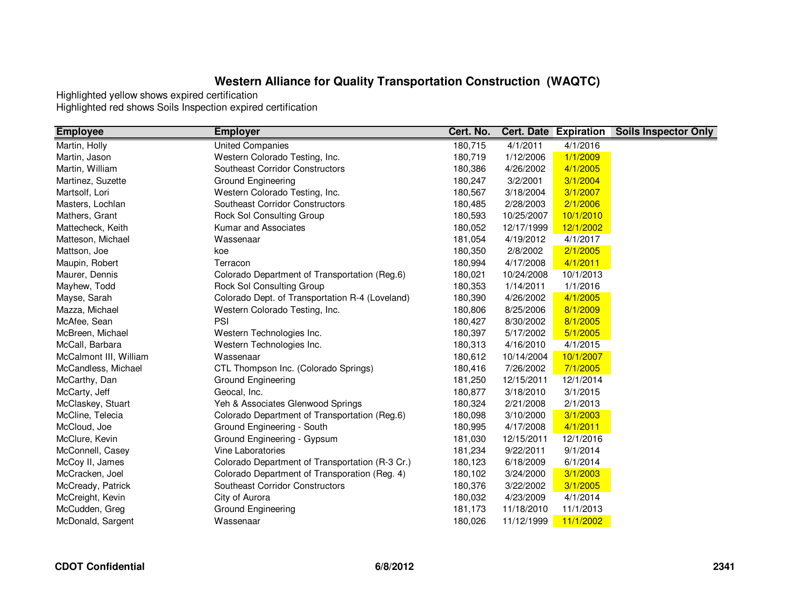| <b>Employee</b>        | <b>Employer</b>                                 | Cert. No. |            | <b>Cert. Date Expiration</b> | <b>Soils Inspector Only</b> |
|------------------------|-------------------------------------------------|-----------|------------|------------------------------|-----------------------------|
| Martin, Holly          | <b>United Companies</b>                         | 180,715   | 4/1/2011   | 4/1/2016                     |                             |
| Martin, Jason          | Western Colorado Testing, Inc.                  | 180,719   | 1/12/2006  | 1/1/2009                     |                             |
| Martin, William        | <b>Southeast Corridor Constructors</b>          | 180,386   | 4/26/2002  | 4/1/2005                     |                             |
| Martinez, Suzette      | <b>Ground Engineering</b>                       | 180,247   | 3/2/2001   | 3/1/2004                     |                             |
| Martsolf, Lori         | Western Colorado Testing, Inc.                  | 180,567   | 3/18/2004  | 3/1/2007                     |                             |
| Masters, Lochlan       | <b>Southeast Corridor Constructors</b>          | 180,485   | 2/28/2003  | 2/1/2006                     |                             |
| Mathers, Grant         | <b>Rock Sol Consulting Group</b>                | 180,593   | 10/25/2007 | 10/1/2010                    |                             |
| Mattecheck, Keith      | Kumar and Associates                            | 180,052   | 12/17/1999 | 12/1/2002                    |                             |
| Matteson, Michael      | Wassenaar                                       | 181,054   | 4/19/2012  | 4/1/2017                     |                             |
| Mattson, Joe           | koe                                             | 180,350   | 2/8/2002   | 2/1/2005                     |                             |
| Maupin, Robert         | Terracon                                        | 180,994   | 4/17/2008  | 4/1/2011                     |                             |
| Maurer, Dennis         | Colorado Department of Transportation (Reg.6)   | 180,021   | 10/24/2008 | 10/1/2013                    |                             |
| Mayhew, Todd           | <b>Rock Sol Consulting Group</b>                | 180,353   | 1/14/2011  | 1/1/2016                     |                             |
| Mayse, Sarah           | Colorado Dept. of Transportation R-4 (Loveland) | 180,390   | 4/26/2002  | 4/1/2005                     |                             |
| Mazza, Michael         | Western Colorado Testing, Inc.                  | 180,806   | 8/25/2006  | 8/1/2009                     |                             |
| McAfee, Sean           | PSI                                             | 180,427   | 8/30/2002  | 8/1/2005                     |                             |
| McBreen, Michael       | Western Technologies Inc.                       | 180,397   | 5/17/2002  | 5/1/2005                     |                             |
| McCall, Barbara        | Western Technologies Inc.                       | 180,313   | 4/16/2010  | 4/1/2015                     |                             |
| McCalmont III, William | Wassenaar                                       | 180,612   | 10/14/2004 | 10/1/2007                    |                             |
| McCandless, Michael    | CTL Thompson Inc. (Colorado Springs)            | 180,416   | 7/26/2002  | 7/1/2005                     |                             |
| McCarthy, Dan          | Ground Engineering                              | 181,250   | 12/15/2011 | 12/1/2014                    |                             |
| McCarty, Jeff          | Geocal, Inc.                                    | 180,877   | 3/18/2010  | 3/1/2015                     |                             |
| McClaskey, Stuart      | Yeh & Associates Glenwood Springs               | 180,324   | 2/21/2008  | 2/1/2013                     |                             |
| McCline, Telecia       | Colorado Department of Transportation (Reg.6)   | 180,098   | 3/10/2000  | 3/1/2003                     |                             |
| McCloud, Joe           | Ground Engineering - South                      | 180,995   | 4/17/2008  | 4/1/2011                     |                             |
| McClure, Kevin         | Ground Engineering - Gypsum                     | 181,030   | 12/15/2011 | 12/1/2016                    |                             |
| McConnell, Casey       | Vine Laboratories                               | 181,234   | 9/22/2011  | 9/1/2014                     |                             |
| McCoy II, James        | Colorado Department of Transportation (R-3 Cr.) | 180,123   | 6/18/2009  | 6/1/2014                     |                             |
| McCracken, Joel        | Colorado Department of Transporation (Reg. 4)   | 180,102   | 3/24/2000  | 3/1/2003                     |                             |
| McCready, Patrick      | <b>Southeast Corridor Constructors</b>          | 180,376   | 3/22/2002  | 3/1/2005                     |                             |
| McCreight, Kevin       | City of Aurora                                  | 180,032   | 4/23/2009  | 4/1/2014                     |                             |
| McCudden, Greg         | Ground Engineering                              | 181,173   | 11/18/2010 | 11/1/2013                    |                             |
| McDonald, Sargent      | Wassenaar                                       | 180,026   | 11/12/1999 | 11/1/2002                    |                             |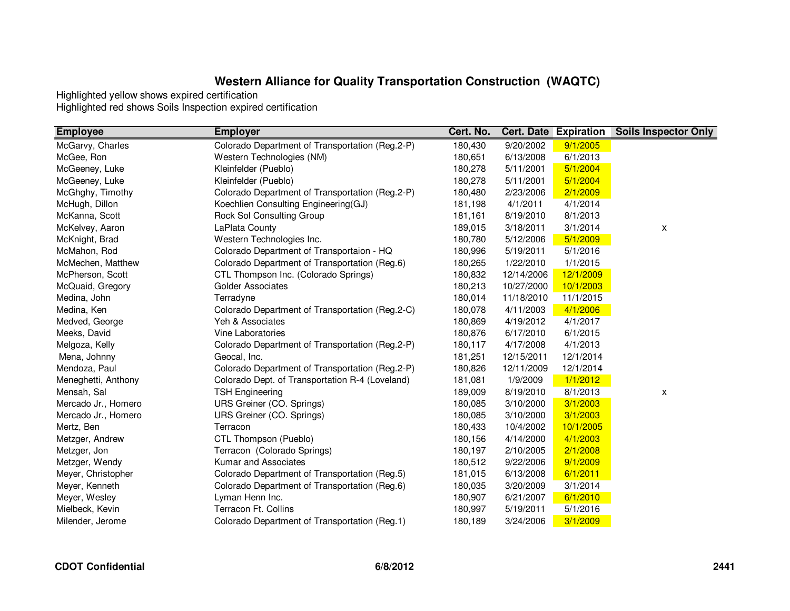| <b>Employee</b>     | <b>Employer</b>                                 | Cert. No. |            | <b>Cert. Date Expiration</b> | <b>Soils Inspector Only</b> |
|---------------------|-------------------------------------------------|-----------|------------|------------------------------|-----------------------------|
| McGarvy, Charles    | Colorado Department of Transportation (Reg.2-P) | 180,430   | 9/20/2002  | 9/1/2005                     |                             |
| McGee, Ron          | Western Technologies (NM)                       | 180,651   | 6/13/2008  | 6/1/2013                     |                             |
| McGeeney, Luke      | Kleinfelder (Pueblo)                            | 180,278   | 5/11/2001  | 5/1/2004                     |                             |
| McGeeney, Luke      | Kleinfelder (Pueblo)                            | 180,278   | 5/11/2001  | 5/1/2004                     |                             |
| McGhghy, Timothy    | Colorado Department of Transportation (Reg.2-P) | 180,480   | 2/23/2006  | 2/1/2009                     |                             |
| McHugh, Dillon      | Koechlien Consulting Engineering(GJ)            | 181,198   | 4/1/2011   | 4/1/2014                     |                             |
| McKanna, Scott      | Rock Sol Consulting Group                       | 181,161   | 8/19/2010  | 8/1/2013                     |                             |
| McKelvey, Aaron     | LaPlata County                                  | 189,015   | 3/18/2011  | 3/1/2014                     | X                           |
| McKnight, Brad      | Western Technologies Inc.                       | 180,780   | 5/12/2006  | 5/1/2009                     |                             |
| McMahon, Rod        | Colorado Department of Transportaion - HQ       | 180,996   | 5/19/2011  | 5/1/2016                     |                             |
| McMechen, Matthew   | Colorado Department of Transportation (Reg.6)   | 180,265   | 1/22/2010  | 1/1/2015                     |                             |
| McPherson, Scott    | CTL Thompson Inc. (Colorado Springs)            | 180,832   | 12/14/2006 | 12/1/2009                    |                             |
| McQuaid, Gregory    | <b>Golder Associates</b>                        | 180,213   | 10/27/2000 | 10/1/2003                    |                             |
| Medina, John        | Terradyne                                       | 180,014   | 11/18/2010 | 11/1/2015                    |                             |
| Medina, Ken         | Colorado Department of Transportation (Reg.2-C) | 180,078   | 4/11/2003  | 4/1/2006                     |                             |
| Medved, George      | Yeh & Associates                                | 180,869   | 4/19/2012  | 4/1/2017                     |                             |
| Meeks, David        | Vine Laboratories                               | 180,876   | 6/17/2010  | 6/1/2015                     |                             |
| Melgoza, Kelly      | Colorado Department of Transportation (Reg.2-P) | 180,117   | 4/17/2008  | 4/1/2013                     |                             |
| Mena, Johnny        | Geocal, Inc.                                    | 181,251   | 12/15/2011 | 12/1/2014                    |                             |
| Mendoza, Paul       | Colorado Department of Transportation (Reg.2-P) | 180,826   | 12/11/2009 | 12/1/2014                    |                             |
| Meneghetti, Anthony | Colorado Dept. of Transportation R-4 (Loveland) | 181,081   | 1/9/2009   | 1/1/2012                     |                             |
| Mensah, Sal         | <b>TSH Engineering</b>                          | 189,009   | 8/19/2010  | 8/1/2013                     | X                           |
| Mercado Jr., Homero | URS Greiner (CO. Springs)                       | 180,085   | 3/10/2000  | 3/1/2003                     |                             |
| Mercado Jr., Homero | URS Greiner (CO. Springs)                       | 180,085   | 3/10/2000  | 3/1/2003                     |                             |
| Mertz, Ben          | Terracon                                        | 180,433   | 10/4/2002  | 10/1/2005                    |                             |
| Metzger, Andrew     | CTL Thompson (Pueblo)                           | 180,156   | 4/14/2000  | 4/1/2003                     |                             |
| Metzger, Jon        | Terracon (Colorado Springs)                     | 180,197   | 2/10/2005  | 2/1/2008                     |                             |
| Metzger, Wendy      | Kumar and Associates                            | 180,512   | 9/22/2006  | 9/1/2009                     |                             |
| Meyer, Christopher  | Colorado Department of Transportation (Reg.5)   | 181,015   | 6/13/2008  | 6/1/2011                     |                             |
| Meyer, Kenneth      | Colorado Department of Transportation (Reg.6)   | 180,035   | 3/20/2009  | 3/1/2014                     |                             |
| Meyer, Wesley       | Lyman Henn Inc.                                 | 180,907   | 6/21/2007  | 6/1/2010                     |                             |
| Mielbeck, Kevin     | Terracon Ft. Collins                            | 180,997   | 5/19/2011  | 5/1/2016                     |                             |
| Milender, Jerome    | Colorado Department of Transportation (Reg.1)   | 180,189   | 3/24/2006  | 3/1/2009                     |                             |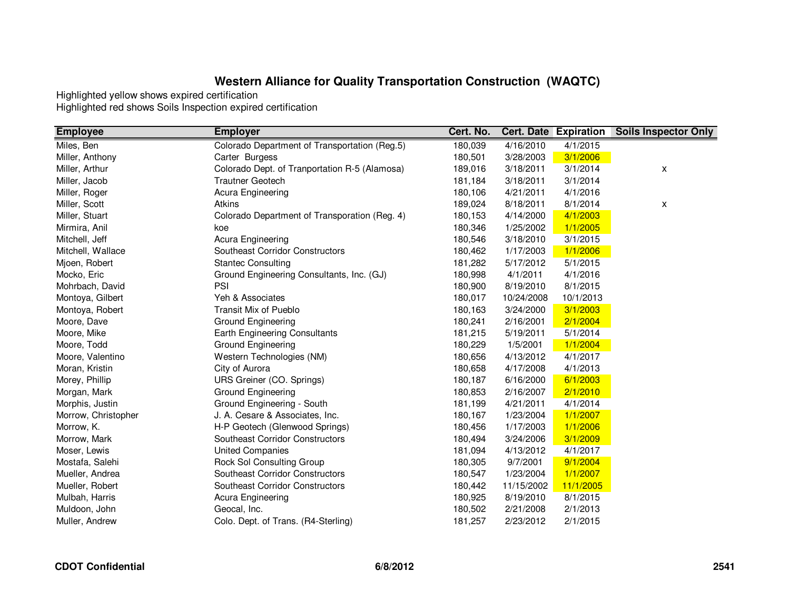| <b>Employee</b>     | <b>Employer</b>                               | Cert. No. |            | <b>Cert. Date Expiration</b> | <b>Soils Inspector Only</b> |
|---------------------|-----------------------------------------------|-----------|------------|------------------------------|-----------------------------|
| Miles, Ben          | Colorado Department of Transportation (Reg.5) | 180,039   | 4/16/2010  | 4/1/2015                     |                             |
| Miller, Anthony     | Carter Burgess                                | 180,501   | 3/28/2003  | 3/1/2006                     |                             |
| Miller, Arthur      | Colorado Dept. of Tranportation R-5 (Alamosa) | 189,016   | 3/18/2011  | 3/1/2014                     | X                           |
| Miller, Jacob       | <b>Trautner Geotech</b>                       | 181,184   | 3/18/2011  | 3/1/2014                     |                             |
| Miller, Roger       | Acura Engineering                             | 180,106   | 4/21/2011  | 4/1/2016                     |                             |
| Miller, Scott       | Atkins                                        | 189,024   | 8/18/2011  | 8/1/2014                     | X                           |
| Miller, Stuart      | Colorado Department of Transporation (Reg. 4) | 180,153   | 4/14/2000  | 4/1/2003                     |                             |
| Mirmira, Anil       | koe                                           | 180,346   | 1/25/2002  | 1/1/2005                     |                             |
| Mitchell, Jeff      | Acura Engineering                             | 180,546   | 3/18/2010  | 3/1/2015                     |                             |
| Mitchell, Wallace   | Southeast Corridor Constructors               | 180,462   | 1/17/2003  | 1/1/2006                     |                             |
| Mjoen, Robert       | <b>Stantec Consulting</b>                     | 181,282   | 5/17/2012  | 5/1/2015                     |                             |
| Mocko, Eric         | Ground Engineering Consultants, Inc. (GJ)     | 180,998   | 4/1/2011   | 4/1/2016                     |                             |
| Mohrbach, David     | PSI                                           | 180,900   | 8/19/2010  | 8/1/2015                     |                             |
| Montoya, Gilbert    | Yeh & Associates                              | 180,017   | 10/24/2008 | 10/1/2013                    |                             |
| Montoya, Robert     | Transit Mix of Pueblo                         | 180,163   | 3/24/2000  | 3/1/2003                     |                             |
| Moore, Dave         | Ground Engineering                            | 180,241   | 2/16/2001  | 2/1/2004                     |                             |
| Moore, Mike         | Earth Engineering Consultants                 | 181,215   | 5/19/2011  | 5/1/2014                     |                             |
| Moore, Todd         | Ground Engineering                            | 180,229   | 1/5/2001   | 1/1/2004                     |                             |
| Moore, Valentino    | Western Technologies (NM)                     | 180,656   | 4/13/2012  | 4/1/2017                     |                             |
| Moran, Kristin      | City of Aurora                                | 180,658   | 4/17/2008  | 4/1/2013                     |                             |
| Morey, Phillip      | URS Greiner (CO. Springs)                     | 180,187   | 6/16/2000  | 6/1/2003                     |                             |
| Morgan, Mark        | Ground Engineering                            | 180,853   | 2/16/2007  | 2/1/2010                     |                             |
| Morphis, Justin     | Ground Engineering - South                    | 181,199   | 4/21/2011  | 4/1/2014                     |                             |
| Morrow, Christopher | J. A. Cesare & Associates, Inc.               | 180,167   | 1/23/2004  | 1/1/2007                     |                             |
| Morrow, K.          | H-P Geotech (Glenwood Springs)                | 180,456   | 1/17/2003  | 1/1/2006                     |                             |
| Morrow, Mark        | Southeast Corridor Constructors               | 180,494   | 3/24/2006  | 3/1/2009                     |                             |
| Moser, Lewis        | <b>United Companies</b>                       | 181,094   | 4/13/2012  | 4/1/2017                     |                             |
| Mostafa, Salehi     | Rock Sol Consulting Group                     | 180,305   | 9/7/2001   | 9/1/2004                     |                             |
| Mueller, Andrea     | Southeast Corridor Constructors               | 180,547   | 1/23/2004  | 1/1/2007                     |                             |
| Mueller, Robert     | Southeast Corridor Constructors               | 180,442   | 11/15/2002 | 11/1/2005                    |                             |
| Mulbah, Harris      | Acura Engineering                             | 180,925   | 8/19/2010  | 8/1/2015                     |                             |
| Muldoon, John       | Geocal, Inc.                                  | 180,502   | 2/21/2008  | 2/1/2013                     |                             |
| Muller, Andrew      | Colo. Dept. of Trans. (R4-Sterling)           | 181,257   | 2/23/2012  | 2/1/2015                     |                             |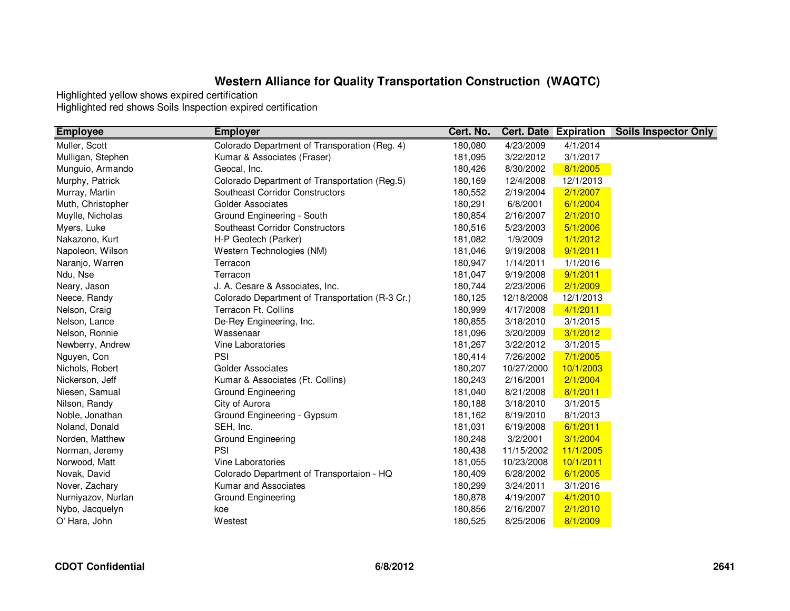| <b>Employee</b>    | <b>Employer</b>                                 | Cert. No. |            | <b>Cert. Date Expiration</b> | <b>Soils Inspector Only</b> |
|--------------------|-------------------------------------------------|-----------|------------|------------------------------|-----------------------------|
| Muller, Scott      | Colorado Department of Transporation (Reg. 4)   | 180,080   | 4/23/2009  | 4/1/2014                     |                             |
| Mulligan, Stephen  | Kumar & Associates (Fraser)                     | 181,095   | 3/22/2012  | 3/1/2017                     |                             |
| Munguio, Armando   | Geocal, Inc.                                    | 180,426   | 8/30/2002  | 8/1/2005                     |                             |
| Murphy, Patrick    | Colorado Department of Transportation (Reg.5)   | 180,169   | 12/4/2008  | 12/1/2013                    |                             |
| Murray, Martin     | <b>Southeast Corridor Constructors</b>          | 180,552   | 2/19/2004  | 2/1/2007                     |                             |
| Muth, Christopher  | <b>Golder Associates</b>                        | 180,291   | 6/8/2001   | 6/1/2004                     |                             |
| Muylle, Nicholas   | Ground Engineering - South                      | 180,854   | 2/16/2007  | 2/1/2010                     |                             |
| Myers, Luke        | Southeast Corridor Constructors                 | 180,516   | 5/23/2003  | 5/1/2006                     |                             |
| Nakazono, Kurt     | H-P Geotech (Parker)                            | 181,082   | 1/9/2009   | 1/1/2012                     |                             |
| Napoleon, Wilson   | Western Technologies (NM)                       | 181,046   | 9/19/2008  | 9/1/2011                     |                             |
| Naranjo, Warren    | Terracon                                        | 180,947   | 1/14/2011  | 1/1/2016                     |                             |
| Ndu, Nse           | Terracon                                        | 181,047   | 9/19/2008  | 9/1/2011                     |                             |
| Neary, Jason       | J. A. Cesare & Associates, Inc.                 | 180,744   | 2/23/2006  | 2/1/2009                     |                             |
| Neece, Randy       | Colorado Department of Transportation (R-3 Cr.) | 180,125   | 12/18/2008 | 12/1/2013                    |                             |
| Nelson, Craig      | Terracon Ft. Collins                            | 180,999   | 4/17/2008  | 4/1/2011                     |                             |
| Nelson, Lance      | De-Rey Engineering, Inc.                        | 180,855   | 3/18/2010  | 3/1/2015                     |                             |
| Nelson, Ronnie     | Wassenaar                                       | 181,096   | 3/20/2009  | 3/1/2012                     |                             |
| Newberry, Andrew   | Vine Laboratories                               | 181,267   | 3/22/2012  | 3/1/2015                     |                             |
| Nguyen, Con        | PSI                                             | 180,414   | 7/26/2002  | 7/1/2005                     |                             |
| Nichols, Robert    | <b>Golder Associates</b>                        | 180,207   | 10/27/2000 | 10/1/2003                    |                             |
| Nickerson, Jeff    | Kumar & Associates (Ft. Collins)                | 180,243   | 2/16/2001  | 2/1/2004                     |                             |
| Niesen, Samual     | Ground Engineering                              | 181,040   | 8/21/2008  | 8/1/2011                     |                             |
| Nilson, Randy      | City of Aurora                                  | 180,188   | 3/18/2010  | 3/1/2015                     |                             |
| Noble, Jonathan    | Ground Engineering - Gypsum                     | 181,162   | 8/19/2010  | 8/1/2013                     |                             |
| Noland, Donald     | SEH, Inc.                                       | 181,031   | 6/19/2008  | 6/1/2011                     |                             |
| Norden, Matthew    | Ground Engineering                              | 180,248   | 3/2/2001   | 3/1/2004                     |                             |
| Norman, Jeremy     | PSI                                             | 180,438   | 11/15/2002 | 11/1/2005                    |                             |
| Norwood, Matt      | Vine Laboratories                               | 181,055   | 10/23/2008 | 10/1/2011                    |                             |
| Novak, David       | Colorado Department of Transportaion - HQ       | 180,409   | 6/28/2002  | 6/1/2005                     |                             |
| Nover, Zachary     | Kumar and Associates                            | 180,299   | 3/24/2011  | 3/1/2016                     |                             |
| Nurniyazov, Nurlan | Ground Engineering                              | 180,878   | 4/19/2007  | 4/1/2010                     |                             |
| Nybo, Jacquelyn    | koe                                             | 180,856   | 2/16/2007  | 2/1/2010                     |                             |
| O' Hara, John      | Westest                                         | 180,525   | 8/25/2006  | 8/1/2009                     |                             |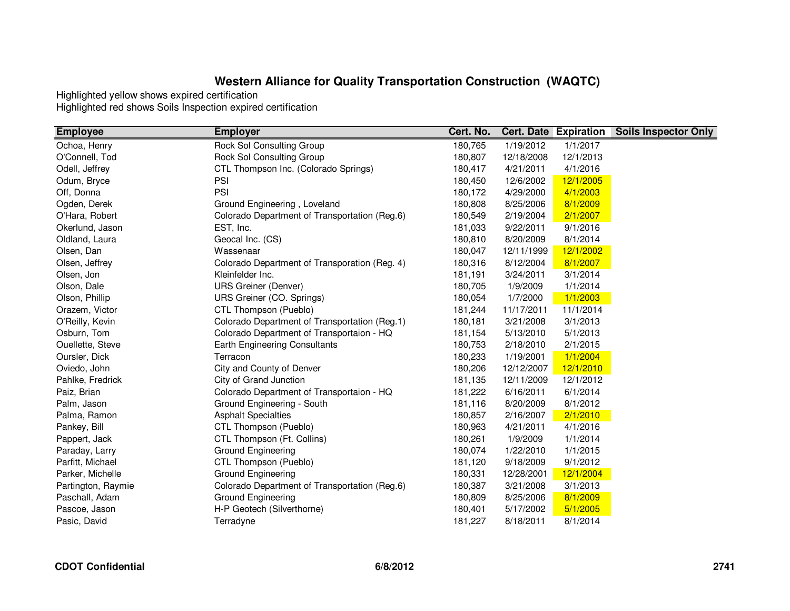| <b>Employee</b>    | <b>Employer</b>                               | Cert. No. |            | <b>Cert. Date Expiration</b> | <b>Soils Inspector Only</b> |
|--------------------|-----------------------------------------------|-----------|------------|------------------------------|-----------------------------|
| Ochoa, Henry       | <b>Rock Sol Consulting Group</b>              | 180,765   | 1/19/2012  | 1/1/2017                     |                             |
| O'Connell, Tod     | Rock Sol Consulting Group                     | 180,807   | 12/18/2008 | 12/1/2013                    |                             |
| Odell, Jeffrey     | CTL Thompson Inc. (Colorado Springs)          | 180,417   | 4/21/2011  | 4/1/2016                     |                             |
| Odum, Bryce        | PSI                                           | 180,450   | 12/6/2002  | 12/1/2005                    |                             |
| Off, Donna         | PSI                                           | 180,172   | 4/29/2000  | 4/1/2003                     |                             |
| Ogden, Derek       | Ground Engineering, Loveland                  | 180,808   | 8/25/2006  | 8/1/2009                     |                             |
| O'Hara, Robert     | Colorado Department of Transportation (Reg.6) | 180,549   | 2/19/2004  | 2/1/2007                     |                             |
| Okerlund, Jason    | EST, Inc.                                     | 181,033   | 9/22/2011  | 9/1/2016                     |                             |
| Oldland, Laura     | Geocal Inc. (CS)                              | 180,810   | 8/20/2009  | 8/1/2014                     |                             |
| Olsen, Dan         | Wassenaar                                     | 180,047   | 12/11/1999 | 12/1/2002                    |                             |
| Olsen, Jeffrey     | Colorado Department of Transporation (Reg. 4) | 180,316   | 8/12/2004  | 8/1/2007                     |                             |
| Olsen, Jon         | Kleinfelder Inc.                              | 181,191   | 3/24/2011  | 3/1/2014                     |                             |
| Olson, Dale        | <b>URS Greiner (Denver)</b>                   | 180,705   | 1/9/2009   | 1/1/2014                     |                             |
| Olson, Phillip     | URS Greiner (CO. Springs)                     | 180,054   | 1/7/2000   | 1/1/2003                     |                             |
| Orazem, Victor     | CTL Thompson (Pueblo)                         | 181,244   | 11/17/2011 | 11/1/2014                    |                             |
| O'Reilly, Kevin    | Colorado Department of Transportation (Reg.1) | 180,181   | 3/21/2008  | 3/1/2013                     |                             |
| Osburn, Tom        | Colorado Department of Transportaion - HQ     | 181,154   | 5/13/2010  | 5/1/2013                     |                             |
| Ouellette, Steve   | <b>Earth Engineering Consultants</b>          | 180,753   | 2/18/2010  | 2/1/2015                     |                             |
| Oursler, Dick      | Terracon                                      | 180,233   | 1/19/2001  | 1/1/2004                     |                             |
| Oviedo, John       | City and County of Denver                     | 180,206   | 12/12/2007 | 12/1/2010                    |                             |
| Pahlke, Fredrick   | City of Grand Junction                        | 181,135   | 12/11/2009 | 12/1/2012                    |                             |
| Paiz, Brian        | Colorado Department of Transportaion - HQ     | 181,222   | 6/16/2011  | 6/1/2014                     |                             |
| Palm, Jason        | Ground Engineering - South                    | 181,116   | 8/20/2009  | 8/1/2012                     |                             |
| Palma, Ramon       | <b>Asphalt Specialties</b>                    | 180,857   | 2/16/2007  | 2/1/2010                     |                             |
| Pankey, Bill       | CTL Thompson (Pueblo)                         | 180,963   | 4/21/2011  | 4/1/2016                     |                             |
| Pappert, Jack      | CTL Thompson (Ft. Collins)                    | 180,261   | 1/9/2009   | 1/1/2014                     |                             |
| Paraday, Larry     | <b>Ground Engineering</b>                     | 180,074   | 1/22/2010  | 1/1/2015                     |                             |
| Parfitt, Michael   | CTL Thompson (Pueblo)                         | 181,120   | 9/18/2009  | 9/1/2012                     |                             |
| Parker, Michelle   | Ground Engineering                            | 180,331   | 12/28/2001 | 12/1/2004                    |                             |
| Partington, Raymie | Colorado Department of Transportation (Reg.6) | 180,387   | 3/21/2008  | 3/1/2013                     |                             |
| Paschall, Adam     | Ground Engineering                            | 180,809   | 8/25/2006  | 8/1/2009                     |                             |
| Pascoe, Jason      | H-P Geotech (Silverthorne)                    | 180,401   | 5/17/2002  | 5/1/2005                     |                             |
| Pasic, David       | Terradyne                                     | 181,227   | 8/18/2011  | 8/1/2014                     |                             |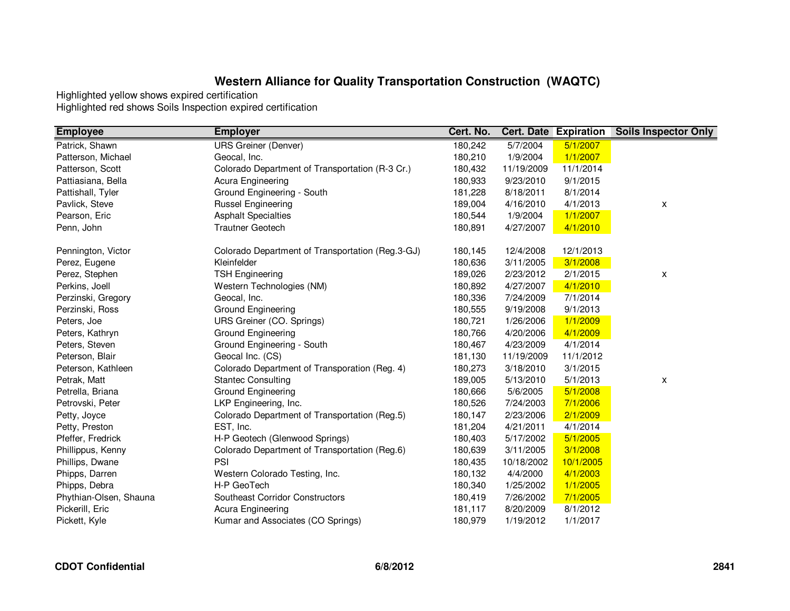| <b>Employee</b>        | <b>Employer</b>                                  | Cert. No. |            | <b>Cert. Date Expiration</b> | <b>Soils Inspector Only</b> |
|------------------------|--------------------------------------------------|-----------|------------|------------------------------|-----------------------------|
| Patrick, Shawn         | <b>URS Greiner (Denver)</b>                      | 180,242   | 5/7/2004   | 5/1/2007                     |                             |
| Patterson, Michael     | Geocal, Inc.                                     | 180,210   | 1/9/2004   | 1/1/2007                     |                             |
| Patterson, Scott       | Colorado Department of Transportation (R-3 Cr.)  | 180,432   | 11/19/2009 | 11/1/2014                    |                             |
| Pattiasiana, Bella     | Acura Engineering                                | 180,933   | 9/23/2010  | 9/1/2015                     |                             |
| Pattishall, Tyler      | Ground Engineering - South                       | 181,228   | 8/18/2011  | 8/1/2014                     |                             |
| Pavlick, Steve         | <b>Russel Engineering</b>                        | 189,004   | 4/16/2010  | 4/1/2013                     | X                           |
| Pearson, Eric          | <b>Asphalt Specialties</b>                       | 180,544   | 1/9/2004   | 1/1/2007                     |                             |
| Penn, John             | <b>Trautner Geotech</b>                          | 180,891   | 4/27/2007  | 4/1/2010                     |                             |
| Pennington, Victor     | Colorado Department of Transportation (Reg.3-GJ) | 180,145   | 12/4/2008  | 12/1/2013                    |                             |
| Perez, Eugene          | Kleinfelder                                      | 180,636   | 3/11/2005  | 3/1/2008                     |                             |
| Perez, Stephen         | <b>TSH Engineering</b>                           | 189,026   | 2/23/2012  | 2/1/2015                     | x                           |
| Perkins, Joell         | Western Technologies (NM)                        | 180,892   | 4/27/2007  | 4/1/2010                     |                             |
| Perzinski, Gregory     | Geocal, Inc.                                     | 180,336   | 7/24/2009  | 7/1/2014                     |                             |
| Perzinski, Ross        | Ground Engineering                               | 180,555   | 9/19/2008  | 9/1/2013                     |                             |
| Peters, Joe            | URS Greiner (CO. Springs)                        | 180,721   | 1/26/2006  | 1/1/2009                     |                             |
| Peters, Kathryn        | Ground Engineering                               | 180,766   | 4/20/2006  | 4/1/2009                     |                             |
| Peters, Steven         | Ground Engineering - South                       | 180,467   | 4/23/2009  | 4/1/2014                     |                             |
| Peterson, Blair        | Geocal Inc. (CS)                                 | 181,130   | 11/19/2009 | 11/1/2012                    |                             |
| Peterson, Kathleen     | Colorado Department of Transporation (Reg. 4)    | 180,273   | 3/18/2010  | 3/1/2015                     |                             |
| Petrak, Matt           | <b>Stantec Consulting</b>                        | 189,005   | 5/13/2010  | 5/1/2013                     | X                           |
| Petrella, Briana       | Ground Engineering                               | 180,666   | 5/6/2005   | 5/1/2008                     |                             |
| Petrovski, Peter       | LKP Engineering, Inc.                            | 180,526   | 7/24/2003  | 7/1/2006                     |                             |
| Petty, Joyce           | Colorado Department of Transportation (Reg.5)    | 180,147   | 2/23/2006  | 2/1/2009                     |                             |
| Petty, Preston         | EST, Inc.                                        | 181,204   | 4/21/2011  | 4/1/2014                     |                             |
| Pfeffer, Fredrick      | H-P Geotech (Glenwood Springs)                   | 180,403   | 5/17/2002  | 5/1/2005                     |                             |
| Phillippus, Kenny      | Colorado Department of Transportation (Reg.6)    | 180,639   | 3/11/2005  | 3/1/2008                     |                             |
| Phillips, Dwane        | PSI                                              | 180,435   | 10/18/2002 | 10/1/2005                    |                             |
| Phipps, Darren         | Western Colorado Testing, Inc.                   | 180,132   | 4/4/2000   | 4/1/2003                     |                             |
| Phipps, Debra          | H-P GeoTech                                      | 180,340   | 1/25/2002  | 1/1/2005                     |                             |
| Phythian-Olsen, Shauna | Southeast Corridor Constructors                  | 180,419   | 7/26/2002  | 7/1/2005                     |                             |
| Pickerill, Eric        | Acura Engineering                                | 181,117   | 8/20/2009  | 8/1/2012                     |                             |
| Pickett, Kyle          | Kumar and Associates (CO Springs)                | 180,979   | 1/19/2012  | 1/1/2017                     |                             |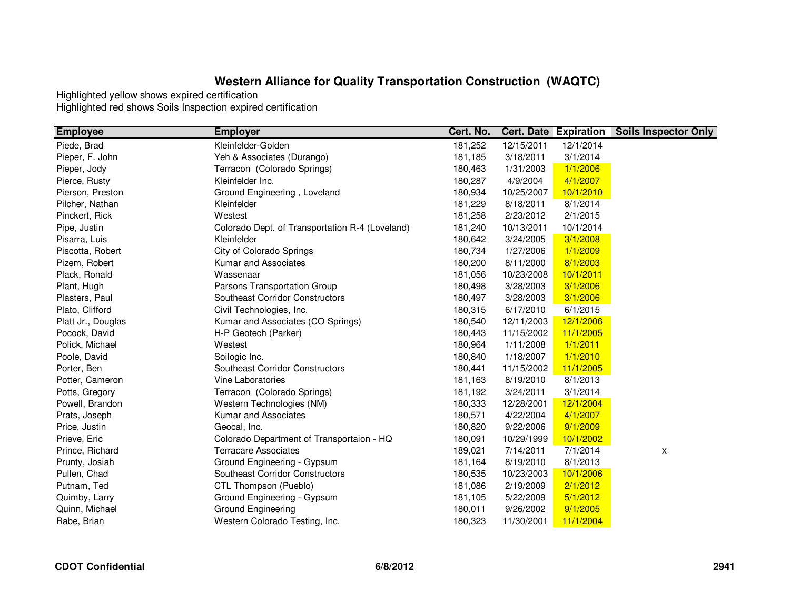| <b>Employee</b>    | <b>Employer</b>                                 | Cert. No. |            | <b>Cert. Date Expiration</b> | <b>Soils Inspector Only</b> |
|--------------------|-------------------------------------------------|-----------|------------|------------------------------|-----------------------------|
| Piede, Brad        | Kleinfelder-Golden                              | 181,252   | 12/15/2011 | 12/1/2014                    |                             |
| Pieper, F. John    | Yeh & Associates (Durango)                      | 181,185   | 3/18/2011  | 3/1/2014                     |                             |
| Pieper, Jody       | Terracon (Colorado Springs)                     | 180,463   | 1/31/2003  | 1/1/2006                     |                             |
| Pierce, Rusty      | Kleinfelder Inc.                                | 180,287   | 4/9/2004   | 4/1/2007                     |                             |
| Pierson, Preston   | Ground Engineering, Loveland                    | 180,934   | 10/25/2007 | 10/1/2010                    |                             |
| Pilcher, Nathan    | Kleinfelder                                     | 181,229   | 8/18/2011  | 8/1/2014                     |                             |
| Pinckert, Rick     | Westest                                         | 181,258   | 2/23/2012  | 2/1/2015                     |                             |
| Pipe, Justin       | Colorado Dept. of Transportation R-4 (Loveland) | 181,240   | 10/13/2011 | 10/1/2014                    |                             |
| Pisarra, Luis      | Kleinfelder                                     | 180,642   | 3/24/2005  | 3/1/2008                     |                             |
| Piscotta, Robert   | City of Colorado Springs                        | 180,734   | 1/27/2006  | 1/1/2009                     |                             |
| Pizem, Robert      | Kumar and Associates                            | 180,200   | 8/11/2000  | 8/1/2003                     |                             |
| Plack, Ronald      | Wassenaar                                       | 181,056   | 10/23/2008 | 10/1/2011                    |                             |
| Plant, Hugh        | Parsons Transportation Group                    | 180,498   | 3/28/2003  | 3/1/2006                     |                             |
| Plasters, Paul     | Southeast Corridor Constructors                 | 180,497   | 3/28/2003  | 3/1/2006                     |                             |
| Plato, Clifford    | Civil Technologies, Inc.                        | 180,315   | 6/17/2010  | 6/1/2015                     |                             |
| Platt Jr., Douglas | Kumar and Associates (CO Springs)               | 180,540   | 12/11/2003 | 12/1/2006                    |                             |
| Pocock, David      | H-P Geotech (Parker)                            | 180,443   | 11/15/2002 | 11/1/2005                    |                             |
| Polick, Michael    | Westest                                         | 180,964   | 1/11/2008  | 1/1/2011                     |                             |
| Poole, David       | Soilogic Inc.                                   | 180,840   | 1/18/2007  | 1/1/2010                     |                             |
| Porter, Ben        | Southeast Corridor Constructors                 | 180,441   | 11/15/2002 | 11/1/2005                    |                             |
| Potter, Cameron    | Vine Laboratories                               | 181,163   | 8/19/2010  | 8/1/2013                     |                             |
| Potts, Gregory     | Terracon (Colorado Springs)                     | 181,192   | 3/24/2011  | 3/1/2014                     |                             |
| Powell, Brandon    | Western Technologies (NM)                       | 180,333   | 12/28/2001 | 12/1/2004                    |                             |
| Prats, Joseph      | Kumar and Associates                            | 180,571   | 4/22/2004  | 4/1/2007                     |                             |
| Price, Justin      | Geocal, Inc.                                    | 180,820   | 9/22/2006  | 9/1/2009                     |                             |
| Prieve, Eric       | Colorado Department of Transportaion - HQ       | 180,091   | 10/29/1999 | 10/1/2002                    |                             |
| Prince, Richard    | <b>Terracare Associates</b>                     | 189,021   | 7/14/2011  | 7/1/2014                     | x                           |
| Prunty, Josiah     | Ground Engineering - Gypsum                     | 181,164   | 8/19/2010  | 8/1/2013                     |                             |
| Pullen, Chad       | <b>Southeast Corridor Constructors</b>          | 180,535   | 10/23/2003 | 10/1/2006                    |                             |
| Putnam, Ted        | CTL Thompson (Pueblo)                           | 181,086   | 2/19/2009  | 2/1/2012                     |                             |
| Quimby, Larry      | Ground Engineering - Gypsum                     | 181,105   | 5/22/2009  | 5/1/2012                     |                             |
| Quinn, Michael     | Ground Engineering                              | 180,011   | 9/26/2002  | 9/1/2005                     |                             |
| Rabe, Brian        | Western Colorado Testing, Inc.                  | 180,323   | 11/30/2001 | 11/1/2004                    |                             |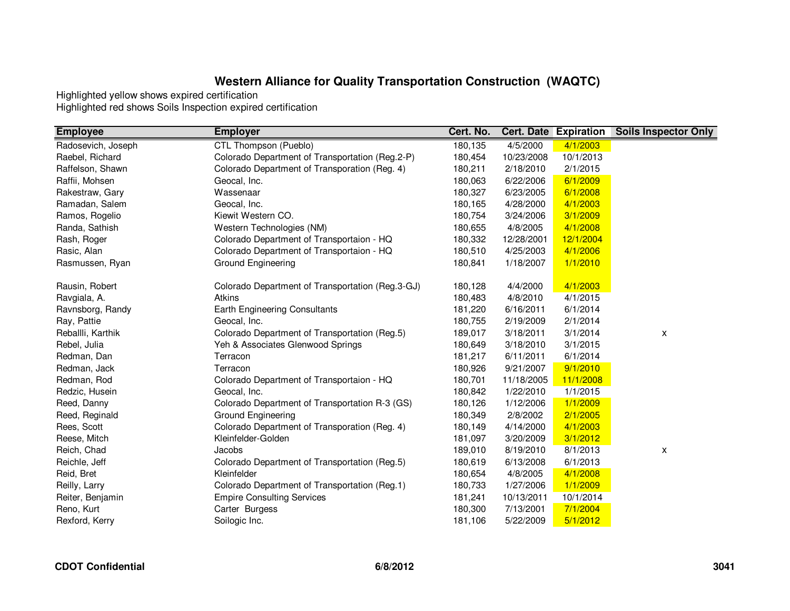| <b>Employee</b>    | <b>Employer</b>                                  | Cert. No. |            | <b>Cert. Date Expiration</b> | <b>Soils Inspector Only</b> |
|--------------------|--------------------------------------------------|-----------|------------|------------------------------|-----------------------------|
| Radosevich, Joseph | CTL Thompson (Pueblo)                            | 180,135   | 4/5/2000   | 4/1/2003                     |                             |
| Raebel, Richard    | Colorado Department of Transportation (Reg.2-P)  | 180,454   | 10/23/2008 | 10/1/2013                    |                             |
| Raffelson, Shawn   | Colorado Department of Transporation (Reg. 4)    | 180,211   | 2/18/2010  | 2/1/2015                     |                             |
| Raffii, Mohsen     | Geocal, Inc.                                     | 180,063   | 6/22/2006  | 6/1/2009                     |                             |
| Rakestraw, Gary    | Wassenaar                                        | 180,327   | 6/23/2005  | 6/1/2008                     |                             |
| Ramadan, Salem     | Geocal, Inc.                                     | 180,165   | 4/28/2000  | 4/1/2003                     |                             |
| Ramos, Rogelio     | Kiewit Western CO.                               | 180,754   | 3/24/2006  | 3/1/2009                     |                             |
| Randa, Sathish     | Western Technologies (NM)                        | 180,655   | 4/8/2005   | 4/1/2008                     |                             |
| Rash, Roger        | Colorado Department of Transportaion - HQ        | 180,332   | 12/28/2001 | 12/1/2004                    |                             |
| Rasic, Alan        | Colorado Department of Transportaion - HQ        | 180,510   | 4/25/2003  | 4/1/2006                     |                             |
| Rasmussen, Ryan    | Ground Engineering                               | 180,841   | 1/18/2007  | 1/1/2010                     |                             |
| Rausin, Robert     | Colorado Department of Transportation (Reg.3-GJ) | 180,128   | 4/4/2000   | 4/1/2003                     |                             |
| Ravgiala, A.       | <b>Atkins</b>                                    | 180,483   | 4/8/2010   | 4/1/2015                     |                             |
| Ravnsborg, Randy   | <b>Earth Engineering Consultants</b>             | 181,220   | 6/16/2011  | 6/1/2014                     |                             |
| Ray, Pattie        | Geocal, Inc.                                     | 180,755   | 2/19/2009  | 2/1/2014                     |                             |
| Reballli, Karthik  | Colorado Department of Transportation (Reg.5)    | 189,017   | 3/18/2011  | 3/1/2014                     | X                           |
| Rebel, Julia       | Yeh & Associates Glenwood Springs                | 180,649   | 3/18/2010  | 3/1/2015                     |                             |
| Redman, Dan        | Terracon                                         | 181,217   | 6/11/2011  | 6/1/2014                     |                             |
| Redman, Jack       | Terracon                                         | 180,926   | 9/21/2007  | 9/1/2010                     |                             |
| Redman, Rod        | Colorado Department of Transportaion - HQ        | 180,701   | 11/18/2005 | 11/1/2008                    |                             |
| Redzic, Husein     | Geocal, Inc.                                     | 180,842   | 1/22/2010  | 1/1/2015                     |                             |
| Reed, Danny        | Colorado Department of Transportation R-3 (GS)   | 180,126   | 1/12/2006  | 1/1/2009                     |                             |
| Reed, Reginald     | Ground Engineering                               | 180,349   | 2/8/2002   | 2/1/2005                     |                             |
| Rees, Scott        | Colorado Department of Transporation (Reg. 4)    | 180,149   | 4/14/2000  | 4/1/2003                     |                             |
| Reese, Mitch       | Kleinfelder-Golden                               | 181,097   | 3/20/2009  | 3/1/2012                     |                             |
| Reich, Chad        | Jacobs                                           | 189,010   | 8/19/2010  | 8/1/2013                     | X                           |
| Reichle, Jeff      | Colorado Department of Transportation (Reg.5)    | 180,619   | 6/13/2008  | 6/1/2013                     |                             |
| Reid, Bret         | Kleinfelder                                      | 180,654   | 4/8/2005   | 4/1/2008                     |                             |
| Reilly, Larry      | Colorado Department of Transportation (Reg.1)    | 180,733   | 1/27/2006  | 1/1/2009                     |                             |
| Reiter, Benjamin   | <b>Empire Consulting Services</b>                | 181,241   | 10/13/2011 | 10/1/2014                    |                             |
| Reno, Kurt         | Carter Burgess                                   | 180,300   | 7/13/2001  | 7/1/2004                     |                             |
| Rexford, Kerry     | Soilogic Inc.                                    | 181,106   | 5/22/2009  | 5/1/2012                     |                             |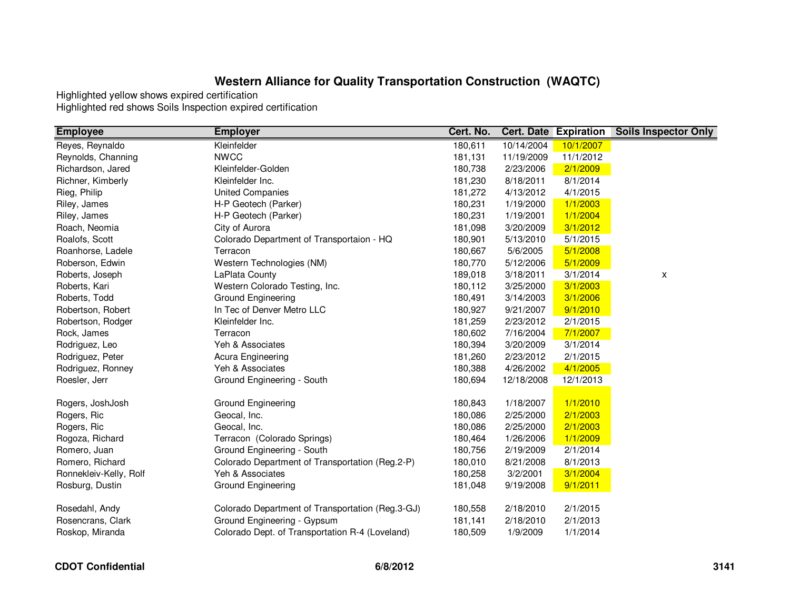| <b>Employee</b>        | <b>Employer</b>                                  | Cert. No. | <b>Cert. Date</b> | <b>Expiration</b> | <b>Soils Inspector Only</b> |
|------------------------|--------------------------------------------------|-----------|-------------------|-------------------|-----------------------------|
| Reyes, Reynaldo        | Kleinfelder                                      | 180,611   | 10/14/2004        | 10/1/2007         |                             |
| Reynolds, Channing     | <b>NWCC</b>                                      | 181,131   | 11/19/2009        | 11/1/2012         |                             |
| Richardson, Jared      | Kleinfelder-Golden                               | 180,738   | 2/23/2006         | 2/1/2009          |                             |
| Richner, Kimberly      | Kleinfelder Inc.                                 | 181,230   | 8/18/2011         | 8/1/2014          |                             |
| Rieg, Philip           | <b>United Companies</b>                          | 181,272   | 4/13/2012         | 4/1/2015          |                             |
| Riley, James           | H-P Geotech (Parker)                             | 180,231   | 1/19/2000         | 1/1/2003          |                             |
| Riley, James           | H-P Geotech (Parker)                             | 180,231   | 1/19/2001         | 1/1/2004          |                             |
| Roach, Neomia          | City of Aurora                                   | 181,098   | 3/20/2009         | 3/1/2012          |                             |
| Roalofs, Scott         | Colorado Department of Transportaion - HQ        | 180,901   | 5/13/2010         | 5/1/2015          |                             |
| Roanhorse, Ladele      | Terracon                                         | 180,667   | 5/6/2005          | 5/1/2008          |                             |
| Roberson, Edwin        | Western Technologies (NM)                        | 180,770   | 5/12/2006         | 5/1/2009          |                             |
| Roberts, Joseph        | LaPlata County                                   | 189,018   | 3/18/2011         | 3/1/2014          | X                           |
| Roberts, Kari          | Western Colorado Testing, Inc.                   | 180,112   | 3/25/2000         | 3/1/2003          |                             |
| Roberts, Todd          | Ground Engineering                               | 180,491   | 3/14/2003         | 3/1/2006          |                             |
| Robertson, Robert      | In Tec of Denver Metro LLC                       | 180,927   | 9/21/2007         | 9/1/2010          |                             |
| Robertson, Rodger      | Kleinfelder Inc.                                 | 181,259   | 2/23/2012         | 2/1/2015          |                             |
| Rock, James            | Terracon                                         | 180,602   | 7/16/2004         | 7/1/2007          |                             |
| Rodriguez, Leo         | Yeh & Associates                                 | 180,394   | 3/20/2009         | 3/1/2014          |                             |
| Rodriguez, Peter       | Acura Engineering                                | 181,260   | 2/23/2012         | 2/1/2015          |                             |
| Rodriguez, Ronney      | Yeh & Associates                                 | 180,388   | 4/26/2002         | 4/1/2005          |                             |
| Roesler, Jerr          | Ground Engineering - South                       | 180,694   | 12/18/2008        | 12/1/2013         |                             |
| Rogers, JoshJosh       | Ground Engineering                               | 180,843   | 1/18/2007         | 1/1/2010          |                             |
| Rogers, Ric            | Geocal, Inc.                                     | 180,086   | 2/25/2000         | 2/1/2003          |                             |
| Rogers, Ric            | Geocal, Inc.                                     | 180,086   | 2/25/2000         | 2/1/2003          |                             |
| Rogoza, Richard        | Terracon (Colorado Springs)                      | 180,464   | 1/26/2006         | 1/1/2009          |                             |
| Romero, Juan           | Ground Engineering - South                       | 180,756   | 2/19/2009         | 2/1/2014          |                             |
| Romero, Richard        | Colorado Department of Transportation (Reg.2-P)  | 180,010   | 8/21/2008         | 8/1/2013          |                             |
| Ronnekleiv-Kelly, Rolf | Yeh & Associates                                 | 180,258   | 3/2/2001          | 3/1/2004          |                             |
| Rosburg, Dustin        | Ground Engineering                               | 181,048   | 9/19/2008         | 9/1/2011          |                             |
| Rosedahl, Andy         | Colorado Department of Transportation (Reg.3-GJ) | 180,558   | 2/18/2010         | 2/1/2015          |                             |
| Rosencrans, Clark      | Ground Engineering - Gypsum                      | 181,141   | 2/18/2010         | 2/1/2013          |                             |
| Roskop, Miranda        | Colorado Dept. of Transportation R-4 (Loveland)  | 180,509   | 1/9/2009          | 1/1/2014          |                             |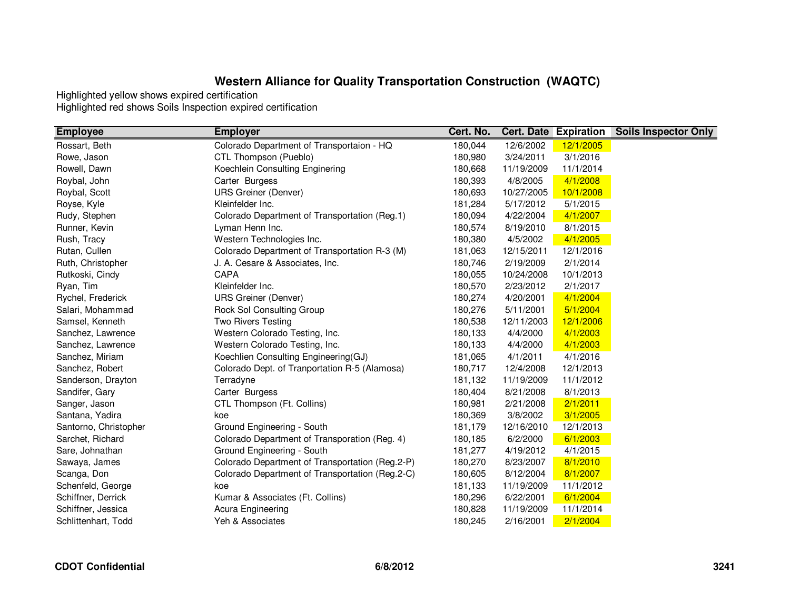| <b>Employee</b>       | <b>Employer</b>                                 | Cert. No. |            | <b>Cert. Date Expiration</b> | <b>Soils Inspector Only</b> |
|-----------------------|-------------------------------------------------|-----------|------------|------------------------------|-----------------------------|
| Rossart, Beth         | Colorado Department of Transportaion - HQ       | 180,044   | 12/6/2002  | 12/1/2005                    |                             |
| Rowe, Jason           | CTL Thompson (Pueblo)                           | 180,980   | 3/24/2011  | 3/1/2016                     |                             |
| Rowell, Dawn          | Koechlein Consulting Enginering                 | 180,668   | 11/19/2009 | 11/1/2014                    |                             |
| Roybal, John          | Carter Burgess                                  | 180,393   | 4/8/2005   | 4/1/2008                     |                             |
| Roybal, Scott         | <b>URS Greiner (Denver)</b>                     | 180,693   | 10/27/2005 | 10/1/2008                    |                             |
| Royse, Kyle           | Kleinfelder Inc.                                | 181,284   | 5/17/2012  | 5/1/2015                     |                             |
| Rudy, Stephen         | Colorado Department of Transportation (Reg.1)   | 180,094   | 4/22/2004  | 4/1/2007                     |                             |
| Runner, Kevin         | Lyman Henn Inc.                                 | 180,574   | 8/19/2010  | 8/1/2015                     |                             |
| Rush, Tracy           | Western Technologies Inc.                       | 180,380   | 4/5/2002   | 4/1/2005                     |                             |
| Rutan, Cullen         | Colorado Department of Transportation R-3 (M)   | 181,063   | 12/15/2011 | 12/1/2016                    |                             |
| Ruth, Christopher     | J. A. Cesare & Associates, Inc.                 | 180,746   | 2/19/2009  | 2/1/2014                     |                             |
| Rutkoski, Cindy       | CAPA                                            | 180,055   | 10/24/2008 | 10/1/2013                    |                             |
| Ryan, Tim             | Kleinfelder Inc.                                | 180,570   | 2/23/2012  | 2/1/2017                     |                             |
| Rychel, Frederick     | <b>URS Greiner (Denver)</b>                     | 180,274   | 4/20/2001  | 4/1/2004                     |                             |
| Salari, Mohammad      | Rock Sol Consulting Group                       | 180,276   | 5/11/2001  | 5/1/2004                     |                             |
| Samsel, Kenneth       | <b>Two Rivers Testing</b>                       | 180,538   | 12/11/2003 | 12/1/2006                    |                             |
| Sanchez, Lawrence     | Western Colorado Testing, Inc.                  | 180,133   | 4/4/2000   | 4/1/2003                     |                             |
| Sanchez, Lawrence     | Western Colorado Testing, Inc.                  | 180,133   | 4/4/2000   | 4/1/2003                     |                             |
| Sanchez, Miriam       | Koechlien Consulting Engineering(GJ)            | 181,065   | 4/1/2011   | 4/1/2016                     |                             |
| Sanchez, Robert       | Colorado Dept. of Tranportation R-5 (Alamosa)   | 180,717   | 12/4/2008  | 12/1/2013                    |                             |
| Sanderson, Drayton    | Terradyne                                       | 181,132   | 11/19/2009 | 11/1/2012                    |                             |
| Sandifer, Gary        | Carter Burgess                                  | 180,404   | 8/21/2008  | 8/1/2013                     |                             |
| Sanger, Jason         | CTL Thompson (Ft. Collins)                      | 180,981   | 2/21/2008  | 2/1/2011                     |                             |
| Santana, Yadira       | koe                                             | 180,369   | 3/8/2002   | 3/1/2005                     |                             |
| Santorno, Christopher | Ground Engineering - South                      | 181,179   | 12/16/2010 | 12/1/2013                    |                             |
| Sarchet, Richard      | Colorado Department of Transporation (Reg. 4)   | 180,185   | 6/2/2000   | 6/1/2003                     |                             |
| Sare, Johnathan       | Ground Engineering - South                      | 181,277   | 4/19/2012  | 4/1/2015                     |                             |
| Sawaya, James         | Colorado Department of Transportation (Reg.2-P) | 180,270   | 8/23/2007  | 8/1/2010                     |                             |
| Scanga, Don           | Colorado Department of Transportation (Reg.2-C) | 180,605   | 8/12/2004  | 8/1/2007                     |                             |
| Schenfeld, George     | koe                                             | 181,133   | 11/19/2009 | 11/1/2012                    |                             |
| Schiffner, Derrick    | Kumar & Associates (Ft. Collins)                | 180,296   | 6/22/2001  | 6/1/2004                     |                             |
| Schiffner, Jessica    | Acura Engineering                               | 180,828   | 11/19/2009 | 11/1/2014                    |                             |
| Schlittenhart, Todd   | Yeh & Associates                                | 180,245   | 2/16/2001  | 2/1/2004                     |                             |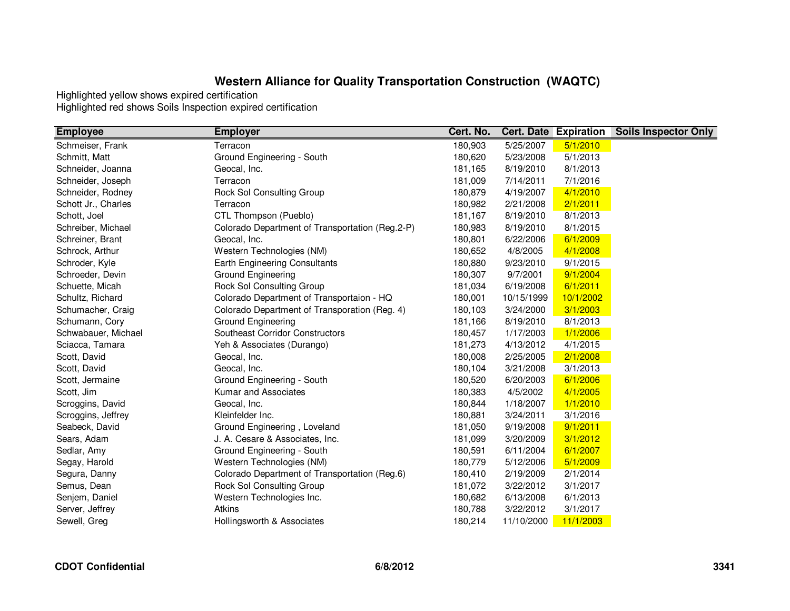| <b>Employee</b>     | <b>Employer</b>                                 | Cert. No. |            | <b>Cert. Date Expiration</b> | <b>Soils Inspector Only</b> |
|---------------------|-------------------------------------------------|-----------|------------|------------------------------|-----------------------------|
| Schmeiser, Frank    | Terracon                                        | 180,903   | 5/25/2007  | 5/1/2010                     |                             |
| Schmitt, Matt       | Ground Engineering - South                      | 180,620   | 5/23/2008  | 5/1/2013                     |                             |
| Schneider, Joanna   | Geocal, Inc.                                    | 181,165   | 8/19/2010  | 8/1/2013                     |                             |
| Schneider, Joseph   | Terracon                                        | 181,009   | 7/14/2011  | 7/1/2016                     |                             |
| Schneider, Rodney   | Rock Sol Consulting Group                       | 180,879   | 4/19/2007  | 4/1/2010                     |                             |
| Schott Jr., Charles | Terracon                                        | 180,982   | 2/21/2008  | 2/1/2011                     |                             |
| Schott, Joel        | CTL Thompson (Pueblo)                           | 181,167   | 8/19/2010  | 8/1/2013                     |                             |
| Schreiber, Michael  | Colorado Department of Transportation (Reg.2-P) | 180,983   | 8/19/2010  | 8/1/2015                     |                             |
| Schreiner, Brant    | Geocal, Inc.                                    | 180,801   | 6/22/2006  | 6/1/2009                     |                             |
| Schrock, Arthur     | Western Technologies (NM)                       | 180,652   | 4/8/2005   | 4/1/2008                     |                             |
| Schroder, Kyle      | Earth Engineering Consultants                   | 180,880   | 9/23/2010  | 9/1/2015                     |                             |
| Schroeder, Devin    | Ground Engineering                              | 180,307   | 9/7/2001   | 9/1/2004                     |                             |
| Schuette, Micah     | Rock Sol Consulting Group                       | 181,034   | 6/19/2008  | 6/1/2011                     |                             |
| Schultz, Richard    | Colorado Department of Transportaion - HQ       | 180,001   | 10/15/1999 | 10/1/2002                    |                             |
| Schumacher, Craig   | Colorado Department of Transporation (Reg. 4)   | 180,103   | 3/24/2000  | 3/1/2003                     |                             |
| Schumann, Cory      | <b>Ground Engineering</b>                       | 181,166   | 8/19/2010  | 8/1/2013                     |                             |
| Schwabauer, Michael | <b>Southeast Corridor Constructors</b>          | 180,457   | 1/17/2003  | 1/1/2006                     |                             |
| Sciacca, Tamara     | Yeh & Associates (Durango)                      | 181,273   | 4/13/2012  | 4/1/2015                     |                             |
| Scott, David        | Geocal, Inc.                                    | 180,008   | 2/25/2005  | 2/1/2008                     |                             |
| Scott, David        | Geocal, Inc.                                    | 180,104   | 3/21/2008  | 3/1/2013                     |                             |
| Scott, Jermaine     | Ground Engineering - South                      | 180,520   | 6/20/2003  | 6/1/2006                     |                             |
| Scott, Jim          | Kumar and Associates                            | 180,383   | 4/5/2002   | 4/1/2005                     |                             |
| Scroggins, David    | Geocal, Inc.                                    | 180,844   | 1/18/2007  | 1/1/2010                     |                             |
| Scroggins, Jeffrey  | Kleinfelder Inc.                                | 180,881   | 3/24/2011  | 3/1/2016                     |                             |
| Seabeck, David      | Ground Engineering, Loveland                    | 181,050   | 9/19/2008  | 9/1/2011                     |                             |
| Sears, Adam         | J. A. Cesare & Associates, Inc.                 | 181,099   | 3/20/2009  | 3/1/2012                     |                             |
| Sedlar, Amy         | Ground Engineering - South                      | 180,591   | 6/11/2004  | 6/1/2007                     |                             |
| Segay, Harold       | Western Technologies (NM)                       | 180,779   | 5/12/2006  | 5/1/2009                     |                             |
| Segura, Danny       | Colorado Department of Transportation (Reg.6)   | 180,410   | 2/19/2009  | 2/1/2014                     |                             |
| Semus, Dean         | Rock Sol Consulting Group                       | 181,072   | 3/22/2012  | 3/1/2017                     |                             |
| Senjem, Daniel      | Western Technologies Inc.                       | 180,682   | 6/13/2008  | 6/1/2013                     |                             |
| Server, Jeffrey     | Atkins                                          | 180,788   | 3/22/2012  | 3/1/2017                     |                             |
| Sewell, Greg        | Hollingsworth & Associates                      | 180,214   | 11/10/2000 | 11/1/2003                    |                             |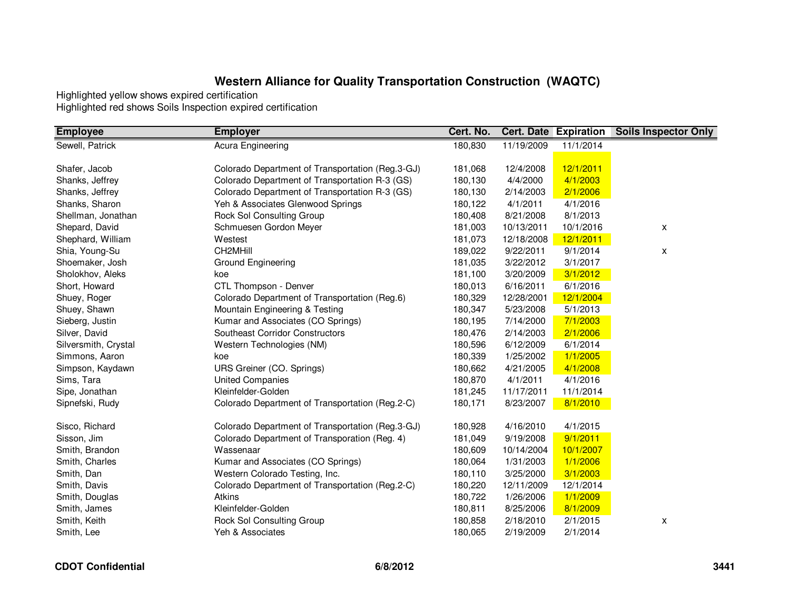| 180,830<br>11/19/2009<br>Sewell, Patrick<br>11/1/2014<br>Acura Engineering<br>12/1/2011<br>Shafer, Jacob<br>Colorado Department of Transportation (Reg.3-GJ)<br>181,068<br>12/4/2008 |  |
|--------------------------------------------------------------------------------------------------------------------------------------------------------------------------------------|--|
|                                                                                                                                                                                      |  |
|                                                                                                                                                                                      |  |
|                                                                                                                                                                                      |  |
| Colorado Department of Transportation R-3 (GS)<br>Shanks, Jeffrey<br>180,130<br>4/4/2000<br>4/1/2003                                                                                 |  |
| Shanks, Jeffrey<br>Colorado Department of Transportation R-3 (GS)<br>180,130<br>2/1/2006<br>2/14/2003                                                                                |  |
| Yeh & Associates Glenwood Springs<br>Shanks, Sharon<br>180,122<br>4/1/2011<br>4/1/2016                                                                                               |  |
| Rock Sol Consulting Group<br>Shellman, Jonathan<br>180,408<br>8/21/2008<br>8/1/2013                                                                                                  |  |
| Shepard, David<br>Schmuesen Gordon Meyer<br>181,003<br>10/13/2011<br>10/1/2016<br>X                                                                                                  |  |
| Shephard, William<br>Westest<br>181,073<br>12/18/2008<br>12/1/2011                                                                                                                   |  |
| CH2MHill<br>Shia, Young-Su<br>9/22/2011<br>9/1/2014<br>189,022<br>X                                                                                                                  |  |
| Shoemaker, Josh<br>Ground Engineering<br>181,035<br>3/22/2012<br>3/1/2017                                                                                                            |  |
| 3/1/2012<br>Sholokhov, Aleks<br>3/20/2009<br>181,100<br>koe                                                                                                                          |  |
| Short, Howard<br>CTL Thompson - Denver<br>180,013<br>6/16/2011<br>6/1/2016                                                                                                           |  |
| Shuey, Roger<br>Colorado Department of Transportation (Reg.6)<br>12/1/2004<br>180,329<br>12/28/2001                                                                                  |  |
| Shuey, Shawn<br>Mountain Engineering & Testing<br>5/1/2013<br>180,347<br>5/23/2008                                                                                                   |  |
| Kumar and Associates (CO Springs)<br>7/1/2003<br>Sieberg, Justin<br>180,195<br>7/14/2000                                                                                             |  |
| Silver, David<br><b>Southeast Corridor Constructors</b><br>2/1/2006<br>180,476<br>2/14/2003                                                                                          |  |
| 6/1/2014<br>Silversmith, Crystal<br>Western Technologies (NM)<br>180,596<br>6/12/2009                                                                                                |  |
| Simmons, Aaron<br>180,339<br>1/25/2002<br>1/1/2005<br>koe                                                                                                                            |  |
| Simpson, Kaydawn<br>URS Greiner (CO. Springs)<br>180,662<br>4/21/2005<br>4/1/2008                                                                                                    |  |
| Sims, Tara<br><b>United Companies</b><br>4/1/2011<br>180,870<br>4/1/2016                                                                                                             |  |
| Sipe, Jonathan<br>Kleinfelder-Golden<br>181,245<br>11/17/2011<br>11/1/2014                                                                                                           |  |
| Colorado Department of Transportation (Reg.2-C)<br>180,171<br>8/23/2007<br>8/1/2010<br>Sipnefski, Rudy                                                                               |  |
| Sisco, Richard<br>Colorado Department of Transportation (Reg.3-GJ)<br>4/16/2010<br>4/1/2015<br>180,928                                                                               |  |
| Sisson, Jim<br>Colorado Department of Transporation (Reg. 4)<br>9/1/2011<br>181,049<br>9/19/2008                                                                                     |  |
| Smith, Brandon<br>Wassenaar<br>180,609<br>10/14/2004<br>10/1/2007                                                                                                                    |  |
| Smith, Charles<br>Kumar and Associates (CO Springs)<br>180,064<br>1/31/2003<br>1/1/2006                                                                                              |  |
| Smith, Dan<br>Western Colorado Testing, Inc.<br>180,110<br>3/25/2000<br>3/1/2003                                                                                                     |  |
| 12/1/2014<br>Smith, Davis<br>Colorado Department of Transportation (Reg.2-C)<br>180,220<br>12/11/2009                                                                                |  |
| Atkins<br>180,722<br>1/26/2006<br>1/1/2009<br>Smith, Douglas                                                                                                                         |  |
| Kleinfelder-Golden<br>8/25/2006<br>8/1/2009<br>Smith, James<br>180,811                                                                                                               |  |
| Smith, Keith<br><b>Rock Sol Consulting Group</b><br>180,858<br>2/18/2010<br>2/1/2015<br>X                                                                                            |  |
| Smith, Lee<br>2/19/2009<br>2/1/2014<br>Yeh & Associates<br>180,065                                                                                                                   |  |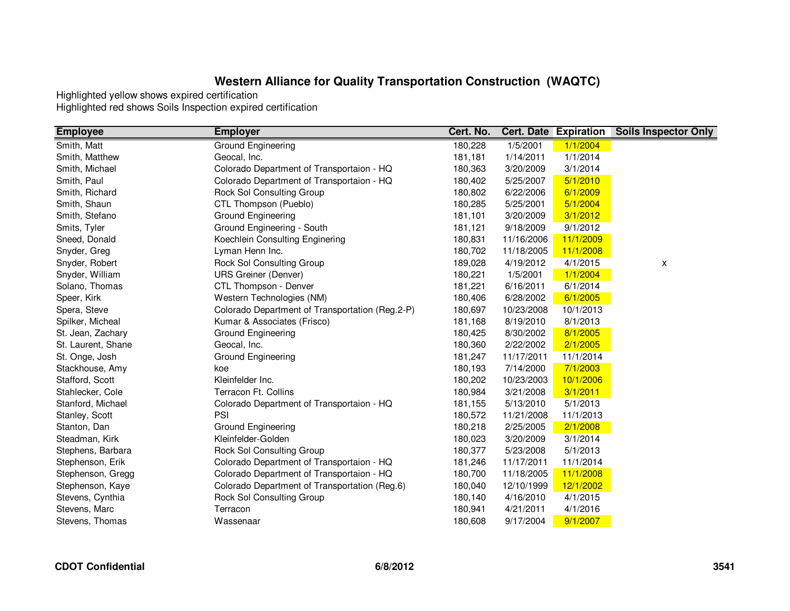| <b>Employee</b>    | <b>Employer</b>                                 | Cert. No. |            | <b>Cert. Date Expiration</b> | <b>Soils Inspector Only</b> |
|--------------------|-------------------------------------------------|-----------|------------|------------------------------|-----------------------------|
| Smith, Matt        | Ground Engineering                              | 180,228   | 1/5/2001   | 1/1/2004                     |                             |
| Smith, Matthew     | Geocal, Inc.                                    | 181,181   | 1/14/2011  | 1/1/2014                     |                             |
| Smith, Michael     | Colorado Department of Transportaion - HQ       | 180,363   | 3/20/2009  | 3/1/2014                     |                             |
| Smith, Paul        | Colorado Department of Transportaion - HQ       | 180,402   | 5/25/2007  | 5/1/2010                     |                             |
| Smith, Richard     | Rock Sol Consulting Group                       | 180,802   | 6/22/2006  | 6/1/2009                     |                             |
| Smith, Shaun       | CTL Thompson (Pueblo)                           | 180,285   | 5/25/2001  | 5/1/2004                     |                             |
| Smith, Stefano     | Ground Engineering                              | 181,101   | 3/20/2009  | 3/1/2012                     |                             |
| Smits, Tyler       | Ground Engineering - South                      | 181,121   | 9/18/2009  | 9/1/2012                     |                             |
| Sneed, Donald      | Koechlein Consulting Enginering                 | 180,831   | 11/16/2006 | 11/1/2009                    |                             |
| Snyder, Greg       | Lyman Henn Inc.                                 | 180,702   | 11/18/2005 | 11/1/2008                    |                             |
| Snyder, Robert     | Rock Sol Consulting Group                       | 189,028   | 4/19/2012  | 4/1/2015                     | X                           |
| Snyder, William    | <b>URS Greiner (Denver)</b>                     | 180,221   | 1/5/2001   | 1/1/2004                     |                             |
| Solano, Thomas     | CTL Thompson - Denver                           | 181,221   | 6/16/2011  | 6/1/2014                     |                             |
| Speer, Kirk        | Western Technologies (NM)                       | 180,406   | 6/28/2002  | 6/1/2005                     |                             |
| Spera, Steve       | Colorado Department of Transportation (Reg.2-P) | 180,697   | 10/23/2008 | 10/1/2013                    |                             |
| Spilker, Micheal   | Kumar & Associates (Frisco)                     | 181,168   | 8/19/2010  | 8/1/2013                     |                             |
| St. Jean, Zachary  | Ground Engineering                              | 180,425   | 8/30/2002  | 8/1/2005                     |                             |
| St. Laurent, Shane | Geocal, Inc.                                    | 180,360   | 2/22/2002  | 2/1/2005                     |                             |
| St. Onge, Josh     | Ground Engineering                              | 181,247   | 11/17/2011 | 11/1/2014                    |                             |
| Stackhouse, Amy    | koe                                             | 180,193   | 7/14/2000  | 7/1/2003                     |                             |
| Stafford, Scott    | Kleinfelder Inc.                                | 180,202   | 10/23/2003 | 10/1/2006                    |                             |
| Stahlecker, Cole   | Terracon Ft. Collins                            | 180,984   | 3/21/2008  | 3/1/2011                     |                             |
| Stanford, Michael  | Colorado Department of Transportaion - HQ       | 181,155   | 5/13/2010  | 5/1/2013                     |                             |
| Stanley, Scott     | PSI                                             | 180,572   | 11/21/2008 | 11/1/2013                    |                             |
| Stanton, Dan       | Ground Engineering                              | 180,218   | 2/25/2005  | 2/1/2008                     |                             |
| Steadman, Kirk     | Kleinfelder-Golden                              | 180,023   | 3/20/2009  | 3/1/2014                     |                             |
| Stephens, Barbara  | Rock Sol Consulting Group                       | 180,377   | 5/23/2008  | 5/1/2013                     |                             |
| Stephenson, Erik   | Colorado Department of Transportaion - HQ       | 181,246   | 11/17/2011 | 11/1/2014                    |                             |
| Stephenson, Gregg  | Colorado Department of Transportaion - HQ       | 180,700   | 11/18/2005 | 11/1/2008                    |                             |
| Stephenson, Kaye   | Colorado Department of Transportation (Reg.6)   | 180,040   | 12/10/1999 | 12/1/2002                    |                             |
| Stevens, Cynthia   | Rock Sol Consulting Group                       | 180,140   | 4/16/2010  | 4/1/2015                     |                             |
| Stevens, Marc      | Terracon                                        | 180,941   | 4/21/2011  | 4/1/2016                     |                             |
| Stevens, Thomas    | Wassenaar                                       | 180,608   | 9/17/2004  | 9/1/2007                     |                             |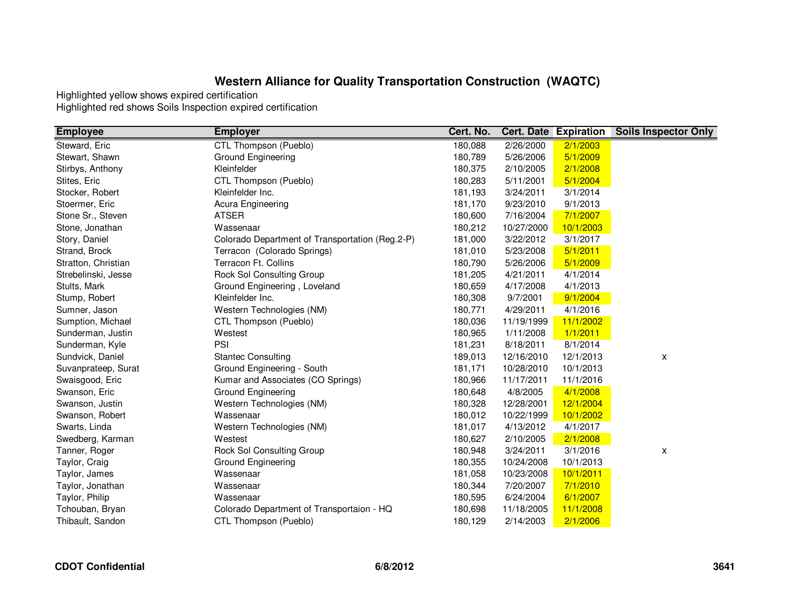| <b>Employee</b>     | <b>Employer</b>                                 | Cert. No. |            | <b>Cert. Date Expiration</b> | <b>Soils Inspector Only</b> |
|---------------------|-------------------------------------------------|-----------|------------|------------------------------|-----------------------------|
| Steward, Eric       | CTL Thompson (Pueblo)                           | 180,088   | 2/26/2000  | 2/1/2003                     |                             |
| Stewart, Shawn      | Ground Engineering                              | 180,789   | 5/26/2006  | 5/1/2009                     |                             |
| Stirbys, Anthony    | Kleinfelder                                     | 180,375   | 2/10/2005  | 2/1/2008                     |                             |
| Stites, Eric        | CTL Thompson (Pueblo)                           | 180,283   | 5/11/2001  | 5/1/2004                     |                             |
| Stocker, Robert     | Kleinfelder Inc.                                | 181,193   | 3/24/2011  | 3/1/2014                     |                             |
| Stoermer, Eric      | Acura Engineering                               | 181,170   | 9/23/2010  | 9/1/2013                     |                             |
| Stone Sr., Steven   | <b>ATSER</b>                                    | 180,600   | 7/16/2004  | 7/1/2007                     |                             |
| Stone, Jonathan     | Wassenaar                                       | 180,212   | 10/27/2000 | 10/1/2003                    |                             |
| Story, Daniel       | Colorado Department of Transportation (Reg.2-P) | 181,000   | 3/22/2012  | 3/1/2017                     |                             |
| Strand, Brock       | Terracon (Colorado Springs)                     | 181,010   | 5/23/2008  | 5/1/2011                     |                             |
| Stratton, Christian | Terracon Ft. Collins                            | 180,790   | 5/26/2006  | 5/1/2009                     |                             |
| Strebelinski, Jesse | <b>Rock Sol Consulting Group</b>                | 181,205   | 4/21/2011  | 4/1/2014                     |                             |
| Stults, Mark        | Ground Engineering, Loveland                    | 180,659   | 4/17/2008  | 4/1/2013                     |                             |
| Stump, Robert       | Kleinfelder Inc.                                | 180,308   | 9/7/2001   | 9/1/2004                     |                             |
| Sumner, Jason       | Western Technologies (NM)                       | 180,771   | 4/29/2011  | 4/1/2016                     |                             |
| Sumption, Michael   | CTL Thompson (Pueblo)                           | 180,036   | 11/19/1999 | 11/1/2002                    |                             |
| Sunderman, Justin   | Westest                                         | 180,965   | 1/11/2008  | 1/1/2011                     |                             |
| Sunderman, Kyle     | PSI                                             | 181,231   | 8/18/2011  | 8/1/2014                     |                             |
| Sundvick, Daniel    | <b>Stantec Consulting</b>                       | 189,013   | 12/16/2010 | 12/1/2013                    | X                           |
| Suvanprateep, Surat | Ground Engineering - South                      | 181,171   | 10/28/2010 | 10/1/2013                    |                             |
| Swaisgood, Eric     | Kumar and Associates (CO Springs)               | 180,966   | 11/17/2011 | 11/1/2016                    |                             |
| Swanson, Eric       | Ground Engineering                              | 180,648   | 4/8/2005   | 4/1/2008                     |                             |
| Swanson, Justin     | Western Technologies (NM)                       | 180,328   | 12/28/2001 | 12/1/2004                    |                             |
| Swanson, Robert     | Wassenaar                                       | 180,012   | 10/22/1999 | 10/1/2002                    |                             |
| Swarts, Linda       | Western Technologies (NM)                       | 181,017   | 4/13/2012  | 4/1/2017                     |                             |
| Swedberg, Karman    | Westest                                         | 180,627   | 2/10/2005  | 2/1/2008                     |                             |
| Tanner, Roger       | <b>Rock Sol Consulting Group</b>                | 180,948   | 3/24/2011  | 3/1/2016                     | X                           |
| Taylor, Craig       | Ground Engineering                              | 180,355   | 10/24/2008 | 10/1/2013                    |                             |
| Taylor, James       | Wassenaar                                       | 181,058   | 10/23/2008 | 10/1/2011                    |                             |
| Taylor, Jonathan    | Wassenaar                                       | 180,344   | 7/20/2007  | 7/1/2010                     |                             |
| Taylor, Philip      | Wassenaar                                       | 180,595   | 6/24/2004  | 6/1/2007                     |                             |
| Tchouban, Bryan     | Colorado Department of Transportaion - HQ       | 180,698   | 11/18/2005 | 11/1/2008                    |                             |
| Thibault, Sandon    | CTL Thompson (Pueblo)                           | 180,129   | 2/14/2003  | 2/1/2006                     |                             |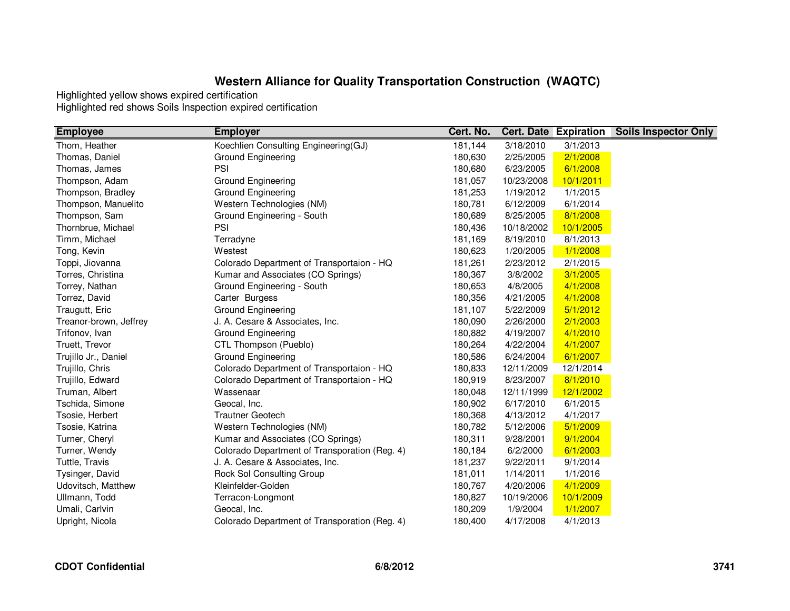| <b>Employee</b>        | <b>Employer</b>                               | Cert. No. |            | <b>Cert. Date Expiration</b> | <b>Soils Inspector Only</b> |
|------------------------|-----------------------------------------------|-----------|------------|------------------------------|-----------------------------|
| Thom, Heather          | Koechlien Consulting Engineering(GJ)          | 181,144   | 3/18/2010  | 3/1/2013                     |                             |
| Thomas, Daniel         | <b>Ground Engineering</b>                     | 180,630   | 2/25/2005  | 2/1/2008                     |                             |
| Thomas, James          | PSI                                           | 180,680   | 6/23/2005  | 6/1/2008                     |                             |
| Thompson, Adam         | Ground Engineering                            | 181,057   | 10/23/2008 | 10/1/2011                    |                             |
| Thompson, Bradley      | Ground Engineering                            | 181,253   | 1/19/2012  | 1/1/2015                     |                             |
| Thompson, Manuelito    | Western Technologies (NM)                     | 180,781   | 6/12/2009  | 6/1/2014                     |                             |
| Thompson, Sam          | Ground Engineering - South                    | 180,689   | 8/25/2005  | 8/1/2008                     |                             |
| Thornbrue, Michael     | PSI                                           | 180,436   | 10/18/2002 | 10/1/2005                    |                             |
| Timm, Michael          | Terradyne                                     | 181,169   | 8/19/2010  | 8/1/2013                     |                             |
| Tong, Kevin            | Westest                                       | 180,623   | 1/20/2005  | 1/1/2008                     |                             |
| Toppi, Jiovanna        | Colorado Department of Transportaion - HQ     | 181,261   | 2/23/2012  | 2/1/2015                     |                             |
| Torres, Christina      | Kumar and Associates (CO Springs)             | 180,367   | 3/8/2002   | 3/1/2005                     |                             |
| Torrey, Nathan         | Ground Engineering - South                    | 180,653   | 4/8/2005   | 4/1/2008                     |                             |
| Torrez, David          | Carter Burgess                                | 180,356   | 4/21/2005  | 4/1/2008                     |                             |
| Traugutt, Eric         | Ground Engineering                            | 181,107   | 5/22/2009  | 5/1/2012                     |                             |
| Treanor-brown, Jeffrey | J. A. Cesare & Associates, Inc.               | 180,090   | 2/26/2000  | 2/1/2003                     |                             |
| Trifonov, Ivan         | Ground Engineering                            | 180,882   | 4/19/2007  | 4/1/2010                     |                             |
| Truett, Trevor         | CTL Thompson (Pueblo)                         | 180,264   | 4/22/2004  | 4/1/2007                     |                             |
| Trujillo Jr., Daniel   | Ground Engineering                            | 180,586   | 6/24/2004  | 6/1/2007                     |                             |
| Trujillo, Chris        | Colorado Department of Transportaion - HQ     | 180,833   | 12/11/2009 | 12/1/2014                    |                             |
| Trujillo, Edward       | Colorado Department of Transportaion - HQ     | 180,919   | 8/23/2007  | 8/1/2010                     |                             |
| Truman, Albert         | Wassenaar                                     | 180,048   | 12/11/1999 | 12/1/2002                    |                             |
| Tschida, Simone        | Geocal, Inc.                                  | 180,902   | 6/17/2010  | 6/1/2015                     |                             |
| Tsosie, Herbert        | <b>Trautner Geotech</b>                       | 180,368   | 4/13/2012  | 4/1/2017                     |                             |
| Tsosie, Katrina        | Western Technologies (NM)                     | 180,782   | 5/12/2006  | 5/1/2009                     |                             |
| Turner, Cheryl         | Kumar and Associates (CO Springs)             | 180,311   | 9/28/2001  | 9/1/2004                     |                             |
| Turner, Wendy          | Colorado Department of Transporation (Reg. 4) | 180,184   | 6/2/2000   | 6/1/2003                     |                             |
| Tuttle, Travis         | J. A. Cesare & Associates, Inc.               | 181,237   | 9/22/2011  | 9/1/2014                     |                             |
| Tysinger, David        | Rock Sol Consulting Group                     | 181,011   | 1/14/2011  | 1/1/2016                     |                             |
| Udovitsch, Matthew     | Kleinfelder-Golden                            | 180,767   | 4/20/2006  | 4/1/2009                     |                             |
| Ullmann, Todd          | Terracon-Longmont                             | 180,827   | 10/19/2006 | 10/1/2009                    |                             |
| Umali, Carlvin         | Geocal, Inc.                                  | 180,209   | 1/9/2004   | 1/1/2007                     |                             |
| Upright, Nicola        | Colorado Department of Transporation (Reg. 4) | 180,400   | 4/17/2008  | 4/1/2013                     |                             |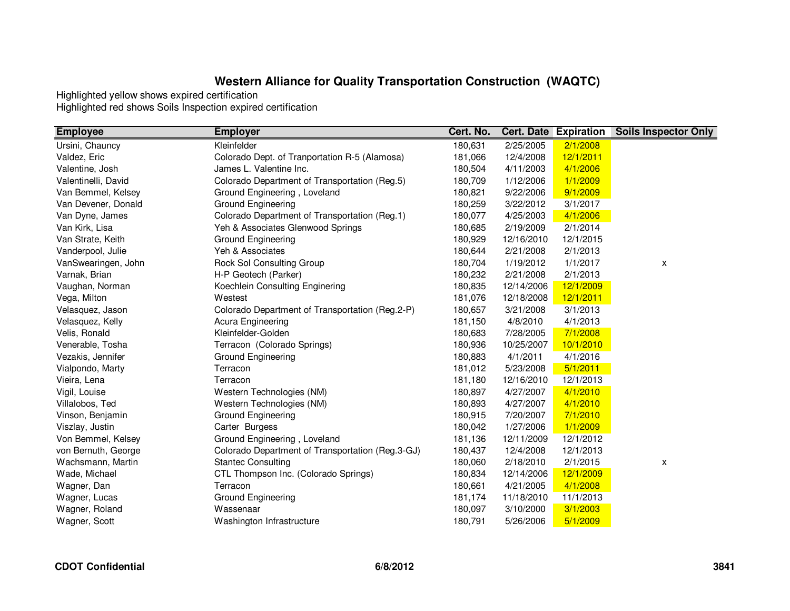| <b>Employee</b>     | <b>Employer</b>                                  | Cert. No. |            | <b>Cert. Date Expiration</b> | <b>Soils Inspector Only</b> |
|---------------------|--------------------------------------------------|-----------|------------|------------------------------|-----------------------------|
| Ursini, Chauncy     | Kleinfelder                                      | 180,631   | 2/25/2005  | 2/1/2008                     |                             |
| Valdez, Eric        | Colorado Dept. of Tranportation R-5 (Alamosa)    | 181,066   | 12/4/2008  | 12/1/2011                    |                             |
| Valentine, Josh     | James L. Valentine Inc.                          | 180,504   | 4/11/2003  | 4/1/2006                     |                             |
| Valentinelli, David | Colorado Department of Transportation (Reg.5)    | 180,709   | 1/12/2006  | 1/1/2009                     |                             |
| Van Bemmel, Kelsey  | Ground Engineering, Loveland                     | 180,821   | 9/22/2006  | 9/1/2009                     |                             |
| Van Devener, Donald | <b>Ground Engineering</b>                        | 180,259   | 3/22/2012  | 3/1/2017                     |                             |
| Van Dyne, James     | Colorado Department of Transportation (Reg.1)    | 180,077   | 4/25/2003  | 4/1/2006                     |                             |
| Van Kirk, Lisa      | Yeh & Associates Glenwood Springs                | 180,685   | 2/19/2009  | 2/1/2014                     |                             |
| Van Strate, Keith   | Ground Engineering                               | 180,929   | 12/16/2010 | 12/1/2015                    |                             |
| Vanderpool, Julie   | Yeh & Associates                                 | 180,644   | 2/21/2008  | 2/1/2013                     |                             |
| VanSwearingen, John | Rock Sol Consulting Group                        | 180,704   | 1/19/2012  | 1/1/2017                     | X                           |
| Varnak, Brian       | H-P Geotech (Parker)                             | 180,232   | 2/21/2008  | 2/1/2013                     |                             |
| Vaughan, Norman     | Koechlein Consulting Enginering                  | 180,835   | 12/14/2006 | 12/1/2009                    |                             |
| Vega, Milton        | Westest                                          | 181,076   | 12/18/2008 | 12/1/2011                    |                             |
| Velasquez, Jason    | Colorado Department of Transportation (Reg.2-P)  | 180,657   | 3/21/2008  | 3/1/2013                     |                             |
| Velasquez, Kelly    | Acura Engineering                                | 181,150   | 4/8/2010   | 4/1/2013                     |                             |
| Velis, Ronald       | Kleinfelder-Golden                               | 180,683   | 7/28/2005  | 7/1/2008                     |                             |
| Venerable, Tosha    | Terracon (Colorado Springs)                      | 180,936   | 10/25/2007 | 10/1/2010                    |                             |
| Vezakis, Jennifer   | <b>Ground Engineering</b>                        | 180,883   | 4/1/2011   | 4/1/2016                     |                             |
| Vialpondo, Marty    | Terracon                                         | 181,012   | 5/23/2008  | 5/1/2011                     |                             |
| Vieira, Lena        | Terracon                                         | 181,180   | 12/16/2010 | 12/1/2013                    |                             |
| Vigil, Louise       | Western Technologies (NM)                        | 180,897   | 4/27/2007  | 4/1/2010                     |                             |
| Villalobos, Ted     | Western Technologies (NM)                        | 180,893   | 4/27/2007  | 4/1/2010                     |                             |
| Vinson, Benjamin    | <b>Ground Engineering</b>                        | 180,915   | 7/20/2007  | 7/1/2010                     |                             |
| Viszlay, Justin     | Carter Burgess                                   | 180,042   | 1/27/2006  | 1/1/2009                     |                             |
| Von Bemmel, Kelsey  | Ground Engineering, Loveland                     | 181,136   | 12/11/2009 | 12/1/2012                    |                             |
| von Bernuth, George | Colorado Department of Transportation (Reg.3-GJ) | 180,437   | 12/4/2008  | 12/1/2013                    |                             |
| Wachsmann, Martin   | <b>Stantec Consulting</b>                        | 180,060   | 2/18/2010  | 2/1/2015                     | X                           |
| Wade, Michael       | CTL Thompson Inc. (Colorado Springs)             | 180,834   | 12/14/2006 | 12/1/2009                    |                             |
| Wagner, Dan         | Terracon                                         | 180,661   | 4/21/2005  | 4/1/2008                     |                             |
| Wagner, Lucas       | Ground Engineering                               | 181,174   | 11/18/2010 | 11/1/2013                    |                             |
| Wagner, Roland      | Wassenaar                                        | 180,097   | 3/10/2000  | 3/1/2003                     |                             |
| Wagner, Scott       | Washington Infrastructure                        | 180,791   | 5/26/2006  | 5/1/2009                     |                             |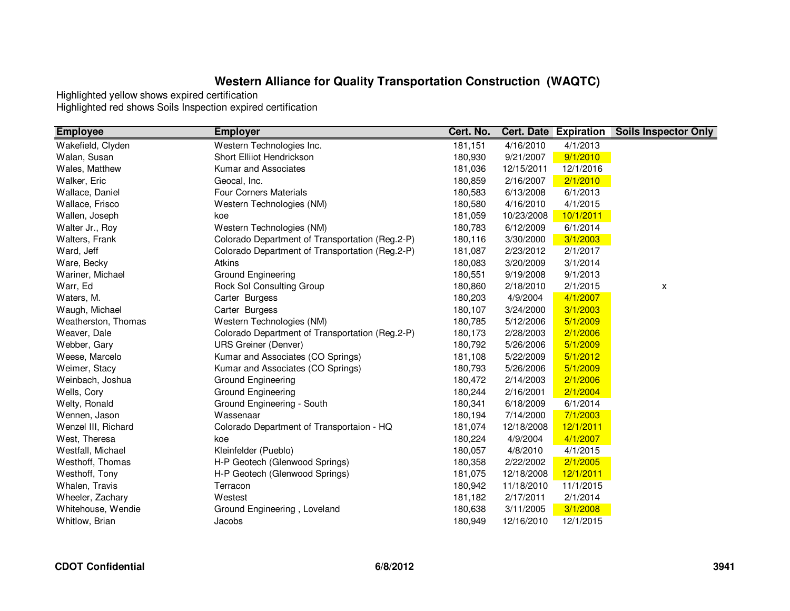| <b>Employee</b>     | <b>Employer</b>                                 | Cert. No. |            | <b>Cert. Date Expiration</b> | <b>Soils Inspector Only</b> |
|---------------------|-------------------------------------------------|-----------|------------|------------------------------|-----------------------------|
| Wakefield, Clyden   | Western Technologies Inc.                       | 181,151   | 4/16/2010  | 4/1/2013                     |                             |
| Walan, Susan        | Short Elliiot Hendrickson                       | 180,930   | 9/21/2007  | 9/1/2010                     |                             |
| Wales, Matthew      | Kumar and Associates                            | 181,036   | 12/15/2011 | 12/1/2016                    |                             |
| Walker, Eric        | Geocal, Inc.                                    | 180,859   | 2/16/2007  | 2/1/2010                     |                             |
| Wallace, Daniel     | <b>Four Corners Materials</b>                   | 180,583   | 6/13/2008  | 6/1/2013                     |                             |
| Wallace, Frisco     | Western Technologies (NM)                       | 180,580   | 4/16/2010  | 4/1/2015                     |                             |
| Wallen, Joseph      | koe                                             | 181,059   | 10/23/2008 | 10/1/2011                    |                             |
| Walter Jr., Roy     | Western Technologies (NM)                       | 180,783   | 6/12/2009  | 6/1/2014                     |                             |
| Walters, Frank      | Colorado Department of Transportation (Reg.2-P) | 180,116   | 3/30/2000  | 3/1/2003                     |                             |
| Ward, Jeff          | Colorado Department of Transportation (Reg.2-P) | 181,087   | 2/23/2012  | 2/1/2017                     |                             |
| Ware, Becky         | Atkins                                          | 180,083   | 3/20/2009  | 3/1/2014                     |                             |
| Wariner, Michael    | Ground Engineering                              | 180,551   | 9/19/2008  | 9/1/2013                     |                             |
| Warr, Ed            | Rock Sol Consulting Group                       | 180,860   | 2/18/2010  | 2/1/2015                     | X                           |
| Waters, M.          | Carter Burgess                                  | 180,203   | 4/9/2004   | 4/1/2007                     |                             |
| Waugh, Michael      | Carter Burgess                                  | 180,107   | 3/24/2000  | 3/1/2003                     |                             |
| Weatherston, Thomas | Western Technologies (NM)                       | 180,785   | 5/12/2006  | 5/1/2009                     |                             |
| Weaver, Dale        | Colorado Department of Transportation (Reg.2-P) | 180,173   | 2/28/2003  | 2/1/2006                     |                             |
| Webber, Gary        | <b>URS Greiner (Denver)</b>                     | 180,792   | 5/26/2006  | 5/1/2009                     |                             |
| Weese, Marcelo      | Kumar and Associates (CO Springs)               | 181,108   | 5/22/2009  | 5/1/2012                     |                             |
| Weimer, Stacy       | Kumar and Associates (CO Springs)               | 180,793   | 5/26/2006  | 5/1/2009                     |                             |
| Weinbach, Joshua    | Ground Engineering                              | 180,472   | 2/14/2003  | 2/1/2006                     |                             |
| Wells, Cory         | Ground Engineering                              | 180,244   | 2/16/2001  | 2/1/2004                     |                             |
| Welty, Ronald       | Ground Engineering - South                      | 180,341   | 6/18/2009  | 6/1/2014                     |                             |
| Wennen, Jason       | Wassenaar                                       | 180,194   | 7/14/2000  | 7/1/2003                     |                             |
| Wenzel III, Richard | Colorado Department of Transportaion - HQ       | 181,074   | 12/18/2008 | 12/1/2011                    |                             |
| West, Theresa       | koe                                             | 180,224   | 4/9/2004   | 4/1/2007                     |                             |
| Westfall, Michael   | Kleinfelder (Pueblo)                            | 180,057   | 4/8/2010   | 4/1/2015                     |                             |
| Westhoff, Thomas    | H-P Geotech (Glenwood Springs)                  | 180,358   | 2/22/2002  | 2/1/2005                     |                             |
| Westhoff, Tony      | H-P Geotech (Glenwood Springs)                  | 181,075   | 12/18/2008 | 12/1/2011                    |                             |
| Whalen, Travis      | Terracon                                        | 180,942   | 11/18/2010 | 11/1/2015                    |                             |
| Wheeler, Zachary    | Westest                                         | 181,182   | 2/17/2011  | 2/1/2014                     |                             |
| Whitehouse, Wendie  | Ground Engineering, Loveland                    | 180,638   | 3/11/2005  | 3/1/2008                     |                             |
| Whitlow, Brian      | Jacobs                                          | 180,949   | 12/16/2010 | 12/1/2015                    |                             |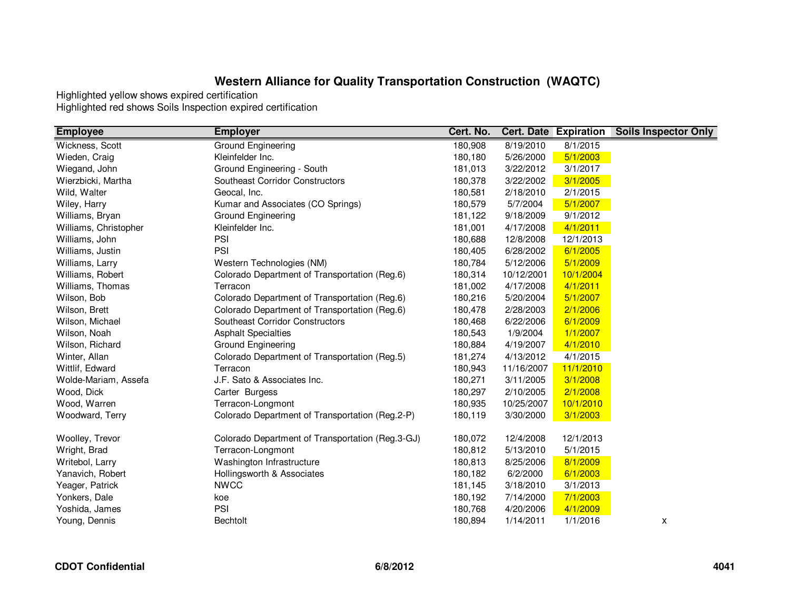| <b>Employee</b>       | <b>Employer</b>                                  | Cert. No. |            | <b>Cert. Date Expiration</b> | <b>Soils Inspector Only</b> |
|-----------------------|--------------------------------------------------|-----------|------------|------------------------------|-----------------------------|
| Wickness, Scott       | <b>Ground Engineering</b>                        | 180,908   | 8/19/2010  | 8/1/2015                     |                             |
| Wieden, Craig         | Kleinfelder Inc.                                 | 180,180   | 5/26/2000  | 5/1/2003                     |                             |
| Wiegand, John         | Ground Engineering - South                       | 181,013   | 3/22/2012  | 3/1/2017                     |                             |
| Wierzbicki, Martha    | Southeast Corridor Constructors                  | 180,378   | 3/22/2002  | 3/1/2005                     |                             |
| Wild, Walter          | Geocal, Inc.                                     | 180,581   | 2/18/2010  | 2/1/2015                     |                             |
| Wiley, Harry          | Kumar and Associates (CO Springs)                | 180,579   | 5/7/2004   | 5/1/2007                     |                             |
| Williams, Bryan       | <b>Ground Engineering</b>                        | 181,122   | 9/18/2009  | 9/1/2012                     |                             |
| Williams, Christopher | Kleinfelder Inc.                                 | 181,001   | 4/17/2008  | 4/1/2011                     |                             |
| Williams, John        | PSI                                              | 180,688   | 12/8/2008  | 12/1/2013                    |                             |
| Williams, Justin      | PSI                                              | 180,405   | 6/28/2002  | 6/1/2005                     |                             |
| Williams, Larry       | Western Technologies (NM)                        | 180,784   | 5/12/2006  | 5/1/2009                     |                             |
| Williams, Robert      | Colorado Department of Transportation (Reg.6)    | 180,314   | 10/12/2001 | 10/1/2004                    |                             |
| Williams, Thomas      | Terracon                                         | 181,002   | 4/17/2008  | 4/1/2011                     |                             |
| Wilson, Bob           | Colorado Department of Transportation (Reg.6)    | 180,216   | 5/20/2004  | 5/1/2007                     |                             |
| Wilson, Brett         | Colorado Department of Transportation (Reg.6)    | 180,478   | 2/28/2003  | 2/1/2006                     |                             |
| Wilson, Michael       | Southeast Corridor Constructors                  | 180,468   | 6/22/2006  | 6/1/2009                     |                             |
| Wilson, Noah          | <b>Asphalt Specialties</b>                       | 180,543   | 1/9/2004   | 1/1/2007                     |                             |
| Wilson, Richard       | Ground Engineering                               | 180,884   | 4/19/2007  | 4/1/2010                     |                             |
| Winter, Allan         | Colorado Department of Transportation (Reg.5)    | 181,274   | 4/13/2012  | 4/1/2015                     |                             |
| Wittlif, Edward       | Terracon                                         | 180,943   | 11/16/2007 | 11/1/2010                    |                             |
| Wolde-Mariam, Assefa  | J.F. Sato & Associates Inc.                      | 180,271   | 3/11/2005  | 3/1/2008                     |                             |
| Wood, Dick            | Carter Burgess                                   | 180,297   | 2/10/2005  | 2/1/2008                     |                             |
| Wood, Warren          | Terracon-Longmont                                | 180,935   | 10/25/2007 | 10/1/2010                    |                             |
| Woodward, Terry       | Colorado Department of Transportation (Reg.2-P)  | 180,119   | 3/30/2000  | 3/1/2003                     |                             |
| Woolley, Trevor       | Colorado Department of Transportation (Reg.3-GJ) | 180,072   | 12/4/2008  | 12/1/2013                    |                             |
| Wright, Brad          | Terracon-Longmont                                | 180,812   | 5/13/2010  | 5/1/2015                     |                             |
| Writebol, Larry       | Washington Infrastructure                        | 180,813   | 8/25/2006  | 8/1/2009                     |                             |
| Yanavich, Robert      | Hollingsworth & Associates                       | 180,182   | 6/2/2000   | 6/1/2003                     |                             |
| Yeager, Patrick       | <b>NWCC</b>                                      | 181,145   | 3/18/2010  | 3/1/2013                     |                             |
| Yonkers, Dale         | koe                                              | 180,192   | 7/14/2000  | 7/1/2003                     |                             |
| Yoshida, James        | PSI                                              | 180,768   | 4/20/2006  | 4/1/2009                     |                             |
| Young, Dennis         | <b>Bechtolt</b>                                  | 180,894   | 1/14/2011  | 1/1/2016                     | X                           |